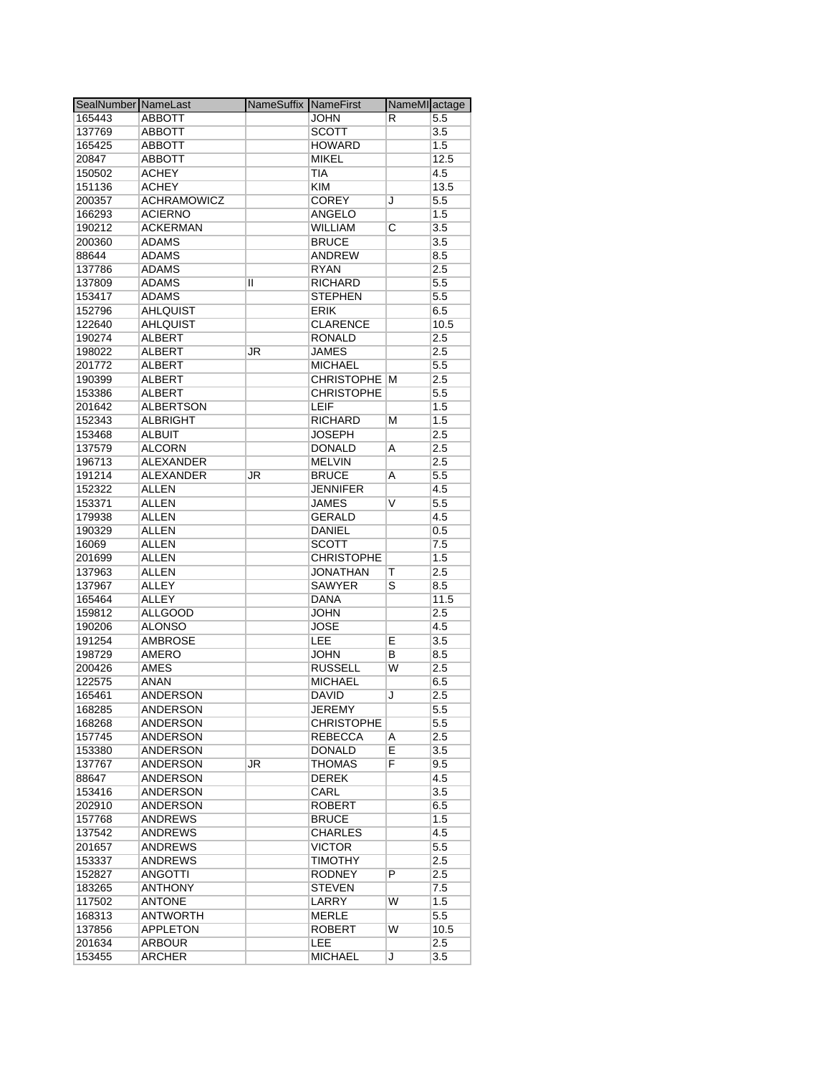| SealNumber NameLast |                    | NameSuffix NameFirst |                   | NameMI actage           |      |
|---------------------|--------------------|----------------------|-------------------|-------------------------|------|
| 165443              | <b>ABBOTT</b>      |                      | <b>JOHN</b>       | R                       | 5.5  |
| 137769              | <b>ABBOTT</b>      |                      | <b>SCOTT</b>      |                         | 3.5  |
| 165425              | <b>ABBOTT</b>      |                      | <b>HOWARD</b>     |                         | 1.5  |
| 20847               | <b>ABBOTT</b>      |                      | <b>MIKEL</b>      |                         | 12.5 |
| 150502              | <b>ACHEY</b>       |                      | <b>TIA</b>        |                         | 4.5  |
| 151136              | <b>ACHEY</b>       |                      | <b>KIM</b>        |                         | 13.5 |
| 200357              | <b>ACHRAMOWICZ</b> |                      | <b>COREY</b>      | J                       | 5.5  |
|                     | <b>ACIERNO</b>     |                      |                   |                         |      |
| 166293              |                    |                      | ANGELO            |                         | 1.5  |
| 190212              | <b>ACKERMAN</b>    |                      | <b>WILLIAM</b>    | С                       | 3.5  |
| 200360              | <b>ADAMS</b>       |                      | <b>BRUCE</b>      |                         | 3.5  |
| 88644               | <b>ADAMS</b>       |                      | <b>ANDREW</b>     |                         | 8.5  |
| 137786              | <b>ADAMS</b>       |                      | <b>RYAN</b>       |                         | 2.5  |
| 137809              | <b>ADAMS</b>       | Ш                    | <b>RICHARD</b>    |                         | 5.5  |
| 153417              | <b>ADAMS</b>       |                      | <b>STEPHEN</b>    |                         | 5.5  |
| 152796              | <b>AHLQUIST</b>    |                      | <b>ERIK</b>       |                         | 6.5  |
| 122640              | <b>AHLQUIST</b>    |                      | <b>CLARENCE</b>   |                         | 10.5 |
| 190274              | <b>ALBERT</b>      |                      | <b>RONALD</b>     |                         | 2.5  |
| 198022              | <b>ALBERT</b>      | JR                   | <b>JAMES</b>      |                         | 2.5  |
| 201772              | <b>ALBERT</b>      |                      | <b>MICHAEL</b>    |                         | 5.5  |
| 190399              | <b>ALBERT</b>      |                      | <b>CHRISTOPHE</b> | M                       | 2.5  |
| 153386              | <b>ALBERT</b>      |                      | <b>CHRISTOPHE</b> |                         | 5.5  |
|                     | <b>ALBERTSON</b>   |                      | LEIF              |                         | 1.5  |
| 201642              |                    |                      | <b>RICHARD</b>    |                         |      |
| 152343              | <b>ALBRIGHT</b>    |                      |                   | М                       | 1.5  |
| 153468              | <b>ALBUIT</b>      |                      | <b>JOSEPH</b>     |                         | 2.5  |
| 137579              | <b>ALCORN</b>      |                      | <b>DONALD</b>     | Α                       | 2.5  |
| 196713              | <b>ALEXANDER</b>   |                      | <b>MELVIN</b>     |                         | 2.5  |
| 191214              | <b>ALEXANDER</b>   | JR                   | <b>BRUCE</b>      | Α                       | 5.5  |
| 152322              | <b>ALLEN</b>       |                      | JENNIFER          |                         | 4.5  |
| 153371              | <b>ALLEN</b>       |                      | <b>JAMES</b>      | V                       | 5.5  |
| 179938              | <b>ALLEN</b>       |                      | <b>GERALD</b>     |                         | 4.5  |
| 190329              | <b>ALLEN</b>       |                      | <b>DANIEL</b>     |                         | 0.5  |
| 16069               | <b>ALLEN</b>       |                      | <b>SCOTT</b>      |                         | 7.5  |
| 201699              | ALLEN              |                      | <b>CHRISTOPHE</b> |                         | 1.5  |
| 137963              | <b>ALLEN</b>       |                      | JONATHAN          | Т                       | 2.5  |
| 137967              | <b>ALLEY</b>       |                      | <b>SAWYER</b>     | $\overline{\mathsf{s}}$ | 8.5  |
|                     |                    |                      |                   |                         |      |
| 165464              | <b>ALLEY</b>       |                      | <b>DANA</b>       |                         | 11.5 |
| 159812              | <b>ALLGOOD</b>     |                      | <b>JOHN</b>       |                         | 2.5  |
| 190206              | <b>ALONSO</b>      |                      | <b>JOSE</b>       |                         | 4.5  |
| 191254              | <b>AMBROSE</b>     |                      | LEE               | E                       | 3.5  |
| 198729              | <b>AMERO</b>       |                      | <b>JOHN</b>       | В                       | 8.5  |
| 200426              | AMES               |                      | <b>RUSSELL</b>    | W                       | 2.5  |
| 122575              | <b>ANAN</b>        |                      | <b>MICHAEL</b>    |                         | 6.5  |
| 165461              | <b>ANDERSON</b>    |                      | <b>DAVID</b>      | J                       | 2.5  |
| 168285              | ANDERSON           |                      | JEREMY            |                         | 5.5  |
| 168268              | ANDERSON           |                      | <b>CHRISTOPHE</b> |                         | 5.5  |
| 157745              | <b>ANDERSON</b>    |                      | <b>REBECCA</b>    | Α                       | 2.5  |
| 153380              | ANDERSON           |                      | <b>DONALD</b>     | E                       | 3.5  |
| 137767              | <b>ANDERSON</b>    | JR                   | <b>THOMAS</b>     | F                       | 9.5  |
| 88647               | ANDERSON           |                      | <b>DEREK</b>      |                         | 4.5  |
|                     |                    |                      |                   |                         |      |
| 153416              | ANDERSON           |                      | CARL              |                         | 3.5  |
| 202910              | <b>ANDERSON</b>    |                      | <b>ROBERT</b>     |                         | 6.5  |
| 157768              | <b>ANDREWS</b>     |                      | <b>BRUCE</b>      |                         | 1.5  |
| 137542              | <b>ANDREWS</b>     |                      | <b>CHARLES</b>    |                         | 4.5  |
| 201657              | ANDREWS            |                      | <b>VICTOR</b>     |                         | 5.5  |
| 153337              | <b>ANDREWS</b>     |                      | <b>TIMOTHY</b>    |                         | 2.5  |
| 152827              | <b>ANGOTTI</b>     |                      | <b>RODNEY</b>     | P                       | 2.5  |
| 183265              | <b>ANTHONY</b>     |                      | STEVEN            |                         | 7.5  |
| 117502              | <b>ANTONE</b>      |                      | LARRY             | W                       | 1.5  |
| 168313              | ANTWORTH           |                      | MERLE             |                         | 5.5  |
| 137856              | APPLETON           |                      | <b>ROBERT</b>     | W                       | 10.5 |
| 201634              | <b>ARBOUR</b>      |                      | <b>LEE</b>        |                         | 2.5  |
| 153455              | <b>ARCHER</b>      |                      | <b>MICHAEL</b>    | J                       | 3.5  |
|                     |                    |                      |                   |                         |      |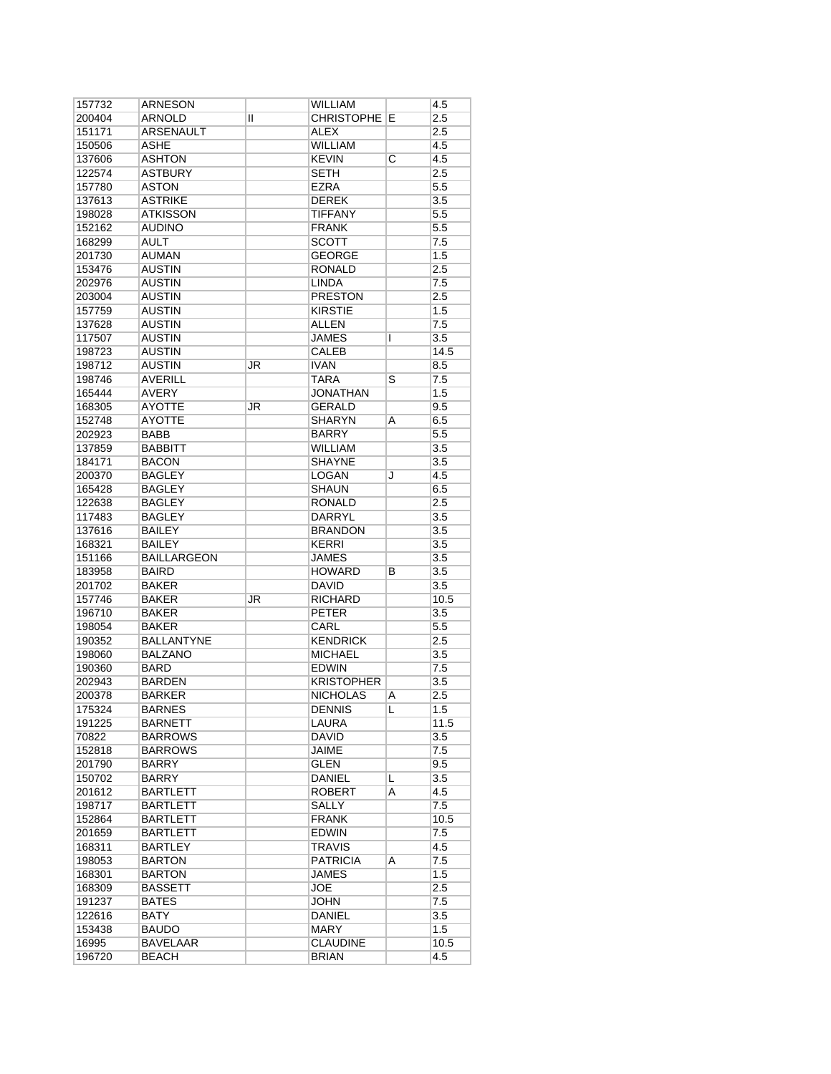| 157732 | ARNESON            |    | <b>WILLIAM</b>    |   | 4.5              |
|--------|--------------------|----|-------------------|---|------------------|
| 200404 | ARNOLD             | Ш  | <b>CHRISTOPHE</b> | Е | 2.5              |
| 151171 | <b>ARSENAULT</b>   |    | ALEX              |   | 2.5              |
| 150506 | <b>ASHE</b>        |    | <b>WILLIAM</b>    |   | 4.5              |
| 137606 | <b>ASHTON</b>      |    | <b>KEVIN</b>      | C | 4.5              |
| 122574 | <b>ASTBURY</b>     |    | <b>SETH</b>       |   | 2.5              |
| 157780 | <b>ASTON</b>       |    | <b>EZRA</b>       |   | 5.5              |
| 137613 | <b>ASTRIKE</b>     |    | <b>DEREK</b>      |   | 3.5              |
| 198028 | <b>ATKISSON</b>    |    | <b>TIFFANY</b>    |   | 5.5              |
| 152162 | <b>AUDINO</b>      |    | <b>FRANK</b>      |   | 5.5              |
| 168299 | <b>AULT</b>        |    | <b>SCOTT</b>      |   | 7.5              |
| 201730 | AUMAN              |    | <b>GEORGE</b>     |   | 1.5              |
| 153476 | <b>AUSTIN</b>      |    | <b>RONALD</b>     |   | 2.5              |
| 202976 | <b>AUSTIN</b>      |    | <b>LINDA</b>      |   | 7.5              |
| 203004 | <b>AUSTIN</b>      |    | <b>PRESTON</b>    |   | 2.5              |
| 157759 | <b>AUSTIN</b>      |    | <b>KIRSTIE</b>    |   | 1.5              |
|        |                    |    |                   |   |                  |
| 137628 | <b>AUSTIN</b>      |    | <b>ALLEN</b>      |   | 7.5              |
| 117507 | AUSTIN             |    | <b>JAMES</b>      | L | 3.5              |
| 198723 | <b>AUSTIN</b>      |    | CALEB             |   | 14.5             |
| 198712 | <b>AUSTIN</b>      | JR | <b>IVAN</b>       |   | 8.5              |
| 198746 | <b>AVERILL</b>     |    | <b>TARA</b>       | S | 7.5              |
| 165444 | <b>AVERY</b>       |    | <b>JONATHAN</b>   |   | 1.5              |
| 168305 | <b>AYOTTE</b>      | JR | <b>GERALD</b>     |   | 9.5              |
| 152748 | <b>AYOTTE</b>      |    | <b>SHARYN</b>     | A | 6.5              |
| 202923 | <b>BABB</b>        |    | <b>BARRY</b>      |   | 5.5              |
| 137859 | <b>BABBITT</b>     |    | <b>WILLIAM</b>    |   | 3.5              |
| 184171 | <b>BACON</b>       |    | <b>SHAYNE</b>     |   | 3.5              |
| 200370 | <b>BAGLEY</b>      |    | LOGAN             | J | 4.5              |
| 165428 | <b>BAGLEY</b>      |    | <b>SHAUN</b>      |   | 6.5              |
| 122638 | <b>BAGLEY</b>      |    | <b>RONALD</b>     |   | 2.5              |
| 117483 | <b>BAGLEY</b>      |    | <b>DARRYL</b>     |   | 3.5              |
| 137616 | <b>BAILEY</b>      |    | <b>BRANDON</b>    |   | 3.5              |
| 168321 | <b>BAILEY</b>      |    | <b>KERRI</b>      |   | $\overline{3.5}$ |
| 151166 | <b>BAILLARGEON</b> |    | <b>JAMES</b>      |   | 3.5              |
| 183958 | <b>BAIRD</b>       |    | <b>HOWARD</b>     | В | 3.5              |
| 201702 | <b>BAKER</b>       |    | <b>DAVID</b>      |   | 3.5              |
| 157746 | <b>BAKER</b>       | JR | <b>RICHARD</b>    |   | 10.5             |
| 196710 | <b>BAKER</b>       |    | <b>PETER</b>      |   | 3.5              |
| 198054 | <b>BAKER</b>       |    | CARL              |   | 5.5              |
|        |                    |    |                   |   |                  |
| 190352 | <b>BALLANTYNE</b>  |    | <b>KENDRICK</b>   |   | 2.5              |
| 198060 | <b>BALZANO</b>     |    | <b>MICHAEL</b>    |   | 3.5              |
| 190360 | <b>BARD</b>        |    | <b>EDWIN</b>      |   | 7.5              |
| 202943 | <b>BARDEN</b>      |    | <b>KRISTOPHER</b> |   | 3.5              |
| 200378 | <b>BARKER</b>      |    | <b>NICHOLAS</b>   | A | 2.5              |
| 175324 | BARNES             |    | <b>DENNIS</b>     | L | 1.5              |
| 191225 | BARNETT            |    | LAURA             |   | 11.5             |
| 70822  | <b>BARROWS</b>     |    | DAVID             |   | 3.5              |
| 152818 | <b>BARROWS</b>     |    | JAIME             |   | 7.5              |
| 201790 | <b>BARRY</b>       |    | GLEN              |   | 9.5              |
| 150702 | <b>BARRY</b>       |    | <b>DANIEL</b>     | L | 3.5              |
| 201612 | <b>BARTLETT</b>    |    | <b>ROBERT</b>     | A | 4.5              |
| 198717 | <b>BARTLETT</b>    |    | SALLY             |   | 7.5              |
| 152864 | <b>BARTLETT</b>    |    | <b>FRANK</b>      |   | 10.5             |
| 201659 | BARTLETT           |    | EDWIN             |   | 7.5              |
| 168311 | <b>BARTLEY</b>     |    | <b>TRAVIS</b>     |   | 4.5              |
| 198053 | <b>BARTON</b>      |    | <b>PATRICIA</b>   | A | 7.5              |
| 168301 | <b>BARTON</b>      |    | JAMES             |   | 1.5              |
| 168309 | <b>BASSETT</b>     |    | <b>JOE</b>        |   | 2.5              |
| 191237 | <b>BATES</b>       |    | JOHN              |   | 7.5              |
| 122616 | BATY               |    | DANIEL            |   | 3.5              |
| 153438 | <b>BAUDO</b>       |    | <b>MARY</b>       |   | 1.5              |
| 16995  | <b>BAVELAAR</b>    |    | <b>CLAUDINE</b>   |   | 10.5             |
| 196720 | <b>BEACH</b>       |    | <b>BRIAN</b>      |   | 4.5              |
|        |                    |    |                   |   |                  |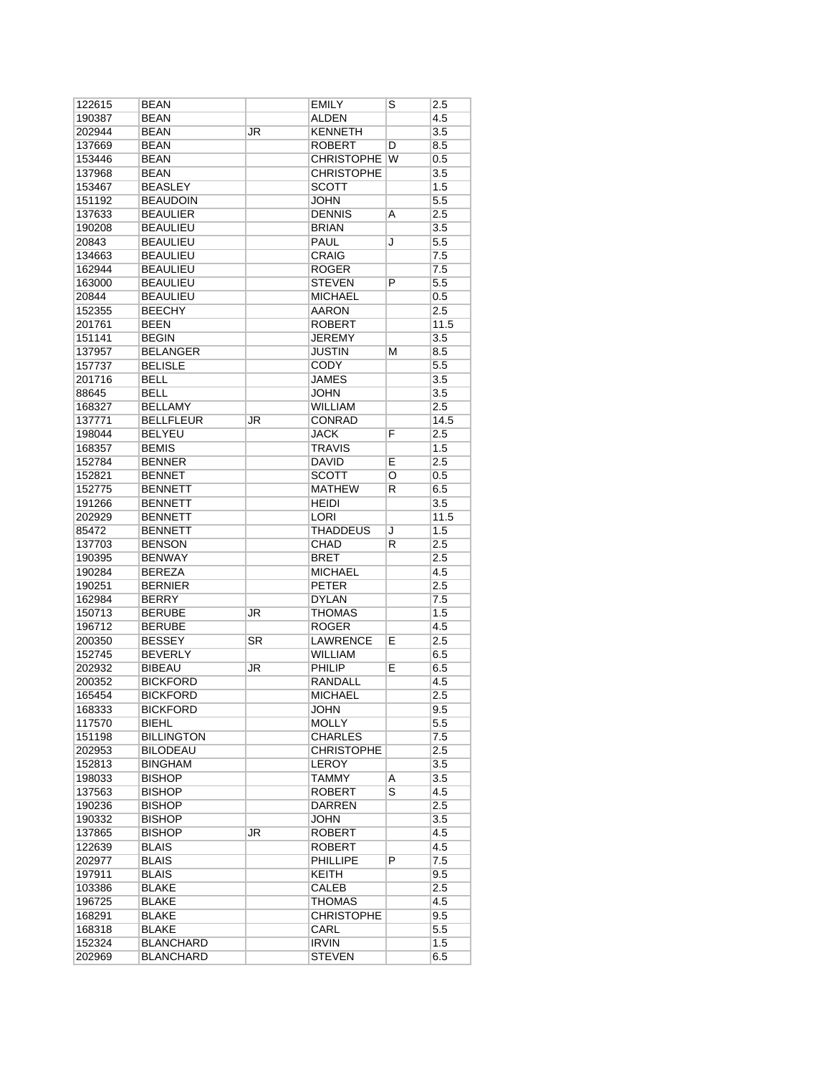| 122615 | <b>BEAN</b>       |    | <b>EMILY</b>      | S | 2.5     |
|--------|-------------------|----|-------------------|---|---------|
| 190387 | <b>BEAN</b>       |    | ALDEN             |   | 4.5     |
| 202944 | <b>BEAN</b>       | JR | <b>KENNETH</b>    |   | 3.5     |
| 137669 | <b>BEAN</b>       |    | <b>ROBERT</b>     | D | 8.5     |
| 153446 | <b>BEAN</b>       |    | <b>CHRISTOPHE</b> | W | 0.5     |
| 137968 | <b>BEAN</b>       |    | <b>CHRISTOPHE</b> |   | 3.5     |
| 153467 | <b>BEASLEY</b>    |    | <b>SCOTT</b>      |   | 1.5     |
| 151192 | <b>BEAUDOIN</b>   |    | <b>JOHN</b>       |   | 5.5     |
| 137633 | <b>BEAULIER</b>   |    | <b>DENNIS</b>     | Α | 2.5     |
| 190208 | <b>BEAULIEU</b>   |    | <b>BRIAN</b>      |   | 3.5     |
| 20843  | <b>BEAULIEU</b>   |    | <b>PAUL</b>       | J | $5.5\,$ |
| 134663 | <b>BEAULIEU</b>   |    | CRAIG             |   | 7.5     |
| 162944 | <b>BEAULIEU</b>   |    | <b>ROGER</b>      |   | 7.5     |
| 163000 | <b>BEAULIEU</b>   |    | <b>STEVEN</b>     | P | $5.5\,$ |
| 20844  | <b>BEAULIEU</b>   |    | <b>MICHAEL</b>    |   | 0.5     |
| 152355 | <b>BEECHY</b>     |    | AARON             |   | 2.5     |
| 201761 | <b>BEEN</b>       |    | <b>ROBERT</b>     |   | 11.5    |
| 151141 | <b>BEGIN</b>      |    | <b>JEREMY</b>     |   | 3.5     |
| 137957 | <b>BELANGER</b>   |    | JUSTIN            | м | 8.5     |
| 157737 | <b>BELISLE</b>    |    | <b>CODY</b>       |   | 5.5     |
| 201716 | <b>BELL</b>       |    | <b>JAMES</b>      |   | 3.5     |
| 88645  | <b>BELL</b>       |    | <b>JOHN</b>       |   | 3.5     |
| 168327 | <b>BELLAMY</b>    |    | <b>WILLIAM</b>    |   | 2.5     |
|        | <b>BELLFLEUR</b>  | JR | CONRAD            |   | 14.5    |
| 137771 | <b>BELYEU</b>     |    |                   |   |         |
| 198044 | <b>BEMIS</b>      |    | <b>JACK</b>       | F | 2.5     |
| 168357 |                   |    | <b>TRAVIS</b>     |   | 1.5     |
| 152784 | <b>BENNER</b>     |    | <b>DAVID</b>      | Ē | 2.5     |
| 152821 | <b>BENNET</b>     |    | <b>SCOTT</b>      | O | 0.5     |
| 152775 | <b>BENNETT</b>    |    | <b>MATHEW</b>     | R | 6.5     |
| 191266 | <b>BENNETT</b>    |    | <b>HEIDI</b>      |   | 3.5     |
| 202929 | <b>BENNETT</b>    |    | LORI              |   | 11.5    |
| 85472  | <b>BENNETT</b>    |    | THADDEUS          | J | 1.5     |
| 137703 | <b>BENSON</b>     |    | CHAD              | R | 2.5     |
| 190395 | <b>BENWAY</b>     |    | <b>BRET</b>       |   | 2.5     |
| 190284 | <b>BEREZA</b>     |    | <b>MICHAEL</b>    |   | 4.5     |
| 190251 | <b>BERNIER</b>    |    | <b>PETER</b>      |   | 2.5     |
| 162984 | <b>BERRY</b>      |    | <b>DYLAN</b>      |   | 7.5     |
| 150713 | <b>BERUBE</b>     | JR | <b>THOMAS</b>     |   | 1.5     |
| 196712 | <b>BERUBE</b>     |    | <b>ROGER</b>      |   | 4.5     |
| 200350 | <b>BESSEY</b>     | SR | <b>LAWRENCE</b>   | E | 2.5     |
| 152745 | <b>BEVERLY</b>    |    | <b>WILLIAM</b>    |   | 6.5     |
| 202932 | <b>BIBEAU</b>     | JR | PHILIP            | Е | 6.5     |
| 200352 | <b>BICKFORD</b>   |    | RANDALL           |   | 4.5     |
| 165454 | <b>BICKFORD</b>   |    | <b>MICHAEL</b>    |   | 2.5     |
| 168333 | <b>BICKFORD</b>   |    | JOHN              |   | 9.5     |
| 117570 | BIEHL             |    | <b>MOLLY</b>      |   | 5.5     |
| 151198 | <b>BILLINGTON</b> |    | <b>CHARLES</b>    |   | 7.5     |
| 202953 | <b>BILODEAU</b>   |    | <b>CHRISTOPHE</b> |   | 2.5     |
| 152813 | <b>BINGHAM</b>    |    | LEROY             |   | 3.5     |
| 198033 | <b>BISHOP</b>     |    | <b>TAMMY</b>      | A | 3.5     |
| 137563 | <b>BISHOP</b>     |    | <b>ROBERT</b>     | S | 4.5     |
| 190236 | <b>BISHOP</b>     |    | <b>DARREN</b>     |   | 2.5     |
| 190332 | <b>BISHOP</b>     |    | JOHN              |   | 3.5     |
| 137865 | <b>BISHOP</b>     | JR | <b>ROBERT</b>     |   | 4.5     |
| 122639 | <b>BLAIS</b>      |    | <b>ROBERT</b>     |   | 4.5     |
| 202977 | <b>BLAIS</b>      |    | <b>PHILLIPE</b>   | P | 7.5     |
| 197911 | BLAIS             |    | KEITH             |   | 9.5     |
| 103386 | <b>BLAKE</b>      |    | <b>CALEB</b>      |   | 2.5     |
| 196725 | <b>BLAKE</b>      |    | THOMAS            |   | 4.5     |
| 168291 | BLAKE             |    | <b>CHRISTOPHE</b> |   | 9.5     |
| 168318 | BLAKE             |    | CARL              |   | $5.5\,$ |
| 152324 | <b>BLANCHARD</b>  |    | <b>IRVIN</b>      |   | 1.5     |
| 202969 | <b>BLANCHARD</b>  |    | <b>STEVEN</b>     |   | 6.5     |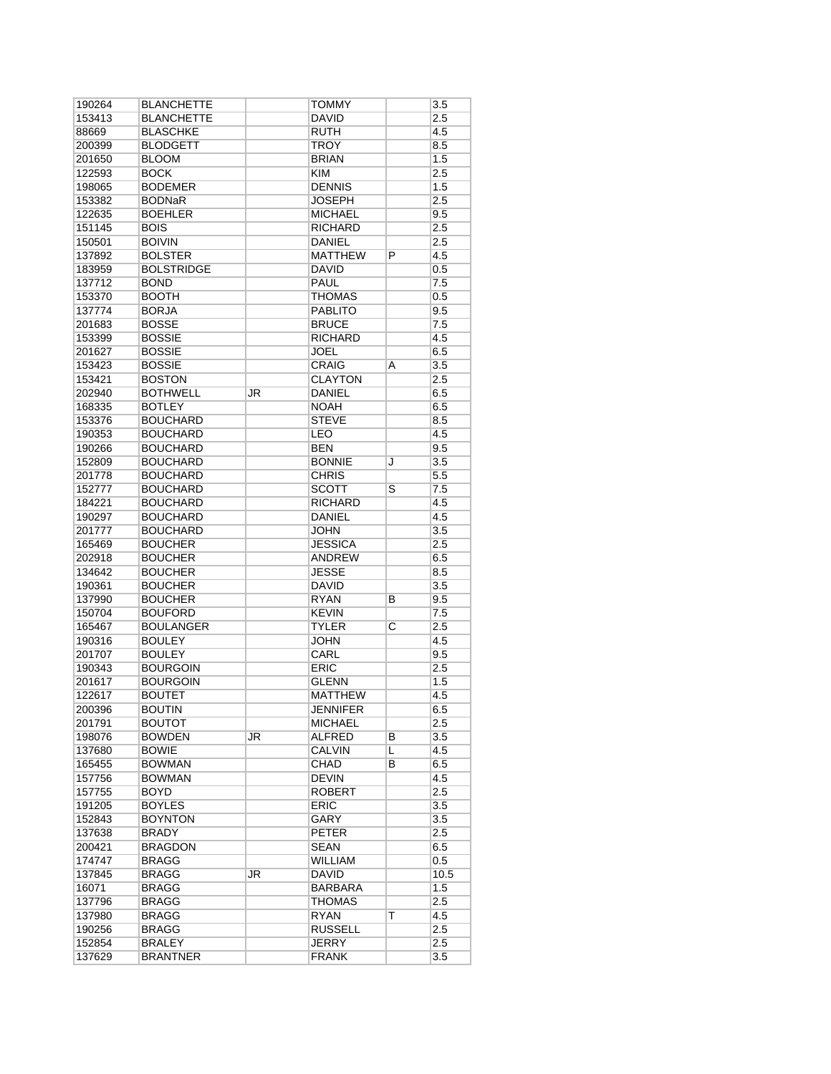| 190264           | <b>BLANCHETTE</b>                |           | TOMMY                        |                         | 3.5              |
|------------------|----------------------------------|-----------|------------------------------|-------------------------|------------------|
| 153413           | <b>BLANCHETTE</b>                |           | <b>DAVID</b>                 |                         | 2.5              |
| 88669            | <b>BLASCHKE</b>                  |           | <b>RUTH</b>                  |                         | 4.5              |
| 200399           | <b>BLODGETT</b>                  |           | <b>TROY</b>                  |                         | 8.5              |
| 201650           | <b>BLOOM</b>                     |           | <b>BRIAN</b>                 |                         | 1.5              |
| 122593           | <b>BOCK</b>                      |           | <b>KIM</b>                   |                         | 2.5              |
| 198065           | <b>BODEMER</b>                   |           | <b>DENNIS</b>                |                         | 1.5              |
| 153382           | <b>BODNaR</b>                    |           | <b>JOSEPH</b>                |                         | 2.5              |
| 122635           | <b>BOEHLER</b>                   |           | <b>MICHAEL</b>               |                         |                  |
|                  |                                  |           |                              |                         | 9.5              |
| 151145           | <b>BOIS</b>                      |           | <b>RICHARD</b>               |                         | 2.5              |
| 150501           | <b>BOIVIN</b>                    |           | DANIEL                       |                         | 2.5              |
| 137892           | <b>BOLSTER</b>                   |           | <b>MATTHEW</b>               | P                       | 4.5              |
| 183959           | <b>BOLSTRIDGE</b>                |           | <b>DAVID</b>                 |                         | 0.5              |
| 137712           | <b>BOND</b>                      |           | <b>PAUL</b>                  |                         | 7.5              |
| 153370           | <b>BOOTH</b>                     |           | <b>THOMAS</b>                |                         | 0.5              |
| 137774           | <b>BORJA</b>                     |           | <b>PABLITO</b>               |                         | 9.5              |
| 201683           | <b>BOSSE</b>                     |           | <b>BRUCE</b>                 |                         | 7.5              |
| 153399           | <b>BOSSIE</b>                    |           | <b>RICHARD</b>               |                         | 4.5              |
| 201627           | <b>BOSSIE</b>                    |           | <b>JOEL</b>                  |                         | 6.5              |
| 153423           | <b>BOSSIE</b>                    |           | <b>CRAIG</b>                 | A                       | 3.5              |
| 153421           | <b>BOSTON</b>                    |           | <b>CLAYTON</b>               |                         | 2.5              |
| 202940           | <b>BOTHWELL</b>                  | JR        | <b>DANIEL</b>                |                         | 6.5              |
|                  | <b>BOTLEY</b>                    |           |                              |                         |                  |
| 168335           |                                  |           | <b>NOAH</b>                  |                         | 6.5              |
| 153376           | <b>BOUCHARD</b>                  |           | <b>STEVE</b>                 |                         | 8.5              |
| 190353           | <b>BOUCHARD</b>                  |           | LEO                          |                         | 4.5              |
| 190266           | <b>BOUCHARD</b>                  |           | <b>BEN</b>                   |                         | 9.5              |
| 152809           | <b>BOUCHARD</b>                  |           | <b>BONNIE</b>                | J                       | $\overline{3.5}$ |
| 201778           | <b>BOUCHARD</b>                  |           | <b>CHRIS</b>                 |                         | 5.5              |
| 152777           | <b>BOUCHARD</b>                  |           | <b>SCOTT</b>                 | S                       | 7.5              |
| 184221           | <b>BOUCHARD</b>                  |           | <b>RICHARD</b>               |                         | 4.5              |
| 190297           | <b>BOUCHARD</b>                  |           | DANIEL                       |                         | 4.5              |
| 201777           | <b>BOUCHARD</b>                  |           | <b>JOHN</b>                  |                         | $\overline{3.5}$ |
| 165469           | <b>BOUCHER</b>                   |           | <b>JESSICA</b>               |                         | 2.5              |
| 202918           | <b>BOUCHER</b>                   |           | <b>ANDREW</b>                |                         | 6.5              |
|                  |                                  |           |                              |                         |                  |
| 134642           | <b>BOUCHER</b>                   |           | <b>JESSE</b>                 |                         | 8.5              |
| 190361           | <b>BOUCHER</b>                   |           | DAVID                        |                         | 3.5              |
| 137990           | <b>BOUCHER</b>                   |           | <b>RYAN</b>                  | в                       | 9.5              |
| 150704           | <b>BOUFORD</b>                   |           | <b>KEVIN</b>                 |                         | 7.5              |
| 165467           | <b>BOULANGER</b>                 |           | <b>TYLER</b>                 | $\overline{\mathrm{c}}$ | 2.5              |
| 190316           | <b>BOULEY</b>                    |           | <b>JOHN</b>                  |                         | 4.5              |
| 201707           | <b>BOULEY</b>                    |           | CARL                         |                         | 9.5              |
| 190343           | <b>BOURGOIN</b>                  |           | <b>ERIC</b>                  |                         | 2.5              |
| 201617           | <b>BOURGOIN</b>                  |           | <b>GLENN</b>                 |                         | 1.5              |
| 122617           | <b>BOUTET</b>                    |           | <b>MATTHEW</b>               |                         | 4.5              |
| 200396           | <b>BOUTIN</b>                    |           | <b>JENNIFER</b>              |                         | 6.5              |
| 201791           | <b>BOUTOT</b>                    |           | <b>MICHAEL</b>               |                         | 2.5              |
|                  |                                  |           |                              |                         |                  |
| 198076           | <b>BOWDEN</b>                    | <b>JR</b> | <b>ALFRED</b>                | В                       | 3.5              |
| 137680           | <b>BOWIE</b>                     |           | <b>CALVIN</b>                | L                       | 4.5              |
| 165455           | <b>BOWMAN</b>                    |           | <b>CHAD</b>                  | В                       | 6.5              |
| 157756           | <b>BOWMAN</b>                    |           | <b>DEVIN</b>                 |                         | 4.5              |
| 157755           | BOYD                             |           | <b>ROBERT</b>                |                         | 2.5              |
| 191205           | <b>BOYLES</b>                    |           | <b>ERIC</b>                  |                         | 3.5              |
| 152843           | <b>BOYNTON</b>                   |           | GARY                         |                         | 3.5              |
| 137638           | <b>BRADY</b>                     |           | <b>PETER</b>                 |                         | 2.5              |
| 200421           | <b>BRAGDON</b>                   |           | <b>SEAN</b>                  |                         | 6.5              |
| 174747           | <b>BRAGG</b>                     |           | WILLIAM                      |                         | 0.5              |
| 137845           | <b>BRAGG</b>                     | JR        | <b>DAVID</b>                 |                         | 10.5             |
| 16071            | <b>BRAGG</b>                     |           | BARBARA                      |                         | 1.5              |
|                  |                                  |           |                              |                         |                  |
| 137796           | <b>BRAGG</b>                     |           | THOMAS                       |                         | 2.5              |
| 137980           | <b>BRAGG</b>                     |           | <b>RYAN</b>                  | T                       | 4.5              |
| 190256           | <b>BRAGG</b>                     |           | <b>RUSSELL</b>               |                         | 2.5              |
|                  |                                  |           |                              |                         |                  |
| 152854<br>137629 | <b>BRALEY</b><br><b>BRANTNER</b> |           | <b>JERRY</b><br><b>FRANK</b> |                         | 2.5<br>3.5       |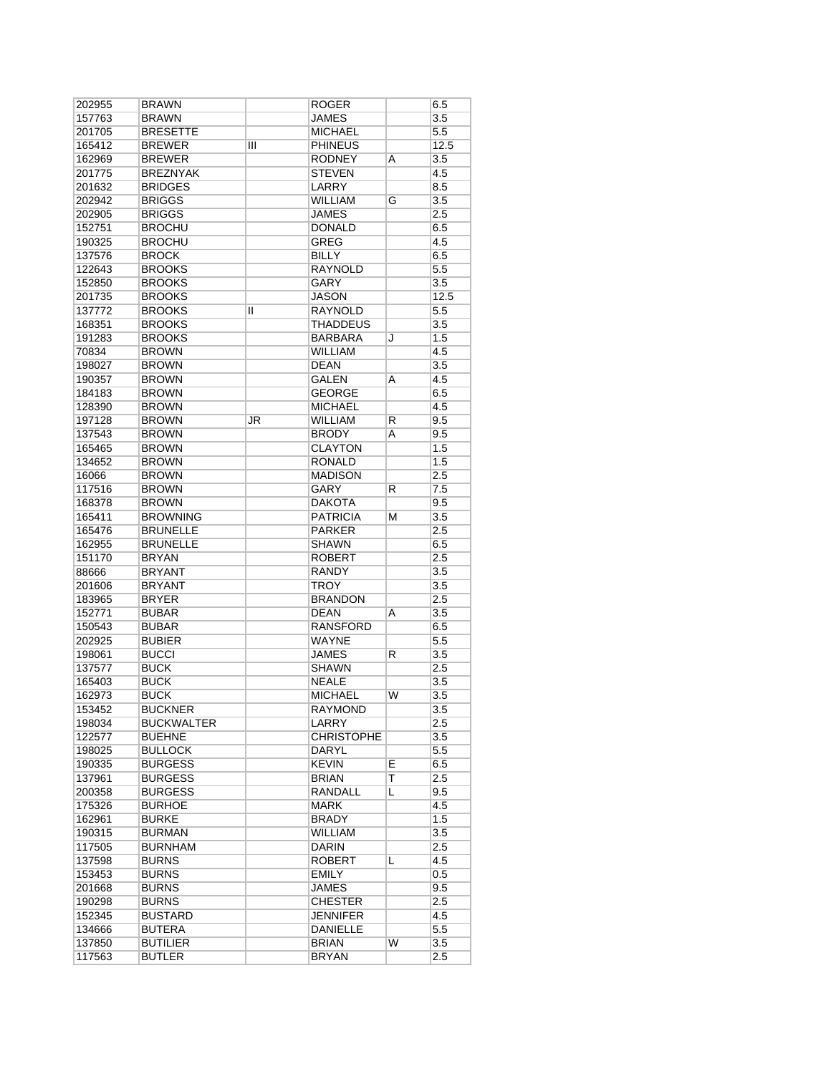| 202955 | <b>BRAWN</b>      |    | ROGER             |    | 6.5  |
|--------|-------------------|----|-------------------|----|------|
| 157763 | <b>BRAWN</b>      |    | JAMES             |    | 3.5  |
| 201705 | <b>BRESETTE</b>   |    | <b>MICHAEL</b>    |    | 5.5  |
| 165412 | <b>BREWER</b>     | Ш  | <b>PHINEUS</b>    |    | 12.5 |
| 162969 | <b>BREWER</b>     |    | <b>RODNEY</b>     | A  | 3.5  |
| 201775 | <b>BREZNYAK</b>   |    | <b>STEVEN</b>     |    | 4.5  |
| 201632 | <b>BRIDGES</b>    |    | <b>LARRY</b>      |    | 8.5  |
| 202942 | <b>BRIGGS</b>     |    | <b>WILLIAM</b>    | G  | 3.5  |
| 202905 | <b>BRIGGS</b>     |    | JAMES             |    | 2.5  |
| 152751 | <b>BROCHU</b>     |    | <b>DONALD</b>     |    | 6.5  |
|        | <b>BROCHU</b>     |    | <b>GREG</b>       |    | 4.5  |
| 190325 |                   |    |                   |    |      |
| 137576 | <b>BROCK</b>      |    | BILLY             |    | 6.5  |
| 122643 | <b>BROOKS</b>     |    | <b>RAYNOLD</b>    |    | 5.5  |
| 152850 | <b>BROOKS</b>     |    | <b>GARY</b>       |    | 3.5  |
| 201735 | <b>BROOKS</b>     |    | <b>JASON</b>      |    | 12.5 |
| 137772 | <b>BROOKS</b>     | Ш  | <b>RAYNOLD</b>    |    | 5.5  |
| 168351 | <b>BROOKS</b>     |    | THADDEUS          |    | 3.5  |
| 191283 | <b>BROOKS</b>     |    | BARBARA           | J  | 1.5  |
| 70834  | <b>BROWN</b>      |    | <b>WILLIAM</b>    |    | 4.5  |
| 198027 | <b>BROWN</b>      |    | <b>DEAN</b>       |    | 3.5  |
| 190357 | <b>BROWN</b>      |    | <b>GALEN</b>      | A  | 4.5  |
| 184183 | <b>BROWN</b>      |    | GEORGE            |    | 6.5  |
| 128390 | <b>BROWN</b>      |    | <b>MICHAEL</b>    |    | 4.5  |
| 197128 | <b>BROWN</b>      | JR | <b>WILLIAM</b>    | R  | 9.5  |
| 137543 | <b>BROWN</b>      |    | <b>BRODY</b>      | Α  | 9.5  |
|        | <b>BROWN</b>      |    | <b>CLAYTON</b>    |    | 1.5  |
| 165465 |                   |    |                   |    |      |
| 134652 | <b>BROWN</b>      |    | <b>RONALD</b>     |    | 1.5  |
| 16066  | <b>BROWN</b>      |    | <b>MADISON</b>    |    | 2.5  |
| 117516 | <b>BROWN</b>      |    | GARY              | R  | 7.5  |
| 168378 | <b>BROWN</b>      |    | DAKOTA            |    | 9.5  |
| 165411 | <b>BROWNING</b>   |    | <b>PATRICIA</b>   | М  | 3.5  |
| 165476 | <b>BRUNELLE</b>   |    | <b>PARKER</b>     |    | 2.5  |
| 162955 | <b>BRUNELLE</b>   |    | SHAWN             |    | 6.5  |
| 151170 | <b>BRYAN</b>      |    | ROBERT            |    | 2.5  |
| 88666  | <b>BRYANT</b>     |    | RANDY             |    | 3.5  |
| 201606 | <b>BRYANT</b>     |    | <b>TROY</b>       |    | 3.5  |
| 183965 | <b>BRYER</b>      |    | <b>BRANDON</b>    |    | 2.5  |
| 152771 | <b>BUBAR</b>      |    | <b>DEAN</b>       | Α  | 3.5  |
| 150543 | <b>BUBAR</b>      |    | <b>RANSFORD</b>   |    | 6.5  |
| 202925 | <b>BUBIER</b>     |    | <b>WAYNE</b>      |    | 5.5  |
|        |                   |    | <b>JAMES</b>      |    |      |
| 198061 | <b>BUCCI</b>      |    |                   | R  | 3.5  |
| 137577 | <b>BUCK</b>       |    | <b>SHAWN</b>      |    | 2.5  |
| 165403 | <b>BUCK</b>       |    | <b>NEALE</b>      |    | 3.5  |
| 162973 | <b>BUCK</b>       |    | <b>MICHAEL</b>    | W  | 3.5  |
| 153452 | <b>BUCKNER</b>    |    | <b>RAYMOND</b>    |    | 3.5  |
| 198034 | <b>BUCKWALTER</b> |    | LARRY             |    | 2.5  |
| 122577 | <b>BUEHNE</b>     |    | <b>CHRISTOPHE</b> |    | 3.5  |
| 198025 | <b>BULLOCK</b>    |    | DARYL             |    | 5.5  |
| 190335 | <b>BURGESS</b>    |    | <b>KEVIN</b>      | E  | 6.5  |
| 137961 | <b>BURGESS</b>    |    | BRIAN             | T  | 2.5  |
| 200358 | <b>BURGESS</b>    |    | RANDALL           | L  | 9.5  |
| 175326 | <b>BURHOE</b>     |    | MARK              |    | 4.5  |
| 162961 | <b>BURKE</b>      |    | <b>BRADY</b>      |    | 1.5  |
| 190315 | <b>BURMAN</b>     |    | WILLIAM           |    | 3.5  |
|        |                   |    |                   |    |      |
| 117505 | <b>BURNHAM</b>    |    | DARIN             |    | 2.5  |
| 137598 | <b>BURNS</b>      |    | ROBERT            | L. | 4.5  |
| 153453 | <b>BURNS</b>      |    | EMILY             |    | 0.5  |
| 201668 | <b>BURNS</b>      |    | <b>JAMES</b>      |    | 9.5  |
| 190298 | <b>BURNS</b>      |    | <b>CHESTER</b>    |    | 2.5  |
| 152345 | <b>BUSTARD</b>    |    | JENNIFER          |    | 4.5  |
| 134666 | <b>BUTERA</b>     |    | <b>DANIELLE</b>   |    | 5.5  |
|        |                   |    | BRIAN             | W  | 3.5  |
| 137850 | <b>BUTILIER</b>   |    |                   |    |      |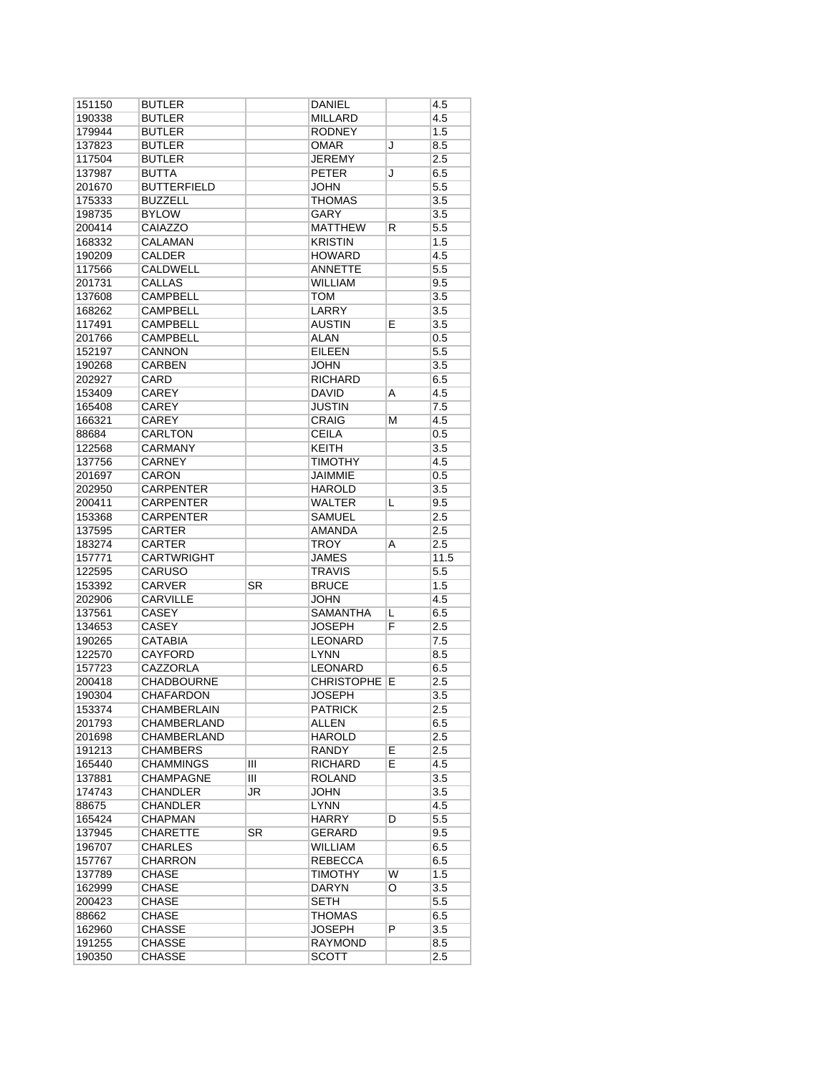| 151150 | <b>BUTLER</b>      |    | DANIEL              |   | 4.5     |
|--------|--------------------|----|---------------------|---|---------|
| 190338 | <b>BUTLER</b>      |    | MILLARD             |   | 4.5     |
| 179944 | <b>BUTLER</b>      |    | <b>RODNEY</b>       |   | 1.5     |
| 137823 | <b>BUTLER</b>      |    | <b>OMAR</b>         | J | 8.5     |
| 117504 | <b>BUTLER</b>      |    | <b>JEREMY</b>       |   | 2.5     |
| 137987 | BUTTA              |    | <b>PETER</b>        | J | 6.5     |
| 201670 | <b>BUTTERFIELD</b> |    | <b>JOHN</b>         |   | 5.5     |
| 175333 | <b>BUZZELL</b>     |    | THOMAS              |   | 3.5     |
| 198735 | <b>BYLOW</b>       |    | GARY                |   | 3.5     |
| 200414 | CAIAZZO            |    | MATTHEW             | R | 5.5     |
| 168332 | <b>CALAMAN</b>     |    | <b>KRISTIN</b>      |   | 1.5     |
| 190209 | <b>CALDER</b>      |    | <b>HOWARD</b>       |   | 4.5     |
| 117566 | CALDWELL           |    | <b>ANNETTE</b>      |   | 5.5     |
| 201731 | <b>CALLAS</b>      |    | <b>WILLIAM</b>      |   | 9.5     |
| 137608 | <b>CAMPBELL</b>    |    | <b>TOM</b>          |   | 3.5     |
| 168262 | <b>CAMPBELL</b>    |    | LARRY               |   | 3.5     |
| 117491 | <b>CAMPBELL</b>    |    | <b>AUSTIN</b>       | E | 3.5     |
| 201766 | CAMPBELL           |    | <b>ALAN</b>         |   | 0.5     |
| 152197 | <b>CANNON</b>      |    | <b>EILEEN</b>       |   | 5.5     |
| 190268 | <b>CARBEN</b>      |    | <b>JOHN</b>         |   | 3.5     |
| 202927 | CARD               |    | <b>RICHARD</b>      |   | 6.5     |
| 153409 | <b>CAREY</b>       |    | DAVID               | Α | 4.5     |
| 165408 | <b>CAREY</b>       |    | <b>JUSTIN</b>       |   | 7.5     |
| 166321 | <b>CAREY</b>       |    | <b>CRAIG</b>        | М | 4.5     |
| 88684  | <b>CARLTON</b>     |    | <b>CEILA</b>        |   | $0.5\,$ |
| 122568 | <b>CARMANY</b>     |    | KEITH               |   | 3.5     |
| 137756 | CARNEY             |    | <b>TIMOTHY</b>      |   | 4.5     |
| 201697 | CARON              |    | JAIMMIE             |   | 0.5     |
| 202950 | <b>CARPENTER</b>   |    | <b>HAROLD</b>       |   | 3.5     |
| 200411 | <b>CARPENTER</b>   |    | WALTER              | L | 9.5     |
| 153368 | <b>CARPENTER</b>   |    | SAMUEL              |   | 2.5     |
| 137595 | <b>CARTER</b>      |    | <b>AMANDA</b>       |   | 2.5     |
| 183274 | CARTER             |    | TROY                | Α | 2.5     |
| 157771 | <b>CARTWRIGHT</b>  |    | JAMES               |   | 11.5    |
| 122595 | CARUSO             |    | TRAVIS              |   | $5.5\,$ |
| 153392 | <b>CARVER</b>      | SR | <b>BRUCE</b>        |   | 1.5     |
| 202906 | <b>CARVILLE</b>    |    | <b>JOHN</b>         |   | 4.5     |
| 137561 | <b>CASEY</b>       |    | SAMANTHA            | L | 6.5     |
| 134653 | <b>CASEY</b>       |    | JOSEPH              | F | 2.5     |
| 190265 | <b>CATABIA</b>     |    | <b>LEONARD</b>      |   | 7.5     |
| 122570 | <b>CAYFORD</b>     |    | <b>LYNN</b>         |   | 8.5     |
| 157723 | <b>CAZZORLA</b>    |    | <b>LEONARD</b>      |   | 6.5     |
| 200418 | <b>CHADBOURNE</b>  |    | <b>CHRISTOPHE E</b> |   | 2.5     |
| 190304 | <b>CHAFARDON</b>   |    | <b>JOSEPH</b>       |   | 3.5     |
| 153374 | <b>CHAMBERLAIN</b> |    | <b>PATRICK</b>      |   | 2.5     |
| 201793 | CHAMBERLAND        |    | ALLEN               |   | 6.5     |
| 201698 | CHAMBERLAND        |    | <b>HAROLD</b>       |   | $2.5\,$ |
| 191213 | <b>CHAMBERS</b>    |    | RANDY               | Е | 2.5     |
| 165440 | CHAMMINGS          | Ш  | RICHARD             | E | 4.5     |
| 137881 | <b>CHAMPAGNE</b>   | Ш  | ROLAND              |   | 3.5     |
| 174743 | CHANDLER           | JR | JOHN                |   | 3.5     |
| 88675  | <b>CHANDLER</b>    |    | LYNN                |   | 4.5     |
| 165424 | CHAPMAN            |    | <b>HARRY</b>        | D | $5.5\,$ |
| 137945 | <b>CHARETTE</b>    | SR | GERARD              |   | 9.5     |
| 196707 | <b>CHARLES</b>     |    | <b>WILLIAM</b>      |   | 6.5     |
| 157767 | <b>CHARRON</b>     |    | REBECCA             |   | 6.5     |
| 137789 | CHASE              |    | TIMOTHY             | W | 1.5     |
| 162999 | <b>CHASE</b>       |    | DARYN               | O | 3.5     |
| 200423 | CHASE              |    | <b>SETH</b>         |   | 5.5     |
| 88662  | CHASE              |    | THOMAS              |   | 6.5     |
|        |                    |    | <b>JOSEPH</b>       | P |         |
| 162960 | CHASSE             |    |                     |   | 3.5     |
| 191255 | CHASSE             |    | RAYMOND             |   | 8.5     |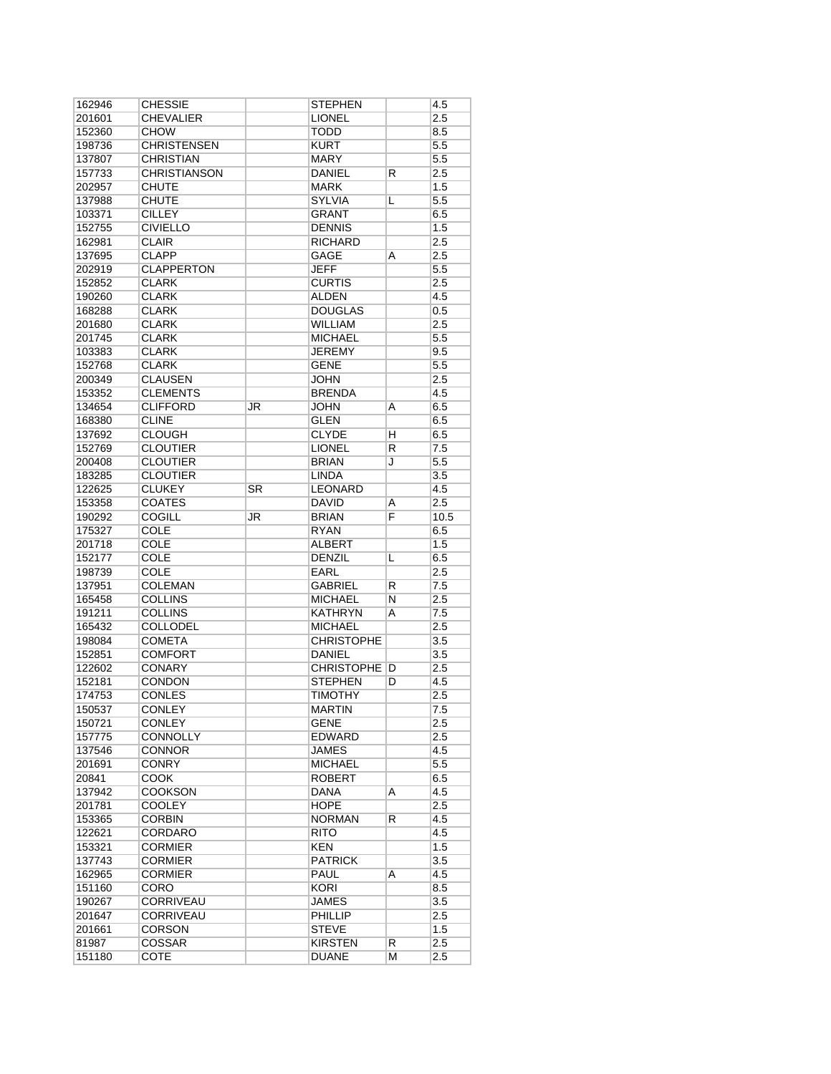| 162946           | <b>CHESSIE</b>      |           | <b>STEPHEN</b>        |        | 4.5        |
|------------------|---------------------|-----------|-----------------------|--------|------------|
| 201601           | <b>CHEVALIER</b>    |           | <b>LIONEL</b>         |        | 2.5        |
| 152360           | <b>CHOW</b>         |           | <b>TODD</b>           |        | 8.5        |
| 198736           | <b>CHRISTENSEN</b>  |           | <b>KURT</b>           |        | 5.5        |
| 137807           | <b>CHRISTIAN</b>    |           | <b>MARY</b>           |        | 5.5        |
| 157733           | <b>CHRISTIANSON</b> |           | <b>DANIEL</b>         | R      | 2.5        |
| 202957           | <b>CHUTE</b>        |           | <b>MARK</b>           |        | 1.5        |
| 137988           | <b>CHUTE</b>        |           | <b>SYLVIA</b>         | L      | 5.5        |
| 103371           | <b>CILLEY</b>       |           | <b>GRANT</b>          |        | 6.5        |
| 152755           | <b>CIVIELLO</b>     |           | <b>DENNIS</b>         |        | 1.5        |
| 162981           | <b>CLAIR</b>        |           | <b>RICHARD</b>        |        | 2.5        |
| 137695           | <b>CLAPP</b>        |           | GAGE                  | A      | 2.5        |
| 202919           | <b>CLAPPERTON</b>   |           | <b>JEFF</b>           |        | 5.5        |
| 152852           | <b>CLARK</b>        |           | <b>CURTIS</b>         |        | 2.5        |
| 190260           | <b>CLARK</b>        |           | <b>ALDEN</b>          |        | 4.5        |
| 168288           | <b>CLARK</b>        |           | <b>DOUGLAS</b>        |        | $0.5\,$    |
| 201680           | <b>CLARK</b>        |           | <b>WILLIAM</b>        |        | 2.5        |
| 201745           | <b>CLARK</b>        |           | <b>MICHAEL</b>        |        | 5.5        |
| 103383           | <b>CLARK</b>        |           | <b>JEREMY</b>         |        | 9.5        |
| 152768           | <b>CLARK</b>        |           | <b>GENE</b>           |        | 5.5        |
| 200349           | <b>CLAUSEN</b>      |           | <b>JOHN</b>           |        | 2.5        |
| 153352           | <b>CLEMENTS</b>     |           | <b>BRENDA</b>         |        | 4.5        |
| 134654           | <b>CLIFFORD</b>     | JR        | JOHN                  | A      | 6.5        |
| 168380           | <b>CLINE</b>        |           | <b>GLEN</b>           |        | 6.5        |
| 137692           | <b>CLOUGH</b>       |           | <b>CLYDE</b>          | н      | 6.5        |
| 152769           | <b>CLOUTIER</b>     |           | <b>LIONEL</b>         | R      | 7.5        |
| 200408           | <b>CLOUTIER</b>     |           | <b>BRIAN</b>          | J      | 5.5        |
|                  | <b>CLOUTIER</b>     |           | <b>LINDA</b>          |        | 3.5        |
| 183285           | <b>CLUKEY</b>       | <b>SR</b> | <b>LEONARD</b>        |        |            |
| 122625<br>153358 | <b>COATES</b>       |           | <b>DAVID</b>          |        | 4.5<br>2.5 |
|                  | COGILL              |           | <b>BRIAN</b>          | Α<br>F |            |
| 190292<br>175327 |                     | JR        |                       |        | 10.5       |
|                  | COLE<br><b>COLE</b> |           | RYAN<br><b>ALBERT</b> |        | 6.5<br>1.5 |
| 201718<br>152177 | <b>COLE</b>         |           | <b>DENZIL</b>         | L      | 6.5        |
|                  | COLE                |           |                       |        |            |
| 198739           |                     |           | EARL                  |        | 2.5        |
| 137951           | <b>COLEMAN</b>      |           | GABRIEL               | R      | 7.5        |
| 165458           | <b>COLLINS</b>      |           | <b>MICHAEL</b>        | N      | 2.5        |
| 191211           | COLLINS             |           | <b>KATHRYN</b>        | A      | 7.5        |
| 165432           | <b>COLLODEL</b>     |           | <b>MICHAEL</b>        |        | 2.5        |
| 198084           | <b>COMETA</b>       |           | <b>CHRISTOPHE</b>     |        | 3.5        |
| 152851           | <b>COMFORT</b>      |           | <b>DANIEL</b>         |        | 3.5        |
| 122602           | <b>CONARY</b>       |           | <b>CHRISTOPHE</b>     | D      | 2.5        |
| 152181           | <b>CONDON</b>       |           | <b>STEPHEN</b>        | D      | 4.5        |
| 174753           | <b>CONLES</b>       |           | <b>TIMOTHY</b>        |        | 2.5        |
| 150537           | CONLEY              |           | <b>MARTIN</b>         |        | 7.5        |
| 150721           | CONLEY              |           | GENE                  |        | 2.5        |
| 157775           | CONNOLLY            |           | <b>EDWARD</b>         |        | 2.5        |
| 137546           | CONNOR              |           | JAMES                 |        | 4.5        |
| 201691           | CONRY               |           | <b>MICHAEL</b>        |        | 5.5        |
| 20841            | <b>COOK</b>         |           | <b>ROBERT</b>         |        | 6.5        |
| 137942           | <b>COOKSON</b>      |           | DANA                  | Α      | 4.5        |
| 201781           | <b>COOLEY</b>       |           | <b>HOPE</b>           |        | 2.5        |
| 153365           | CORBIN              |           | <b>NORMAN</b>         | R      | 4.5        |
| 122621           | CORDARO             |           | RITO                  |        | 4.5        |
| 153321           | <b>CORMIER</b>      |           | <b>KEN</b>            |        | 1.5        |
| 137743           | CORMIER             |           | <b>PATRICK</b>        |        | 3.5        |
| 162965           | <b>CORMIER</b>      |           | PAUL                  | A      | 4.5        |
| 151160           | CORO                |           | <b>KORI</b>           |        | 8.5        |
| 190267           | <b>CORRIVEAU</b>    |           | <b>JAMES</b>          |        | 3.5        |
| 201647           | CORRIVEAU           |           | PHILLIP               |        | 2.5        |
| 201661           | <b>CORSON</b>       |           | STEVE                 |        | 1.5        |
|                  |                     |           |                       |        |            |
| 81987            | <b>COSSAR</b>       |           | <b>KIRSTEN</b>        | R      | 2.5        |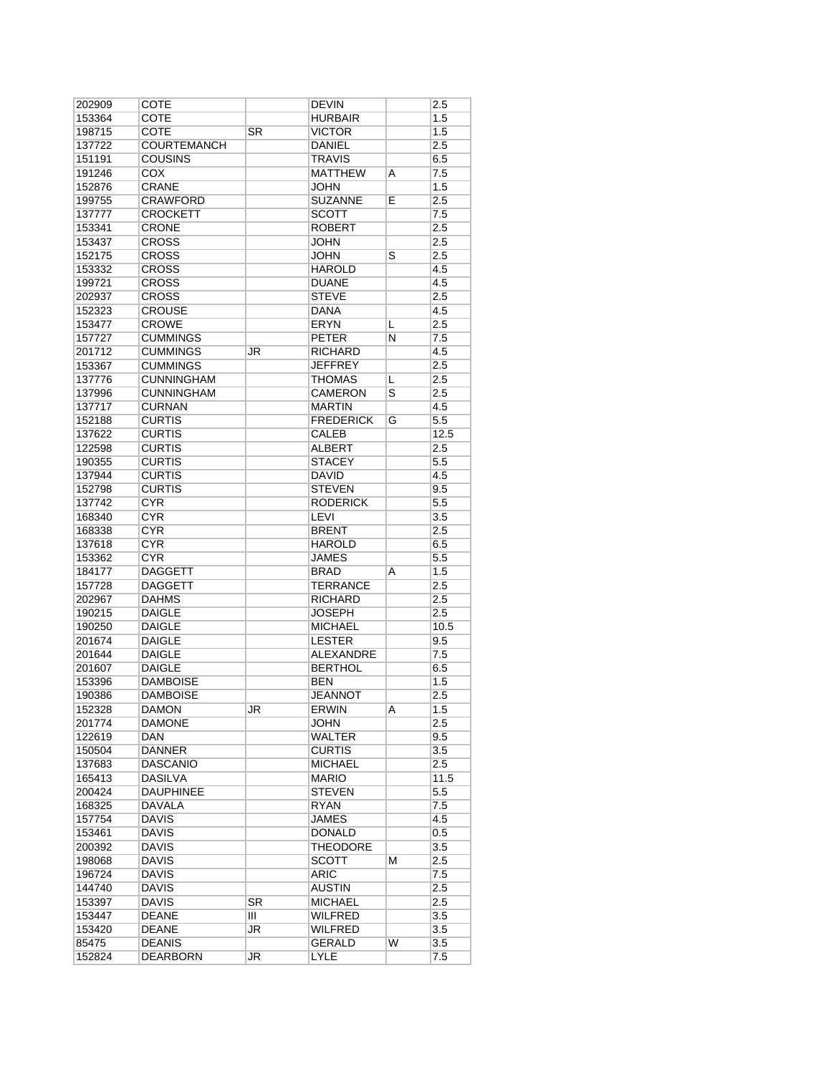| 202909           | <b>COTE</b>        |           | <b>DEVIN</b>     |   | 2.5        |
|------------------|--------------------|-----------|------------------|---|------------|
| 153364           | COTE               |           | <b>HURBAIR</b>   |   | 1.5        |
| 198715           | COTE               | SR        | <b>VICTOR</b>    |   | 1.5        |
| 137722           | <b>COURTEMANCH</b> |           | <b>DANIEL</b>    |   | 2.5        |
| 151191           | <b>COUSINS</b>     |           | <b>TRAVIS</b>    |   | 6.5        |
| 191246           | <b>COX</b>         |           | <b>MATTHEW</b>   | A | 7.5        |
| 152876           | CRANE              |           | <b>JOHN</b>      |   | 1.5        |
| 199755           | <b>CRAWFORD</b>    |           | <b>SUZANNE</b>   | E | 2.5        |
| 137777           | <b>CROCKETT</b>    |           | <b>SCOTT</b>     |   | 7.5        |
| 153341           | <b>CRONE</b>       |           | <b>ROBERT</b>    |   | 2.5        |
| 153437           | <b>CROSS</b>       |           | <b>JOHN</b>      |   | 2.5        |
| 152175           | <b>CROSS</b>       |           | <b>JOHN</b>      | S | 2.5        |
| 153332           | <b>CROSS</b>       |           | <b>HAROLD</b>    |   | 4.5        |
| 199721           | <b>CROSS</b>       |           | <b>DUANE</b>     |   | 4.5        |
| 202937           | <b>CROSS</b>       |           | <b>STEVE</b>     |   | 2.5        |
| 152323           | <b>CROUSE</b>      |           | <b>DANA</b>      |   | 4.5        |
| 153477           | <b>CROWE</b>       |           | <b>ERYN</b>      | L | 2.5        |
| 157727           | <b>CUMMINGS</b>    |           | <b>PETER</b>     | N | 7.5        |
| 201712           | <b>CUMMINGS</b>    | JR        | <b>RICHARD</b>   |   | 4.5        |
| 153367           | <b>CUMMINGS</b>    |           | <b>JEFFREY</b>   |   | 2.5        |
| 137776           | <b>CUNNINGHAM</b>  |           | <b>THOMAS</b>    | L | 2.5        |
| 137996           | <b>CUNNINGHAM</b>  |           | <b>CAMERON</b>   | S | 2.5        |
| 137717           | <b>CURNAN</b>      |           | <b>MARTIN</b>    |   | 4.5        |
| 152188           | <b>CURTIS</b>      |           | <b>FREDERICK</b> | G | 5.5        |
| 137622           | <b>CURTIS</b>      |           | <b>CALEB</b>     |   | 12.5       |
| 122598           | <b>CURTIS</b>      |           | <b>ALBERT</b>    |   | 2.5        |
| 190355           | <b>CURTIS</b>      |           | <b>STACEY</b>    |   | 5.5        |
| 137944           | <b>CURTIS</b>      |           | <b>DAVID</b>     |   | 4.5        |
| 152798           | <b>CURTIS</b>      |           | <b>STEVEN</b>    |   | 9.5        |
| 137742           | <b>CYR</b>         |           | <b>RODERICK</b>  |   | 5.5        |
| 168340           | <b>CYR</b>         |           | LEVI             |   | 3.5        |
| 168338           | <b>CYR</b>         |           | <b>BRENT</b>     |   | 2.5        |
| 137618           | <b>CYR</b>         |           | <b>HAROLD</b>    |   | 6.5        |
| 153362           | <b>CYR</b>         |           | <b>JAMES</b>     |   | 5.5        |
| 184177           | <b>DAGGETT</b>     |           | <b>BRAD</b>      | Α | 1.5        |
| 157728           | <b>DAGGETT</b>     |           | <b>TERRANCE</b>  |   | 2.5        |
| 202967           | <b>DAHMS</b>       |           | <b>RICHARD</b>   |   | 2.5        |
| 190215           | <b>DAIGLE</b>      |           | <b>JOSEPH</b>    |   | 2.5        |
| 190250           | <b>DAIGLE</b>      |           | <b>MICHAEL</b>   |   | 10.5       |
|                  | <b>DAIGLE</b>      |           | <b>LESTER</b>    |   |            |
| 201674<br>201644 | <b>DAIGLE</b>      |           | <b>ALEXANDRE</b> |   | 9.5<br>7.5 |
|                  | <b>DAIGLE</b>      |           | <b>BERTHOL</b>   |   |            |
| 201607           | <b>DAMBOISE</b>    |           |                  |   | 6.5        |
| 153396           | <b>DAMBOISE</b>    |           | <b>BEN</b>       |   | 1.5        |
| 190386           |                    |           | JEANNOT          |   | 2.5        |
| 152328           | DAMON              | JR        | ERWIN            | A | 1.5        |
| 201774           | <b>DAMONE</b>      |           | JOHN             |   | 2.5        |
| 122619           | <b>DAN</b>         |           | <b>WALTER</b>    |   | 9.5        |
| 150504           | <b>DANNER</b>      |           | <b>CURTIS</b>    |   | 3.5        |
| 137683           | <b>DASCANIO</b>    |           | <b>MICHAEL</b>   |   | 2.5        |
| 165413           | <b>DASILVA</b>     |           | <b>MARIO</b>     |   | 11.5       |
| 200424           | <b>DAUPHINEE</b>   |           | <b>STEVEN</b>    |   | $5.5\,$    |
| 168325           | DAVALA             |           | <b>RYAN</b>      |   | 7.5        |
| 157754           | <b>DAVIS</b>       |           | <b>JAMES</b>     |   | 4.5        |
| 153461           | <b>DAVIS</b>       |           | <b>DONALD</b>    |   | 0.5        |
| 200392           | <b>DAVIS</b>       |           | <b>THEODORE</b>  |   | 3.5        |
| 198068           | <b>DAVIS</b>       |           | SCOTT            | М | 2.5        |
| 196724           | <b>DAVIS</b>       |           | ARIC             |   | 7.5        |
| 144740           | <b>DAVIS</b>       |           | <b>AUSTIN</b>    |   | 2.5        |
| 153397           | <b>DAVIS</b>       | <b>SR</b> | <b>MICHAEL</b>   |   | 2.5        |
| 153447           | <b>DEANE</b>       | Ш         | WILFRED          |   | 3.5        |
| 153420           | <b>DEANE</b>       | JR        | WILFRED          |   | 3.5        |
| 85475            | <b>DEANIS</b>      |           | <b>GERALD</b>    | W | 3.5        |
| 152824           | <b>DEARBORN</b>    | <b>JR</b> | <b>LYLE</b>      |   | 7.5        |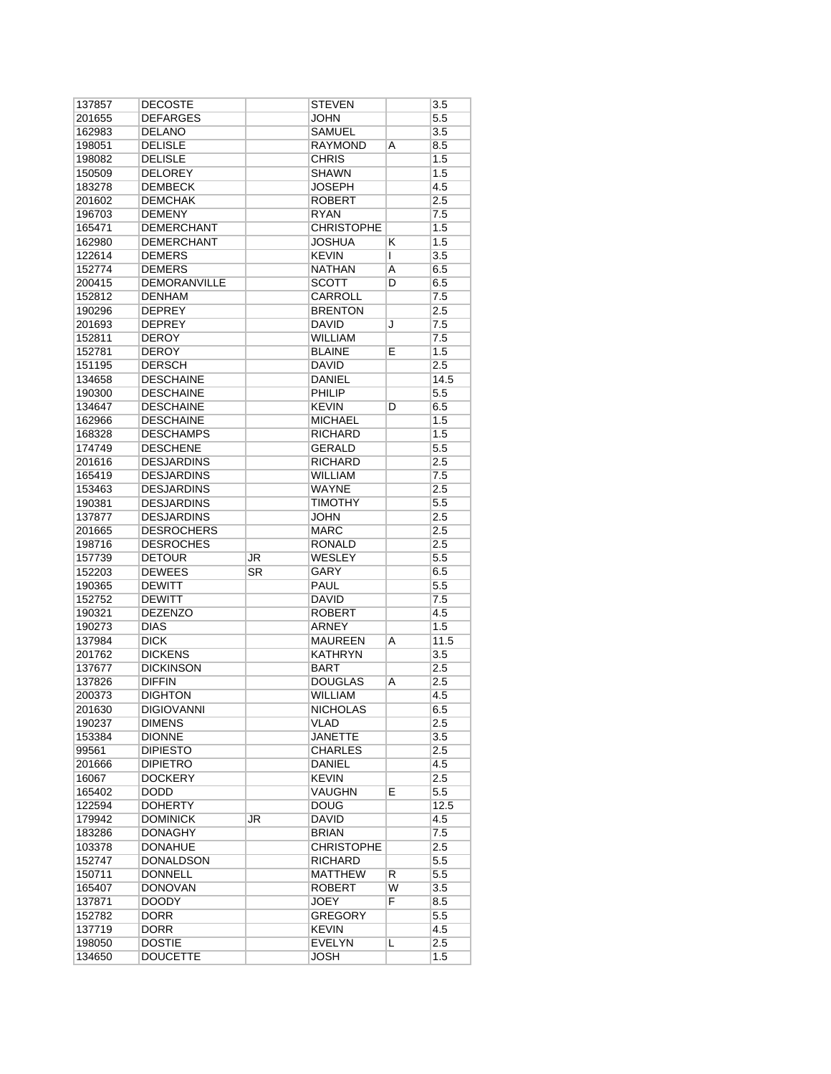| 137857 | DECOSTE             |                        | <b>STEVEN</b>     |                | 3.5     |
|--------|---------------------|------------------------|-------------------|----------------|---------|
| 201655 | <b>DEFARGES</b>     |                        | <b>JOHN</b>       |                | 5.5     |
| 162983 | <b>DELANO</b>       |                        | <b>SAMUEL</b>     |                | 3.5     |
| 198051 | <b>DELISLE</b>      |                        | <b>RAYMOND</b>    | A              | 8.5     |
| 198082 | <b>DELISLE</b>      |                        | <b>CHRIS</b>      |                | 1.5     |
| 150509 | <b>DELOREY</b>      |                        | <b>SHAWN</b>      |                | 1.5     |
| 183278 | <b>DEMBECK</b>      |                        | <b>JOSEPH</b>     |                | 4.5     |
| 201602 | <b>DEMCHAK</b>      |                        | <b>ROBERT</b>     |                | 2.5     |
| 196703 | <b>DEMENY</b>       |                        | <b>RYAN</b>       |                | 7.5     |
| 165471 | DEMERCHANT          |                        | <b>CHRISTOPHE</b> |                | 1.5     |
| 162980 | <b>DEMERCHANT</b>   |                        | <b>JOSHUA</b>     | Κ              | 1.5     |
| 122614 | <b>DEMERS</b>       |                        | <b>KEVIN</b>      |                |         |
|        |                     |                        |                   | L              | 3.5     |
| 152774 | <b>DEMERS</b>       |                        | <b>NATHAN</b>     | A              | 6.5     |
| 200415 | <b>DEMORANVILLE</b> |                        | <b>SCOTT</b>      | D              | 6.5     |
| 152812 | <b>DENHAM</b>       |                        | <b>CARROLL</b>    |                | 7.5     |
| 190296 | <b>DEPREY</b>       |                        | <b>BRENTON</b>    |                | 2.5     |
| 201693 | <b>DEPREY</b>       |                        | <b>DAVID</b>      | J              | 7.5     |
| 152811 | <b>DEROY</b>        |                        | <b>WILLIAM</b>    |                | 7.5     |
| 152781 | DEROY               |                        | <b>BLAINE</b>     | Е              | 1.5     |
| 151195 | <b>DERSCH</b>       |                        | <b>DAVID</b>      |                | 2.5     |
| 134658 | <b>DESCHAINE</b>    |                        | DANIEL            |                | 14.5    |
| 190300 | <b>DESCHAINE</b>    |                        | <b>PHILIP</b>     |                | 5.5     |
| 134647 | <b>DESCHAINE</b>    |                        | <b>KEVIN</b>      | D              | 6.5     |
| 162966 | <b>DESCHAINE</b>    |                        | <b>MICHAEL</b>    |                | 1.5     |
| 168328 | <b>DESCHAMPS</b>    |                        | <b>RICHARD</b>    |                | 1.5     |
| 174749 | <b>DESCHENE</b>     |                        | GERALD            |                | 5.5     |
| 201616 | <b>DESJARDINS</b>   |                        | <b>RICHARD</b>    |                | 2.5     |
|        | <b>DESJARDINS</b>   |                        | <b>WILLIAM</b>    |                |         |
| 165419 |                     |                        |                   |                | 7.5     |
| 153463 | <b>DESJARDINS</b>   |                        | WAYNE             |                | 2.5     |
| 190381 | <b>DESJARDINS</b>   |                        | <b>TIMOTHY</b>    |                | 5.5     |
| 137877 | <b>DESJARDINS</b>   |                        | JOHN              |                | 2.5     |
| 201665 | <b>DESROCHERS</b>   |                        | <b>MARC</b>       |                | 2.5     |
| 198716 | <b>DESROCHES</b>    |                        | <b>RONALD</b>     |                | 2.5     |
| 157739 | <b>DETOUR</b>       | JR                     | <b>WESLEY</b>     |                | 5.5     |
| 152203 | <b>DEWEES</b>       | $\overline{\text{SR}}$ | GARY              |                | 6.5     |
| 190365 | <b>DEWITT</b>       |                        | <b>PAUL</b>       |                | $5.5\,$ |
| 152752 | <b>DEWITT</b>       |                        | <b>DAVID</b>      |                | 7.5     |
| 190321 | <b>DEZENZO</b>      |                        | <b>ROBERT</b>     |                | 4.5     |
| 190273 | <b>DIAS</b>         |                        | ARNEY             |                | 1.5     |
| 137984 | <b>DICK</b>         |                        | <b>MAUREEN</b>    | A              | 11.5    |
| 201762 | <b>DICKENS</b>      |                        | <b>KATHRYN</b>    |                | 3.5     |
| 137677 | <b>DICKINSON</b>    |                        | <b>BART</b>       |                | 2.5     |
| 137826 | <b>DIFFIN</b>       |                        | <b>DOUGLAS</b>    | A              | 2.5     |
| 200373 | <b>DIGHTON</b>      |                        | <b>WILLIAM</b>    |                | 4.5     |
| 201630 | <b>DIGIOVANNI</b>   |                        | <b>NICHOLAS</b>   |                | 6.5     |
| 190237 | <b>DIMENS</b>       |                        | VLAD              |                | 2.5     |
|        |                     |                        |                   |                |         |
| 153384 | <b>DIONNE</b>       |                        | <b>JANETTE</b>    |                | 3.5     |
| 99561  | <b>DIPIESTO</b>     |                        | <b>CHARLES</b>    |                | 2.5     |
| 201666 | <b>DIPIETRO</b>     |                        | DANIEL            |                | 4.5     |
| 16067  | <b>DOCKERY</b>      |                        | <b>KEVIN</b>      |                | 2.5     |
| 165402 | <b>DODD</b>         |                        | <b>VAUGHN</b>     | E              | 5.5     |
| 122594 | <b>DOHERTY</b>      |                        | <b>DOUG</b>       |                | 12.5    |
| 179942 | <b>DOMINICK</b>     | <b>JR</b>              | DAVID             |                | 4.5     |
| 183286 | <b>DONAGHY</b>      |                        | <b>BRIAN</b>      |                | 7.5     |
| 103378 | <b>DONAHUE</b>      |                        | <b>CHRISTOPHE</b> |                | 2.5     |
| 152747 | DONALDSON           |                        | <b>RICHARD</b>    |                | 5.5     |
| 150711 | <b>DONNELL</b>      |                        | <b>MATTHEW</b>    | R              | 5.5     |
| 165407 | <b>DONOVAN</b>      |                        | <b>ROBERT</b>     | $\overline{W}$ | 3.5     |
| 137871 | <b>DOODY</b>        |                        | <b>JOEY</b>       | $\overline{F}$ | 8.5     |
| 152782 | <b>DORR</b>         |                        | <b>GREGORY</b>    |                | 5.5     |
| 137719 | DORR                |                        | <b>KEVIN</b>      |                | 4.5     |
| 198050 | <b>DOSTIE</b>       |                        | <b>EVELYN</b>     | L              | 2.5     |
|        |                     |                        |                   |                |         |
| 134650 | <b>DOUCETTE</b>     |                        | <b>JOSH</b>       |                | 1.5     |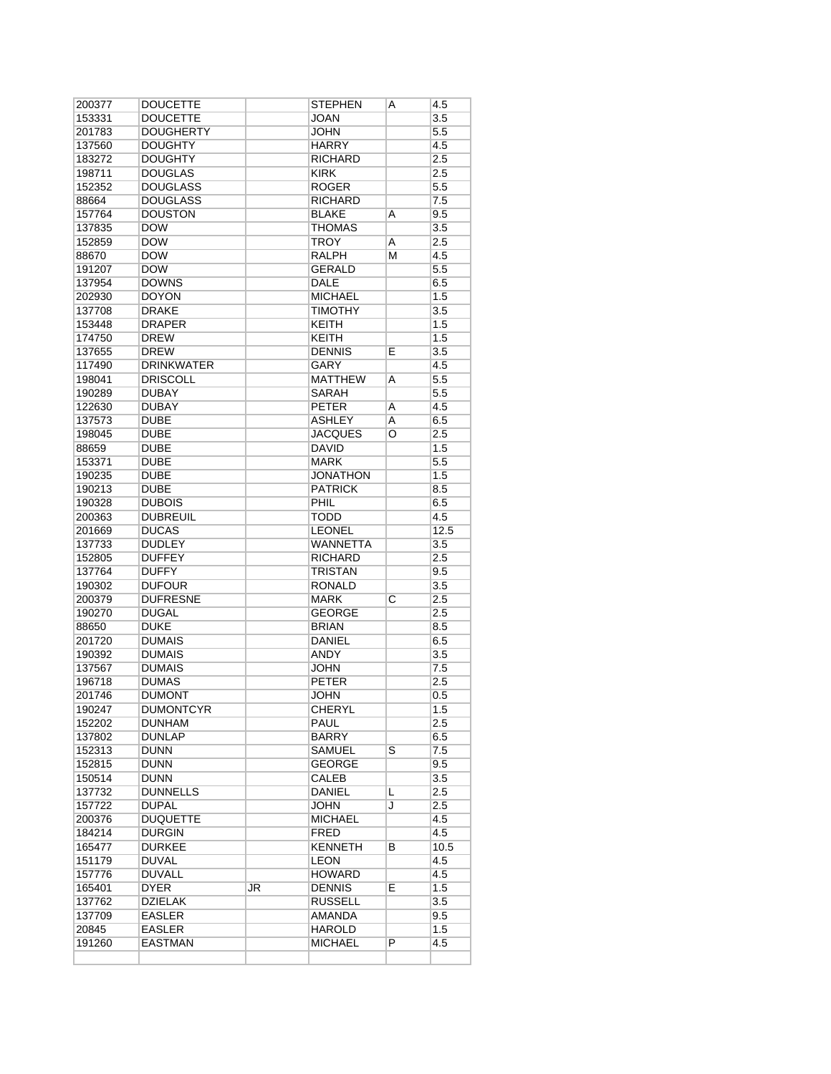| 200377 | <b>DOUCETTE</b>   |    | STEPHEN         | A | 4.5              |
|--------|-------------------|----|-----------------|---|------------------|
| 153331 | <b>DOUCETTE</b>   |    | JOAN            |   | 3.5              |
| 201783 | DOUGHERTY         |    | <b>JOHN</b>     |   | $5.5\,$          |
| 137560 | <b>DOUGHTY</b>    |    | <b>HARRY</b>    |   | 4.5              |
| 183272 | <b>DOUGHTY</b>    |    | <b>RICHARD</b>  |   | 2.5              |
| 198711 | <b>DOUGLAS</b>    |    | <b>KIRK</b>     |   | 2.5              |
| 152352 | <b>DOUGLASS</b>   |    | <b>ROGER</b>    |   | $5.5\,$          |
| 88664  | <b>DOUGLASS</b>   |    | <b>RICHARD</b>  |   | 7.5              |
| 157764 | <b>DOUSTON</b>    |    | <b>BLAKE</b>    | Α | 9.5              |
| 137835 | <b>DOW</b>        |    | <b>THOMAS</b>   |   | 3.5              |
| 152859 | <b>DOW</b>        |    | TROY            | A | 2.5              |
| 88670  | DOW               |    | <b>RALPH</b>    | м | 4.5              |
| 191207 | <b>DOW</b>        |    | <b>GERALD</b>   |   | 5.5              |
| 137954 | <b>DOWNS</b>      |    | <b>DALE</b>     |   | 6.5              |
| 202930 | DOYON             |    | MICHAEL         |   | 1.5              |
| 137708 | <b>DRAKE</b>      |    | <b>TIMOTHY</b>  |   | 3.5              |
| 153448 | <b>DRAPER</b>     |    | <b>KEITH</b>    |   | 1.5              |
|        | <b>DREW</b>       |    | <b>KEITH</b>    |   |                  |
| 174750 |                   |    |                 |   | 1.5              |
| 137655 | <b>DREW</b>       |    | <b>DENNIS</b>   | E | $\overline{3.5}$ |
| 117490 | <b>DRINKWATER</b> |    | GARY            |   | 4.5              |
| 198041 | <b>DRISCOLL</b>   |    | MATTHEW         | A | 5.5              |
| 190289 | <b>DUBAY</b>      |    | <b>SARAH</b>    |   | 5.5              |
| 122630 | <b>DUBAY</b>      |    | <b>PETER</b>    | Α | 4.5              |
| 137573 | <b>DUBE</b>       |    | <b>ASHLEY</b>   | A | 6.5              |
| 198045 | <b>DUBE</b>       |    | <b>JACQUES</b>  | O | 2.5              |
| 88659  | <b>DUBE</b>       |    | DAVID           |   | 1.5              |
| 153371 | <b>DUBE</b>       |    | <b>MARK</b>     |   | 5.5              |
| 190235 | DUBE              |    | <b>JONATHON</b> |   | 1.5              |
| 190213 | <b>DUBE</b>       |    | <b>PATRICK</b>  |   | 8.5              |
| 190328 | <b>DUBOIS</b>     |    | PHIL            |   | 6.5              |
| 200363 | <b>DUBREUIL</b>   |    | <b>TODD</b>     |   | 4.5              |
| 201669 | <b>DUCAS</b>      |    | <b>LEONEL</b>   |   | 12.5             |
| 137733 | <b>DUDLEY</b>     |    | <b>WANNETTA</b> |   | 3.5              |
| 152805 | <b>DUFFEY</b>     |    | <b>RICHARD</b>  |   | 2.5              |
| 137764 | <b>DUFFY</b>      |    | <b>TRISTAN</b>  |   | 9.5              |
| 190302 | <b>DUFOUR</b>     |    | <b>RONALD</b>   |   | 3.5              |
| 200379 | <b>DUFRESNE</b>   |    | <b>MARK</b>     | C | 2.5              |
| 190270 | <b>DUGAL</b>      |    | <b>GEORGE</b>   |   | 2.5              |
| 88650  | <b>DUKE</b>       |    | <b>BRIAN</b>    |   | 8.5              |
| 201720 | <b>DUMAIS</b>     |    | <b>DANIEL</b>   |   | 6.5              |
| 190392 | <b>DUMAIS</b>     |    | ANDY            |   | 3.5              |
| 137567 | <b>DUMAIS</b>     |    | <b>JOHN</b>     |   | 7.5              |
| 196718 | <b>DUMAS</b>      |    | <b>PETER</b>    |   | 2.5              |
| 201746 | <b>DUMONT</b>     |    | JOHN            |   | $0.5\,$          |
| 190247 | <b>DUMONTCYR</b>  |    | <b>CHERYL</b>   |   | 1.5              |
| 152202 | DUNHAM            |    | PAUL            |   | 2.5              |
| 137802 | DUNLAP            |    | BARRY           |   | 6.5              |
| 152313 | DUNN              |    | <b>SAMUEL</b>   | S | 7.5              |
|        | <b>DUNN</b>       |    | <b>GEORGE</b>   |   |                  |
| 152815 |                   |    | <b>CALEB</b>    |   | 9.5              |
| 150514 | DUNN              |    |                 |   | 3.5              |
| 137732 | <b>DUNNELLS</b>   |    | DANIEL          | L | 2.5              |
| 157722 | <b>DUPAL</b>      |    | JOHN            | J | 2.5              |
| 200376 | <b>DUQUETTE</b>   |    | MICHAEL         |   | 4.5              |
| 184214 | DURGIN            |    | FRED            |   | 4.5              |
| 165477 | DURKEE            |    | <b>KENNETH</b>  | в | 10.5             |
| 151179 | <b>DUVAL</b>      |    | <b>LEON</b>     |   | 4.5              |
| 157776 | DUVALL            |    | HOWARD          |   | 4.5              |
| 165401 | DYER              | JR | <b>DENNIS</b>   | Е | 1.5              |
| 137762 | <b>DZIELAK</b>    |    | <b>RUSSELL</b>  |   | 3.5              |
| 137709 | EASLER            |    | AMANDA          |   | 9.5              |
| 20845  | <b>EASLER</b>     |    | <b>HAROLD</b>   |   | 1.5              |
| 191260 | EASTMAN           |    | <b>MICHAEL</b>  | P | 4.5              |
|        |                   |    |                 |   |                  |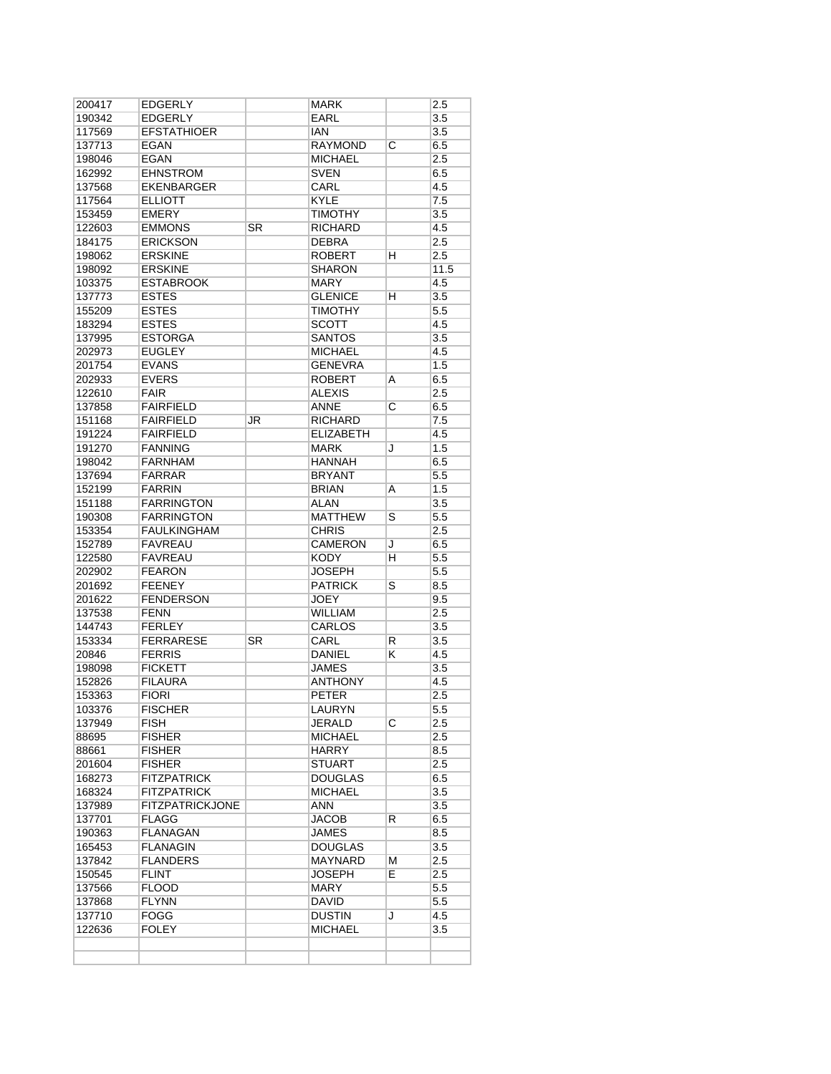| 200417 | <b>EDGERLY</b>         |    | <b>MARK</b>      |                       | 2.5     |
|--------|------------------------|----|------------------|-----------------------|---------|
| 190342 | <b>EDGERLY</b>         |    | <b>EARL</b>      |                       | 3.5     |
| 117569 | <b>EFSTATHIOER</b>     |    | <b>IAN</b>       |                       | 3.5     |
| 137713 | <b>EGAN</b>            |    | <b>RAYMOND</b>   | С                     | 6.5     |
| 198046 | EGAN                   |    | <b>MICHAEL</b>   |                       | 2.5     |
| 162992 | <b>EHNSTROM</b>        |    | <b>SVEN</b>      |                       | 6.5     |
| 137568 | <b>EKENBARGER</b>      |    | CARL             |                       | 4.5     |
|        |                        |    |                  |                       |         |
| 117564 | <b>ELLIOTT</b>         |    | <b>KYLE</b>      |                       | 7.5     |
| 153459 | <b>EMERY</b>           |    | <b>TIMOTHY</b>   |                       | 3.5     |
| 122603 | <b>EMMONS</b>          | SR | <b>RICHARD</b>   |                       | 4.5     |
| 184175 | <b>ERICKSON</b>        |    | <b>DEBRA</b>     |                       | 2.5     |
| 198062 | <b>ERSKINE</b>         |    | <b>ROBERT</b>    | н                     | 2.5     |
| 198092 | <b>ERSKINE</b>         |    | <b>SHARON</b>    |                       | 11.5    |
| 103375 | <b>ESTABROOK</b>       |    | <b>MARY</b>      |                       | 4.5     |
| 137773 | <b>ESTES</b>           |    | <b>GLENICE</b>   | н                     | 3.5     |
| 155209 | <b>ESTES</b>           |    | <b>TIMOTHY</b>   |                       | 5.5     |
| 183294 | <b>ESTES</b>           |    | <b>SCOTT</b>     |                       | 4.5     |
| 137995 | <b>ESTORGA</b>         |    | <b>SANTOS</b>    |                       | 3.5     |
| 202973 | <b>EUGLEY</b>          |    | <b>MICHAEL</b>   |                       | 4.5     |
| 201754 | <b>EVANS</b>           |    | <b>GENEVRA</b>   |                       | 1.5     |
| 202933 | <b>EVERS</b>           |    | ROBERT           | A                     | 6.5     |
|        |                        |    |                  |                       |         |
| 122610 | <b>FAIR</b>            |    | ALEXIS           |                       | 2.5     |
| 137858 | <b>FAIRFIELD</b>       |    | <b>ANNE</b>      | С                     | 6.5     |
| 151168 | <b>FAIRFIELD</b>       | JR | <b>RICHARD</b>   |                       | 7.5     |
| 191224 | <b>FAIRFIELD</b>       |    | <b>ELIZABETH</b> |                       | 4.5     |
| 191270 | <b>FANNING</b>         |    | <b>MARK</b>      | J                     | 1.5     |
| 198042 | <b>FARNHAM</b>         |    | <b>HANNAH</b>    |                       | 6.5     |
| 137694 | <b>FARRAR</b>          |    | <b>BRYANT</b>    |                       | 5.5     |
| 152199 | <b>FARRIN</b>          |    | <b>BRIAN</b>     | A                     | 1.5     |
| 151188 | <b>FARRINGTON</b>      |    | <b>ALAN</b>      |                       | 3.5     |
| 190308 | <b>FARRINGTON</b>      |    | <b>MATTHEW</b>   | S                     | 5.5     |
| 153354 | <b>FAULKINGHAM</b>     |    | <b>CHRIS</b>     |                       | 2.5     |
| 152789 | <b>FAVREAU</b>         |    | <b>CAMERON</b>   | J                     | 6.5     |
| 122580 | FAVREAU                |    | KODY             | н                     | 5.5     |
|        |                        |    |                  |                       | 5.5     |
| 202902 | <b>FEARON</b>          |    | JOSEPH           |                       |         |
| 201692 | <b>FEENEY</b>          |    | <b>PATRICK</b>   | S                     | 8.5     |
| 201622 | <b>FENDERSON</b>       |    | <b>JOEY</b>      |                       | 9.5     |
| 137538 | <b>FENN</b>            |    | <b>WILLIAM</b>   |                       | 2.5     |
| 144743 | <b>FERLEY</b>          |    | <b>CARLOS</b>    |                       | 3.5     |
| 153334 | <b>FERRARESE</b>       | SR | CARL             | R                     | 3.5     |
| 20846  | <b>FERRIS</b>          |    | <b>DANIEL</b>    | κ                     | 4.5     |
| 198098 | <b>FICKETT</b>         |    | JAMES            |                       | 3.5     |
| 152826 | <b>FILAURA</b>         |    | <b>ANTHONY</b>   |                       | 4.5     |
| 153363 | <b>FIORI</b>           |    | <b>PETER</b>     |                       | 2.5     |
| 103376 | <b>FISCHER</b>         |    | LAURYN           |                       | 5.5     |
| 137949 | FISH                   |    | JERALD           | $\overline{\text{c}}$ | 2.5     |
| 88695  | <b>FISHER</b>          |    | <b>MICHAEL</b>   |                       | 2.5     |
| 88661  | <b>FISHER</b>          |    | <b>HARRY</b>     |                       | 8.5     |
|        | <b>FISHER</b>          |    | <b>STUART</b>    |                       | 2.5     |
| 201604 |                        |    |                  |                       |         |
| 168273 | <b>FITZPATRICK</b>     |    | <b>DOUGLAS</b>   |                       | 6.5     |
| 168324 | FITZPATRICK            |    | <b>MICHAEL</b>   |                       | 3.5     |
| 137989 | <b>FITZPATRICKJONE</b> |    | ANN              |                       | 3.5     |
| 137701 | FLAGG                  |    | <b>JACOB</b>     | R                     | 6.5     |
| 190363 | FLANAGAN               |    | <b>JAMES</b>     |                       | 8.5     |
| 165453 | FLANAGIN               |    | <b>DOUGLAS</b>   |                       | 3.5     |
| 137842 | <b>FLANDERS</b>        |    | <b>MAYNARD</b>   | М                     | 2.5     |
| 150545 | FLINT                  |    | <b>JOSEPH</b>    | E                     | 2.5     |
| 137566 | <b>FLOOD</b>           |    | MARY             |                       | $5.5\,$ |
| 137868 | FLYNN                  |    | DAVID            |                       | 5.5     |
| 137710 | FOGG                   |    | DUSTIN           | J                     | 4.5     |
| 122636 | <b>FOLEY</b>           |    | MICHAEL          |                       | 3.5     |
|        |                        |    |                  |                       |         |
|        |                        |    |                  |                       |         |
|        |                        |    |                  |                       |         |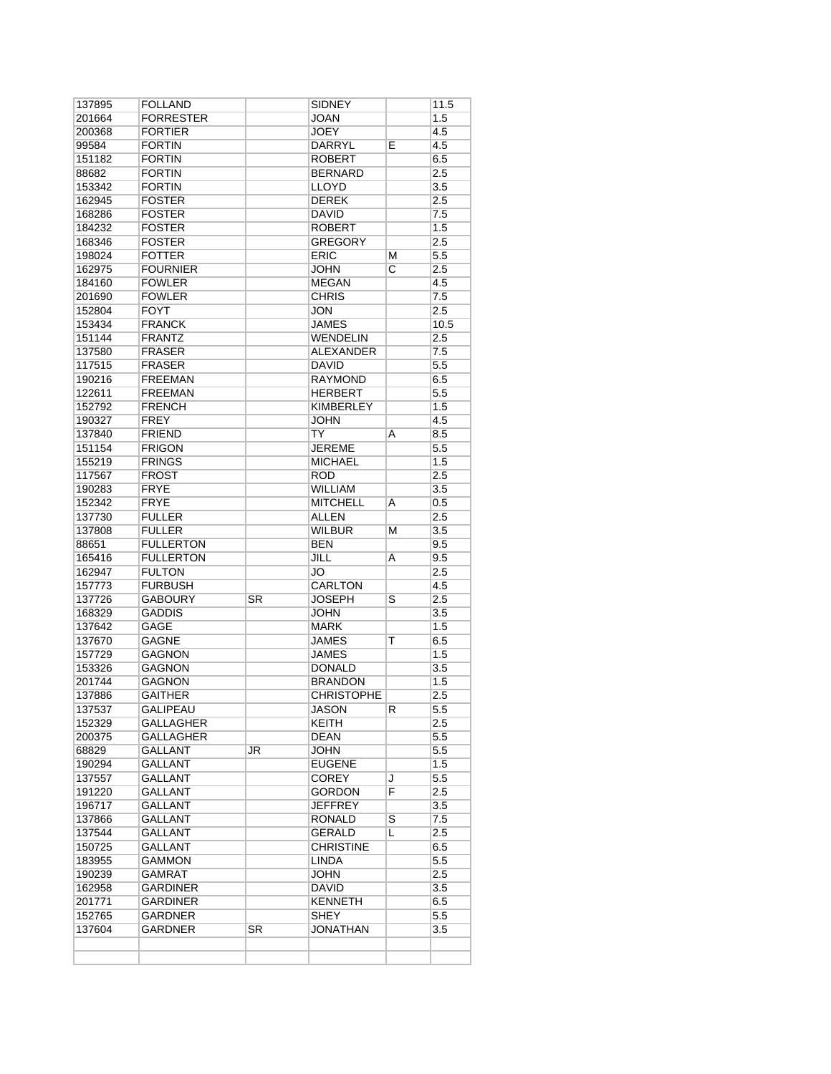| 137895           | <b>FOLLAND</b>            |    | <b>SIDNEY</b>     |                         | 11.5             |
|------------------|---------------------------|----|-------------------|-------------------------|------------------|
| 201664           | <b>FORRESTER</b>          |    | JOAN              |                         | 1.5              |
| 200368           | <b>FORTIER</b>            |    | <b>JOEY</b>       |                         | 4.5              |
| 99584            | <b>FORTIN</b>             |    | DARRYL            | E                       | 4.5              |
| 151182           | <b>FORTIN</b>             |    | <b>ROBERT</b>     |                         | 6.5              |
| 88682            | <b>FORTIN</b>             |    | <b>BERNARD</b>    |                         | 2.5              |
| 153342           | <b>FORTIN</b>             |    | LLOYD             |                         | 3.5              |
| 162945           | <b>FOSTER</b>             |    | <b>DEREK</b>      |                         | 2.5              |
| 168286           | <b>FOSTER</b>             |    | DAVID             |                         | 7.5              |
| 184232           | <b>FOSTER</b>             |    | <b>ROBERT</b>     |                         | 1.5              |
| 168346           | <b>FOSTER</b>             |    | <b>GREGORY</b>    |                         | 2.5              |
| 198024           | <b>FOTTER</b>             |    | <b>ERIC</b>       | М                       | 5.5              |
| 162975           | <b>FOURNIER</b>           |    | JOHN              | $\overline{\mathrm{c}}$ | 2.5              |
| 184160           | <b>FOWLER</b>             |    | <b>MEGAN</b>      |                         | 4.5              |
|                  | <b>FOWLER</b>             |    | <b>CHRIS</b>      |                         | 7.5              |
| 201690           |                           |    |                   |                         |                  |
| 152804           | <b>FOYT</b>               |    | JON               |                         | 2.5              |
| 153434           | <b>FRANCK</b>             |    | JAMES             |                         | 10.5             |
| 151144           | FRANTZ                    |    | <b>WENDELIN</b>   |                         | 2.5              |
| 137580           | <b>FRASER</b>             |    | <b>ALEXANDER</b>  |                         | 7.5              |
| 117515           | <b>FRASER</b>             |    | <b>DAVID</b>      |                         | 5.5              |
| 190216           | <b>FREEMAN</b>            |    | <b>RAYMOND</b>    |                         | 6.5              |
| 122611           | <b>FREEMAN</b>            |    | HERBERT           |                         | $5.5\,$          |
| 152792           | <b>FRENCH</b>             |    | <b>KIMBERLEY</b>  |                         | 1.5              |
| 190327           | <b>FREY</b>               |    | <b>JOHN</b>       |                         | 4.5              |
| 137840           | <b>FRIEND</b>             |    | TY                | Α                       | 8.5              |
| 151154           | <b>FRIGON</b>             |    | <b>JEREME</b>     |                         | 5.5              |
| 155219           | <b>FRINGS</b>             |    | <b>MICHAEL</b>    |                         | 1.5              |
| 117567           | <b>FROST</b>              |    | <b>ROD</b>        |                         | 2.5              |
|                  | <b>FRYE</b>               |    | WILLIAM           |                         | 3.5              |
| 190283           |                           |    |                   |                         |                  |
| 152342           | <b>FRYE</b>               |    | <b>MITCHELL</b>   | A                       | $0.5\,$          |
| 137730           | <b>FULLER</b>             |    | <b>ALLEN</b>      |                         | 2.5              |
| 137808           | <b>FULLER</b>             |    | <b>WILBUR</b>     | м                       | 3.5              |
| 88651            | <b>FULLERTON</b>          |    | <b>BEN</b>        |                         | 9.5              |
| 165416           | <b>FULLERTON</b>          |    | <b>JILL</b>       | A                       | 9.5              |
| 162947           | <b>FULTON</b>             |    | JO                |                         | 2.5              |
| 157773           | <b>FURBUSH</b>            |    | <b>CARLTON</b>    |                         | 4.5              |
| 137726           | <b>GABOURY</b>            | SR | <b>JOSEPH</b>     | S                       | 2.5              |
| 168329           | <b>GADDIS</b>             |    | JOHN              |                         | 3.5              |
| 137642           | GAGE                      |    | <b>MARK</b>       |                         | 1.5              |
| 137670           | <b>GAGNE</b>              |    | <b>JAMES</b>      | Τ                       | 6.5              |
| 157729           | <b>GAGNON</b>             |    | <b>JAMES</b>      |                         | 1.5              |
| 153326           | <b>GAGNON</b>             |    | <b>DONALD</b>     |                         | 3.5              |
| 201744           | GAGNON                    |    | <b>BRANDON</b>    |                         | 1.5              |
| 137886           | <b>GAITHER</b>            |    | <b>CHRISTOPHE</b> |                         | 2.5              |
| 137537           | <b>GALIPEAU</b>           |    | <b>JASON</b>      | к                       | $\overline{5.5}$ |
|                  | GALLAGHER                 |    | KEITH             |                         | 2.5              |
| 152329           |                           |    |                   |                         |                  |
| 200375           | GALLAGHER                 |    | DEAN              |                         | $5.5\,$          |
| 68829            | GALLANT                   | JR | JOHN              |                         | 5.5              |
| 190294           | <b>GALLANT</b>            |    | <b>EUGENE</b>     |                         | 1.5              |
| 137557           | GALLANT                   |    | <b>COREY</b>      | J                       | $5.5\,$          |
| 191220           | <b>GALLANT</b>            |    | <b>GORDON</b>     | F                       | 2.5              |
| 196717           | <b>GALLANT</b>            |    | <b>JEFFREY</b>    |                         | 3.5              |
| 137866           | GALLANT                   |    | RONALD            | S                       | 7.5              |
| 137544           | GALLANT                   |    | GERALD            | L                       | 2.5              |
| 150725           | GALLANT                   |    | <b>CHRISTINE</b>  |                         | 6.5              |
| 183955           | GAMMON                    |    | <b>LINDA</b>      |                         | 5.5              |
| 190239           | <b>GAMRAT</b>             |    | JOHN              |                         | 2.5              |
| 162958           | <b>GARDINER</b>           |    | DAVID             |                         | 3.5              |
| 201771           | <b>GARDINER</b>           |    | KENNETH           |                         | 6.5              |
|                  |                           |    |                   |                         | 5.5              |
|                  |                           |    |                   |                         |                  |
| 152765<br>137604 | GARDNER<br><b>GARDNER</b> | SR | SHEY<br>JONATHAN  |                         | 3.5              |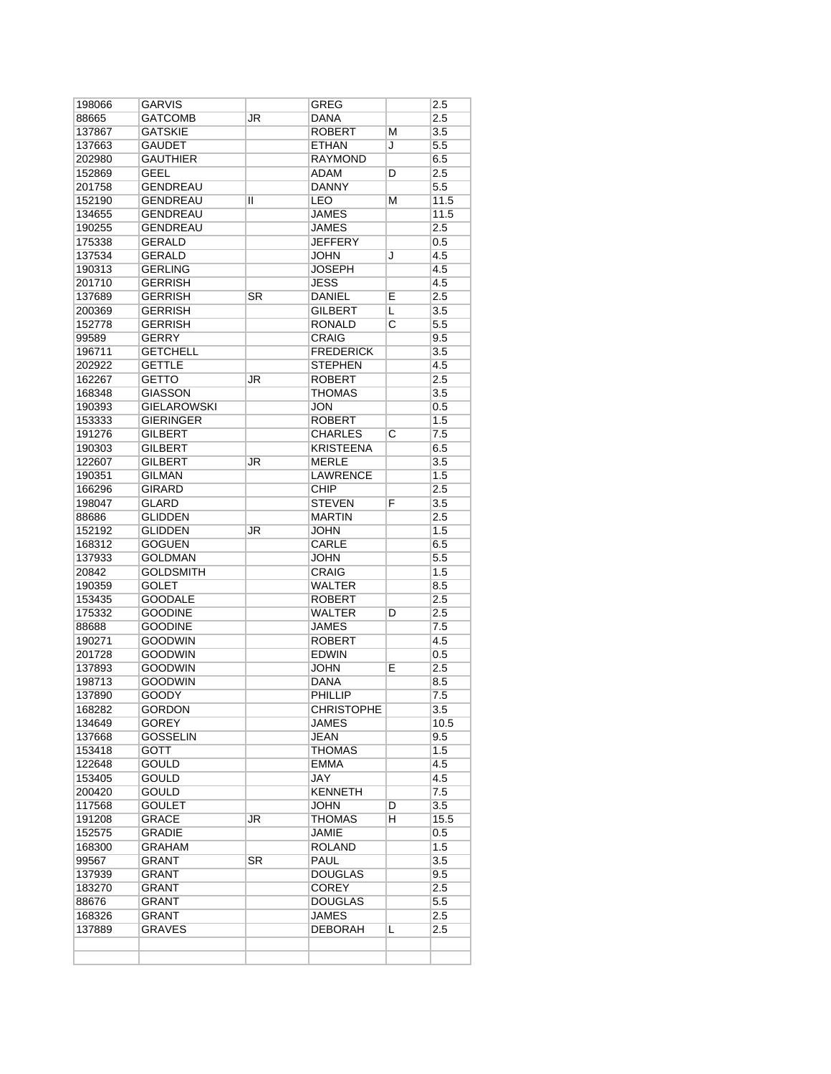| 198066                    | GARVIS             |           | GREG              |   | 2.5              |
|---------------------------|--------------------|-----------|-------------------|---|------------------|
| 88665                     | <b>GATCOMB</b>     | JR        | DANA              |   | 2.5              |
| 137867                    | GATSKIE            |           | <b>ROBERT</b>     | М | 3.5              |
| 137663                    | GAUDET             |           | ETHAN             | J | 5.5              |
| 202980                    | <b>GAUTHIER</b>    |           | <b>RAYMOND</b>    |   | 6.5              |
| 152869                    | <b>GEEL</b>        |           | ADAM              | D | 2.5              |
| 201758                    | <b>GENDREAU</b>    |           | <b>DANNY</b>      |   | 5.5              |
| 152190                    | GENDREAU           | Ш         | <b>LEO</b>        | м | 11.5             |
| 134655                    | <b>GENDREAU</b>    |           | <b>JAMES</b>      |   | 11.5             |
|                           |                    |           |                   |   |                  |
| 190255                    | <b>GENDREAU</b>    |           | <b>JAMES</b>      |   | 2.5              |
| 175338                    | <b>GERALD</b>      |           | <b>JEFFERY</b>    |   | 0.5              |
| 137534                    | GERALD             |           | JOHN              | J | 4.5              |
| 190313                    | <b>GERLING</b>     |           | <b>JOSEPH</b>     |   | 4.5              |
| 201710                    | <b>GERRISH</b>     |           | <b>JESS</b>       |   | 4.5              |
| 137689                    | <b>GERRISH</b>     | SR        | <b>DANIEL</b>     | E | 2.5              |
| 200369                    | <b>GERRISH</b>     |           | GILBERT           | L | 3.5              |
| 152778                    | <b>GERRISH</b>     |           | RONALD            | С | 5.5              |
| 99589                     | <b>GERRY</b>       |           | <b>CRAIG</b>      |   | 9.5              |
| 196711                    | <b>GETCHELL</b>    |           | <b>FREDERICK</b>  |   | 3.5              |
| 202922                    | <b>GETTLE</b>      |           | <b>STEPHEN</b>    |   | 4.5              |
| 162267                    |                    |           | <b>ROBERT</b>     |   | 2.5              |
|                           | GETTO              | JR        |                   |   |                  |
| 168348                    | <b>GIASSON</b>     |           | <b>THOMAS</b>     |   | 3.5              |
| 190393                    | <b>GIELAROWSKI</b> |           | <b>JON</b>        |   | 0.5              |
| 153333                    | <b>GIERINGER</b>   |           | <b>ROBERT</b>     |   | 1.5              |
| 191276                    | <b>GILBERT</b>     |           | CHARLES           | С | 7.5              |
| 190303                    | GILBERT            |           | <b>KRISTEENA</b>  |   | 6.5              |
| 122607                    | <b>GILBERT</b>     | JR        | <b>MERLE</b>      |   | 3.5              |
| 190351                    | GILMAN             |           | <b>LAWRENCE</b>   |   | 1.5              |
| 166296                    | <b>GIRARD</b>      |           | <b>CHIP</b>       |   | 2.5              |
| 198047                    | <b>GLARD</b>       |           | <b>STEVEN</b>     | F | 3.5              |
| 88686                     | <b>GLIDDEN</b>     |           | <b>MARTIN</b>     |   | 2.5              |
| 152192                    | <b>GLIDDEN</b>     | JR        | <b>JOHN</b>       |   | 1.5              |
| 168312                    |                    |           |                   |   | 6.5              |
|                           | GOGUEN             |           | CARLE             |   |                  |
| 137933                    | <b>GOLDMAN</b>     |           | JOHN              |   | 5.5              |
| 20842                     | <b>GOLDSMITH</b>   |           | <b>CRAIG</b>      |   | 1.5              |
| 190359                    | <b>GOLET</b>       |           | <b>WALTER</b>     |   | 8.5              |
| 153435                    | <b>GOODALE</b>     |           | <b>ROBERT</b>     |   | 2.5              |
| 175332                    | <b>GOODINE</b>     |           | <b>WALTER</b>     | D | 2.5              |
| 88688                     | <b>GOODINE</b>     |           | <b>JAMES</b>      |   | 7.5              |
| 190271                    | GOODWIN            |           | <b>ROBERT</b>     |   | 4.5              |
| 201728                    | <b>GOODWIN</b>     |           | <b>EDWIN</b>      |   | 0.5              |
| 137893                    | <b>GOODWIN</b>     |           | JOHN              | Е | 2.5              |
| 198713                    | <b>GOODWIN</b>     |           | <b>DANA</b>       |   | 8.5              |
| 137890                    | GOODY              |           | <b>PHILLIP</b>    |   | 7.5              |
| 168282                    | <b>GORDON</b>      |           | <b>CHRISTOPHE</b> |   | $\overline{3.5}$ |
| 134649                    | GOREY              |           | JAMES             |   | 10.5             |
|                           |                    |           |                   |   |                  |
| 137668                    | <b>GOSSELIN</b>    |           | JEAN              |   | 9.5              |
| 153418                    | GOTT               |           | <b>THOMAS</b>     |   | 1.5              |
| 122648                    | GOULD              |           | EMMA              |   | 4.5              |
| 153405                    | <b>GOULD</b>       |           | JAY               |   | 4.5              |
| 200420                    | <b>GOULD</b>       |           | KENNETH           |   | 7.5              |
| 117568                    | <b>GOULET</b>      |           | JOHN              | D | 3.5              |
| 191208                    | GRACE              | JR        | THOMAS            | н | 15.5             |
| 152575                    | GRADIE             |           | <b>JAMIE</b>      |   | 0.5              |
| 168300                    | GRAHAM             |           | <b>ROLAND</b>     |   | 1.5              |
| 99567                     | GRANT              | <b>SR</b> | PAUL              |   | 3.5              |
| 137939                    | <b>GRANT</b>       |           | DOUGLAS           |   | 9.5              |
|                           |                    |           |                   |   |                  |
|                           | GRANT              |           | <b>COREY</b>      |   | 2.5              |
| 183270                    |                    |           | DOUGLAS           |   | 5.5              |
|                           | GRANT              |           |                   |   |                  |
| 88676<br>168326<br>137889 | GRANT<br>GRAVES    |           | JAMES<br>DEBORAH  | Г | 2.5<br>2.5       |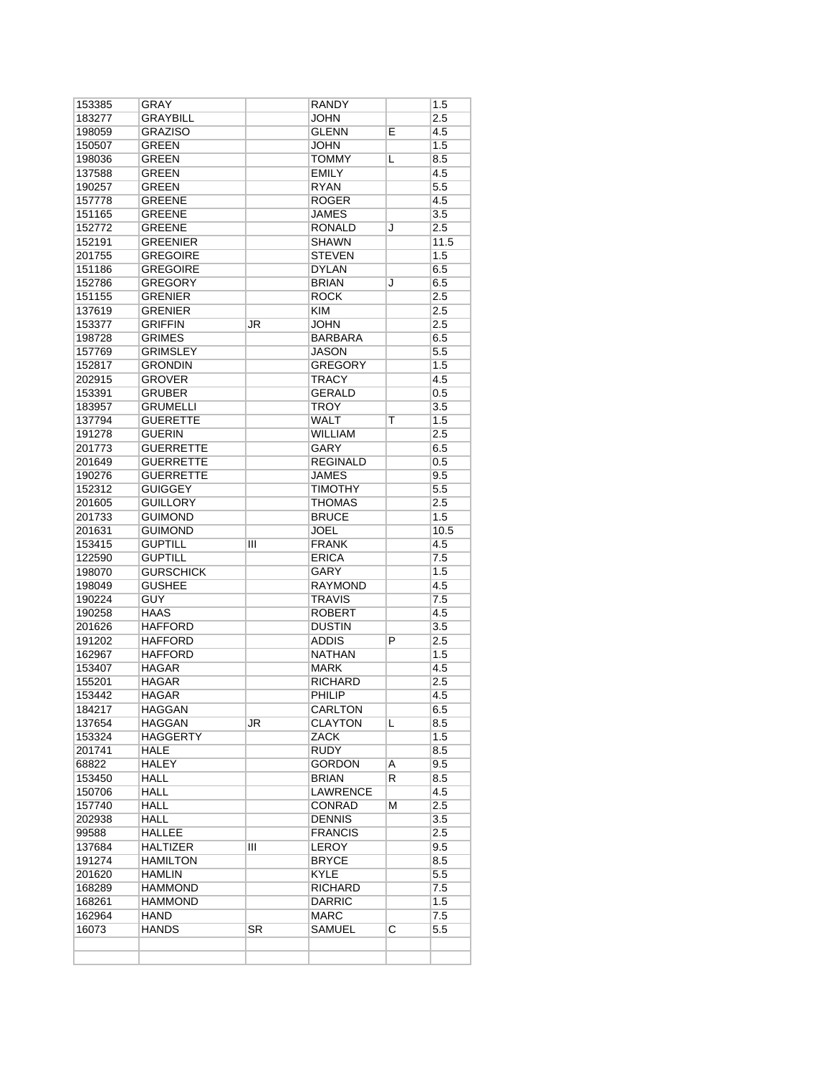| 153385 | GRAY             |                        | RANDY           |                    | 1.5              |
|--------|------------------|------------------------|-----------------|--------------------|------------------|
| 183277 | GRAYBILL         |                        | JOHN            |                    | 2.5              |
| 198059 | <b>GRAZISO</b>   |                        | <b>GLENN</b>    | Е                  | 4.5              |
| 150507 | <b>GREEN</b>     |                        | <b>JOHN</b>     |                    | 1.5              |
| 198036 | GREEN            |                        | <b>TOMMY</b>    | L                  | 8.5              |
| 137588 | <b>GREEN</b>     |                        | <b>EMILY</b>    |                    | 4.5              |
| 190257 | GREEN            |                        | <b>RYAN</b>     |                    | 5.5              |
| 157778 | <b>GREENE</b>    |                        | <b>ROGER</b>    |                    | 4.5              |
| 151165 | <b>GREENE</b>    |                        | <b>JAMES</b>    |                    | $\overline{3.5}$ |
| 152772 | <b>GREENE</b>    |                        | RONALD          | J                  | 2.5              |
| 152191 | <b>GREENIER</b>  |                        | <b>SHAWN</b>    |                    | 11.5             |
| 201755 | <b>GREGOIRE</b>  |                        | <b>STEVEN</b>   |                    | 1.5              |
| 151186 | <b>GREGOIRE</b>  |                        | <b>DYLAN</b>    |                    | 6.5              |
| 152786 | <b>GREGORY</b>   |                        | <b>BRIAN</b>    | J                  | 6.5              |
| 151155 | GRENIER          |                        | <b>ROCK</b>     |                    | 2.5              |
| 137619 | <b>GRENIER</b>   |                        | <b>KIM</b>      |                    | 2.5              |
| 153377 | <b>GRIFFIN</b>   | JR                     | <b>JOHN</b>     |                    | 2.5              |
| 198728 | <b>GRIMES</b>    |                        | <b>BARBARA</b>  |                    | 6.5              |
| 157769 | <b>GRIMSLEY</b>  |                        | JASON           |                    | 5.5              |
| 152817 | <b>GRONDIN</b>   |                        | <b>GREGORY</b>  |                    | 1.5              |
| 202915 | GROVER           |                        | <b>TRACY</b>    |                    | 4.5              |
| 153391 | <b>GRUBER</b>    |                        | <b>GERALD</b>   |                    | 0.5              |
|        |                  |                        |                 |                    |                  |
| 183957 | <b>GRUMELLI</b>  |                        | TROY            |                    | 3.5              |
| 137794 | <b>GUERETTE</b>  |                        | <b>WALT</b>     | т                  | 1.5              |
| 191278 | <b>GUERIN</b>    |                        | <b>WILLIAM</b>  |                    | 2.5              |
| 201773 | <b>GUERRETTE</b> |                        | GARY            |                    | 6.5              |
| 201649 | <b>GUERRETTE</b> |                        | <b>REGINALD</b> |                    | $0.5\,$          |
| 190276 | <b>GUERRETTE</b> |                        | JAMES           |                    | 9.5              |
| 152312 | <b>GUIGGEY</b>   |                        | <b>TIMOTHY</b>  |                    | 5.5              |
| 201605 | <b>GUILLORY</b>  |                        | <b>THOMAS</b>   |                    | 2.5              |
| 201733 | <b>GUIMOND</b>   |                        | <b>BRUCE</b>    |                    | 1.5              |
| 201631 | <b>GUIMOND</b>   |                        | <b>JOEL</b>     |                    | 10.5             |
| 153415 | <b>GUPTILL</b>   | Ш                      | <b>FRANK</b>    |                    | 4.5              |
| 122590 | <b>GUPTILL</b>   |                        | <b>ERICA</b>    |                    | 7.5              |
| 198070 | <b>GURSCHICK</b> |                        | <b>GARY</b>     |                    | 1.5              |
| 198049 | <b>GUSHEE</b>    |                        | RAYMOND         |                    | 4.5              |
| 190224 | <b>GUY</b>       |                        | <b>TRAVIS</b>   |                    | 7.5              |
| 190258 | <b>HAAS</b>      |                        | <b>ROBERT</b>   |                    | 4.5              |
| 201626 | <b>HAFFORD</b>   |                        | <b>DUSTIN</b>   |                    | 3.5              |
| 191202 | HAFFORD          |                        | <b>ADDIS</b>    | P                  | 2.5              |
| 162967 | <b>HAFFORD</b>   |                        | <b>NATHAN</b>   |                    | 1.5              |
| 153407 | <b>HAGAR</b>     |                        | <b>MARK</b>     |                    | 4.5              |
| 155201 | HAGAR            |                        | <b>RICHARD</b>  |                    | 2.5              |
| 153442 | HAGAR            |                        | PHILIP          |                    | 4.5              |
| 184217 | <b>HAGGAN</b>    |                        | <b>CARLTON</b>  |                    | 6.5              |
| 137654 | <b>HAGGAN</b>    | JR                     | <b>CLAYTON</b>  | L                  | 8.5              |
| 153324 | HAGGERTY         |                        | ZACK            |                    | 1.5              |
| 201741 | HALE             |                        | RUDY            |                    | 8.5              |
| 68822  | HALEY            |                        | <b>GORDON</b>   | Α                  | 9.5              |
| 153450 | <b>HALL</b>      |                        | BRIAN           | R                  | 8.5              |
| 150706 | HALL             |                        | LAWRENCE        |                    | 4.5              |
| 157740 | HALL             |                        | CONRAD          | М                  | 2.5              |
| 202938 | HALL             |                        | <b>DENNIS</b>   |                    | 3.5              |
| 99588  | <b>HALLEE</b>    |                        | <b>FRANCIS</b>  |                    | 2.5              |
| 137684 | HALTIZER         | Ш                      | <b>LEROY</b>    |                    | 9.5              |
| 191274 | <b>HAMILTON</b>  |                        | <b>BRYCE</b>    |                    | 8.5              |
| 201620 | HAMLIN           |                        | <b>KYLE</b>     |                    | 5.5              |
| 168289 | HAMMOND          |                        | RICHARD         |                    | 7.5              |
| 168261 | HAMMOND          |                        | <b>DARRIC</b>   |                    | 1.5              |
| 162964 | HAND             |                        | MARC            |                    | 7.5              |
| 16073  | <b>HANDS</b>     | $\overline{\text{SR}}$ | SAMUEL          | $\overline{\rm c}$ | $5.5\,$          |
|        |                  |                        |                 |                    |                  |
|        |                  |                        |                 |                    |                  |
|        |                  |                        |                 |                    |                  |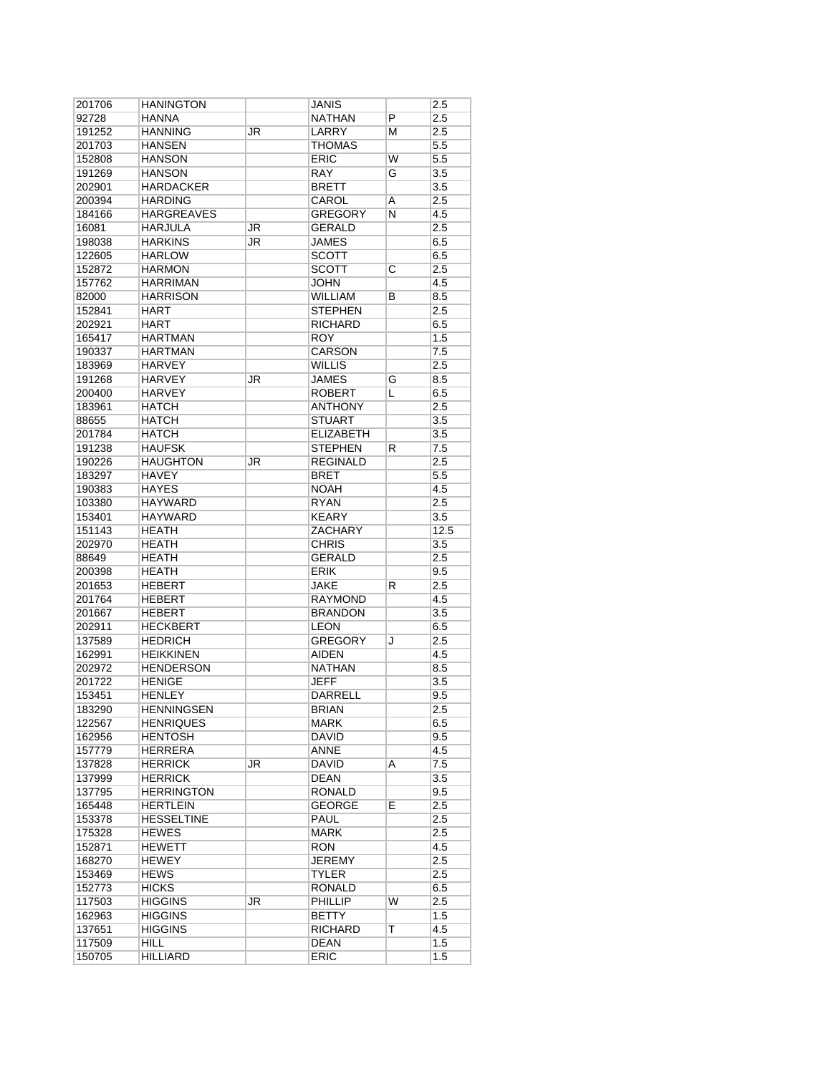| 201706           | HANINGTON                |    | JANIS                      |    | 2.5        |
|------------------|--------------------------|----|----------------------------|----|------------|
| 92728            | <b>HANNA</b>             |    | <b>NATHAN</b>              | Ρ  | 2.5        |
| 191252           | <b>HANNING</b>           | JR | LARRY                      | М  | 2.5        |
| 201703           | <b>HANSEN</b>            |    | <b>THOMAS</b>              |    | 5.5        |
| 152808           | <b>HANSON</b>            |    | <b>ERIC</b>                | W  | 5.5        |
| 191269           | <b>HANSON</b>            |    | <b>RAY</b>                 | G  | 3.5        |
| 202901           | <b>HARDACKER</b>         |    | <b>BRETT</b>               |    | 3.5        |
| 200394           | <b>HARDING</b>           |    | CAROL                      | A  | 2.5        |
| 184166           | <b>HARGREAVES</b>        |    | <b>GREGORY</b>             | N  | 4.5        |
| 16081            | HARJULA                  | JR | <b>GERALD</b>              |    | 2.5        |
| 198038           | <b>HARKINS</b>           | JR | JAMES                      |    | 6.5        |
| 122605           | <b>HARLOW</b>            |    | <b>SCOTT</b>               |    | 6.5        |
|                  |                          |    |                            |    |            |
| 152872           | <b>HARMON</b>            |    | <b>SCOTT</b>               | С  | 2.5        |
| 157762           | <b>HARRIMAN</b>          |    | <b>JOHN</b>                |    | 4.5        |
| 82000            | <b>HARRISON</b>          |    | <b>WILLIAM</b>             | В  | 8.5        |
| 152841           | <b>HART</b>              |    | <b>STEPHEN</b>             |    | 2.5        |
| 202921           | <b>HART</b>              |    | <b>RICHARD</b>             |    | 6.5        |
| 165417           | <b>HARTMAN</b>           |    | <b>ROY</b>                 |    | 1.5        |
| 190337           | <b>HARTMAN</b>           |    | CARSON                     |    | 7.5        |
| 183969           | <b>HARVEY</b>            |    | WILLIS                     |    | 2.5        |
| 191268           | <b>HARVEY</b>            | JR | <b>JAMES</b>               | G  | 8.5        |
| 200400           | <b>HARVEY</b>            |    | <b>ROBERT</b>              | L  | 6.5        |
| 183961           | <b>HATCH</b>             |    | <b>ANTHONY</b>             |    | 2.5        |
| 88655            | <b>HATCH</b>             |    | <b>STUART</b>              |    | 3.5        |
| 201784           | <b>HATCH</b>             |    | <b>ELIZABETH</b>           |    | 3.5        |
| 191238           | <b>HAUFSK</b>            |    | <b>STEPHEN</b>             | R  | 7.5        |
| 190226           | <b>HAUGHTON</b>          | JR | <b>REGINALD</b>            |    | 2.5        |
| 183297           | <b>HAVEY</b>             |    | <b>BRET</b>                |    | 5.5        |
| 190383           | <b>HAYES</b>             |    | <b>NOAH</b>                |    | 4.5        |
| 103380           | <b>HAYWARD</b>           |    | <b>RYAN</b>                |    | 2.5        |
| 153401           | <b>HAYWARD</b>           |    | <b>KEARY</b>               |    | 3.5        |
|                  | <b>HEATH</b>             |    |                            |    |            |
| 151143           |                          |    | ZACHARY                    |    | 12.5       |
| 202970           | <b>HEATH</b>             |    | <b>CHRIS</b>               |    | 3.5        |
| 88649            | <b>HEATH</b>             |    | <b>GERALD</b>              |    | 2.5        |
| 200398           | <b>HEATH</b>             |    | <b>ERIK</b>                |    | 9.5        |
| 201653           | <b>HEBERT</b>            |    | <b>JAKE</b>                | R  | 2.5        |
| 201764           | <b>HEBERT</b>            |    | <b>RAYMOND</b>             |    | 4.5        |
| 201667           | <b>HEBERT</b>            |    | <b>BRANDON</b>             |    | 3.5        |
| 202911           | <b>HECKBERT</b>          |    | <b>LEON</b>                |    | 6.5        |
| 137589           | <b>HEDRICH</b>           |    | <b>GREGORY</b>             | J  | 2.5        |
| 162991           | <b>HEIKKINEN</b>         |    | <b>AIDEN</b>               |    | 4.5        |
| 202972           | <b>HENDERSON</b>         |    | <b>NATHAN</b>              |    | 8.5        |
| 201722           | <b>HENIGE</b>            |    | <b>JEFF</b>                |    | 3.5        |
| 153451           | <b>HENLEY</b>            |    | <b>DARRELL</b>             |    | 9.5        |
| 183290           | <b>HENNINGSEN</b>        |    | <b>BRIAN</b>               |    | 2.5        |
| 122567           | <b>HENRIQUES</b>         |    | <b>MARK</b>                |    | 6.5        |
| 162956           | <b>HENTOSH</b>           |    | <b>DAVID</b>               |    | 9.5        |
| 157779           | HERRERA                  |    | ANNE                       |    | 4.5        |
| 137828           | <b>HERRICK</b>           | JR | DAVID                      | A  | 7.5        |
| 137999           | <b>HERRICK</b>           |    | <b>DEAN</b>                |    | 3.5        |
| 137795           | <b>HERRINGTON</b>        |    | <b>RONALD</b>              |    | 9.5        |
| 165448           | <b>HERTLEIN</b>          |    | <b>GEORGE</b>              | E. | 2.5        |
| 153378           | <b>HESSELTINE</b>        |    | PAUL                       |    | 2.5        |
| 175328           | HEWES                    |    | MARK                       |    | 2.5        |
| 152871           | <b>HEWETT</b>            |    | <b>RON</b>                 |    | 4.5        |
|                  |                          |    |                            |    |            |
| 168270           | HEWEY                    |    | <b>JEREMY</b>              |    | 2.5        |
| 153469           | <b>HEWS</b>              |    | TYLER                      |    | 2.5        |
| 152773           | <b>HICKS</b>             |    | RONALD                     |    | 6.5        |
| 117503           | <b>HIGGINS</b>           | JR | <b>PHILLIP</b>             | W  | 2.5        |
| 162963           |                          |    | <b>BETTY</b>               |    | 1.5        |
|                  | <b>HIGGINS</b>           |    |                            |    |            |
| 137651           | <b>HIGGINS</b>           |    | <b>RICHARD</b>             | т  | 4.5        |
| 117509<br>150705 | HILL.<br><b>HILLIARD</b> |    | <b>DEAN</b><br><b>ERIC</b> |    | 1.5<br>1.5 |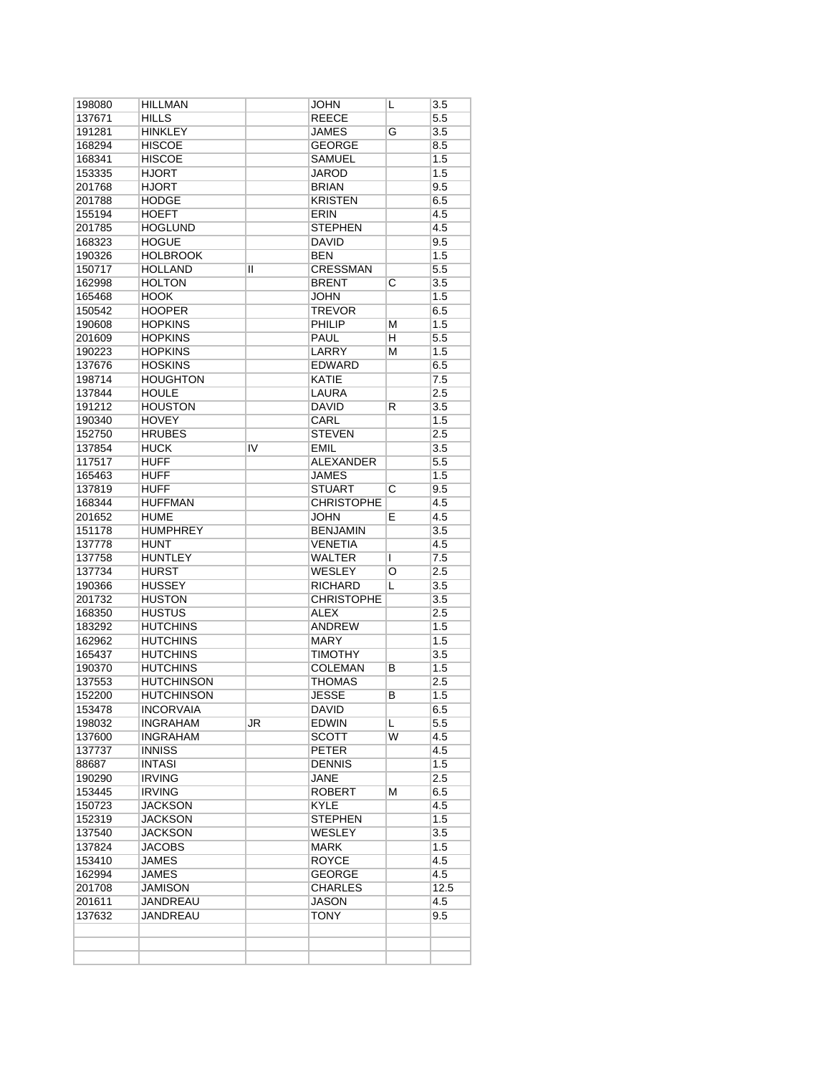| 198080 | <b>HILLMAN</b>    |    | <b>JOHN</b>       | L | 3.5  |
|--------|-------------------|----|-------------------|---|------|
| 137671 | HILLS             |    | REECE             |   | 5.5  |
| 191281 | <b>HINKLEY</b>    |    | JAMES             | G | 3.5  |
| 168294 | <b>HISCOE</b>     |    | <b>GEORGE</b>     |   | 8.5  |
| 168341 | <b>HISCOE</b>     |    | <b>SAMUEL</b>     |   | 1.5  |
| 153335 | <b>HJORT</b>      |    | <b>JAROD</b>      |   | 1.5  |
| 201768 | <b>HJORT</b>      |    | <b>BRIAN</b>      |   | 9.5  |
| 201788 | <b>HODGE</b>      |    | <b>KRISTEN</b>    |   | 6.5  |
| 155194 | <b>HOEFT</b>      |    | <b>ERIN</b>       |   | 4.5  |
| 201785 | <b>HOGLUND</b>    |    | <b>STEPHEN</b>    |   | 4.5  |
| 168323 | <b>HOGUE</b>      |    | DAVID             |   | 9.5  |
| 190326 | <b>HOLBROOK</b>   |    | <b>BEN</b>        |   | 1.5  |
| 150717 | <b>HOLLAND</b>    | Ш  | <b>CRESSMAN</b>   |   | 5.5  |
| 162998 | <b>HOLTON</b>     |    | <b>BRENT</b>      | С | 3.5  |
| 165468 | <b>HOOK</b>       |    | <b>JOHN</b>       |   | 1.5  |
| 150542 | <b>HOOPER</b>     |    | <b>TREVOR</b>     |   | 6.5  |
|        |                   |    |                   |   |      |
| 190608 | <b>HOPKINS</b>    |    | PHILIP            | М | 1.5  |
| 201609 | <b>HOPKINS</b>    |    | PAUL              | н | 5.5  |
| 190223 | <b>HOPKINS</b>    |    | LARRY             | M | 1.5  |
| 137676 | <b>HOSKINS</b>    |    | <b>EDWARD</b>     |   | 6.5  |
| 198714 | <b>HOUGHTON</b>   |    | <b>KATIE</b>      |   | 7.5  |
| 137844 | <b>HOULE</b>      |    | <b>LAURA</b>      |   | 2.5  |
| 191212 | <b>HOUSTON</b>    |    | <b>DAVID</b>      | R | 3.5  |
| 190340 | <b>HOVEY</b>      |    | CARL              |   | 1.5  |
| 152750 | <b>HRUBES</b>     |    | <b>STEVEN</b>     |   | 2.5  |
| 137854 | <b>HUCK</b>       | IV | <b>EMIL</b>       |   | 3.5  |
| 117517 | <b>HUFF</b>       |    | <b>ALEXANDER</b>  |   | 5.5  |
| 165463 | <b>HUFF</b>       |    | JAMES             |   | 1.5  |
| 137819 | <b>HUFF</b>       |    | <b>STUART</b>     | C | 9.5  |
| 168344 | <b>HUFFMAN</b>    |    | <b>CHRISTOPHE</b> |   | 4.5  |
| 201652 | <b>HUME</b>       |    | JOHN              | E | 4.5  |
| 151178 | <b>HUMPHREY</b>   |    | <b>BENJAMIN</b>   |   | 3.5  |
| 137778 | <b>HUNT</b>       |    | <b>VENETIA</b>    |   | 4.5  |
| 137758 | <b>HUNTLEY</b>    |    | <b>WALTER</b>     | T | 7.5  |
|        | <b>HURST</b>      |    | <b>WESLEY</b>     |   |      |
| 137734 |                   |    |                   | O | 2.5  |
| 190366 | <b>HUSSEY</b>     |    | RICHARD           | L | 3.5  |
| 201732 | <b>HUSTON</b>     |    | <b>CHRISTOPHE</b> |   | 3.5  |
| 168350 | <b>HUSTUS</b>     |    | <b>ALEX</b>       |   | 2.5  |
| 183292 | <b>HUTCHINS</b>   |    | <b>ANDREW</b>     |   | 1.5  |
| 162962 | <b>HUTCHINS</b>   |    | <b>MARY</b>       |   | 1.5  |
| 165437 | <b>HUTCHINS</b>   |    | <b>TIMOTHY</b>    |   | 3.5  |
| 190370 | <b>HUTCHINS</b>   |    | <b>COLEMAN</b>    | В | 1.5  |
| 137553 | <b>HUTCHINSON</b> |    | THOMAS            |   | 2.5  |
| 152200 | <b>HUTCHINSON</b> |    | JESSE             | в | 1.5  |
| 153478 | <b>INCORVAIA</b>  |    | <b>DAVID</b>      |   | 6.5  |
| 198032 | <b>INGRAHAM</b>   | JR | EDWIN             | L | 5.5  |
| 137600 | <b>INGRAHAM</b>   |    | <b>SCOTT</b>      | W | 4.5  |
| 137737 | <b>INNISS</b>     |    | <b>PETER</b>      |   | 4.5  |
| 88687  | <b>INTASI</b>     |    | <b>DENNIS</b>     |   | 1.5  |
| 190290 | <b>IRVING</b>     |    | JANE              |   | 2.5  |
| 153445 | <b>IRVING</b>     |    | <b>ROBERT</b>     | М | 6.5  |
| 150723 | <b>JACKSON</b>    |    | <b>KYLE</b>       |   | 4.5  |
| 152319 | <b>JACKSON</b>    |    | <b>STEPHEN</b>    |   | 1.5  |
| 137540 | <b>JACKSON</b>    |    | <b>WESLEY</b>     |   | 3.5  |
| 137824 | <b>JACOBS</b>     |    | <b>MARK</b>       |   | 1.5  |
|        |                   |    |                   |   |      |
| 153410 | <b>JAMES</b>      |    | <b>ROYCE</b>      |   | 4.5  |
| 162994 | <b>JAMES</b>      |    | GEORGE            |   | 4.5  |
| 201708 | <b>JAMISON</b>    |    | <b>CHARLES</b>    |   | 12.5 |
| 201611 | <b>JANDREAU</b>   |    | <b>JASON</b>      |   | 4.5  |
| 137632 | JANDREAU          |    | TONY              |   | 9.5  |
|        |                   |    |                   |   |      |
|        |                   |    |                   |   |      |
|        |                   |    |                   |   |      |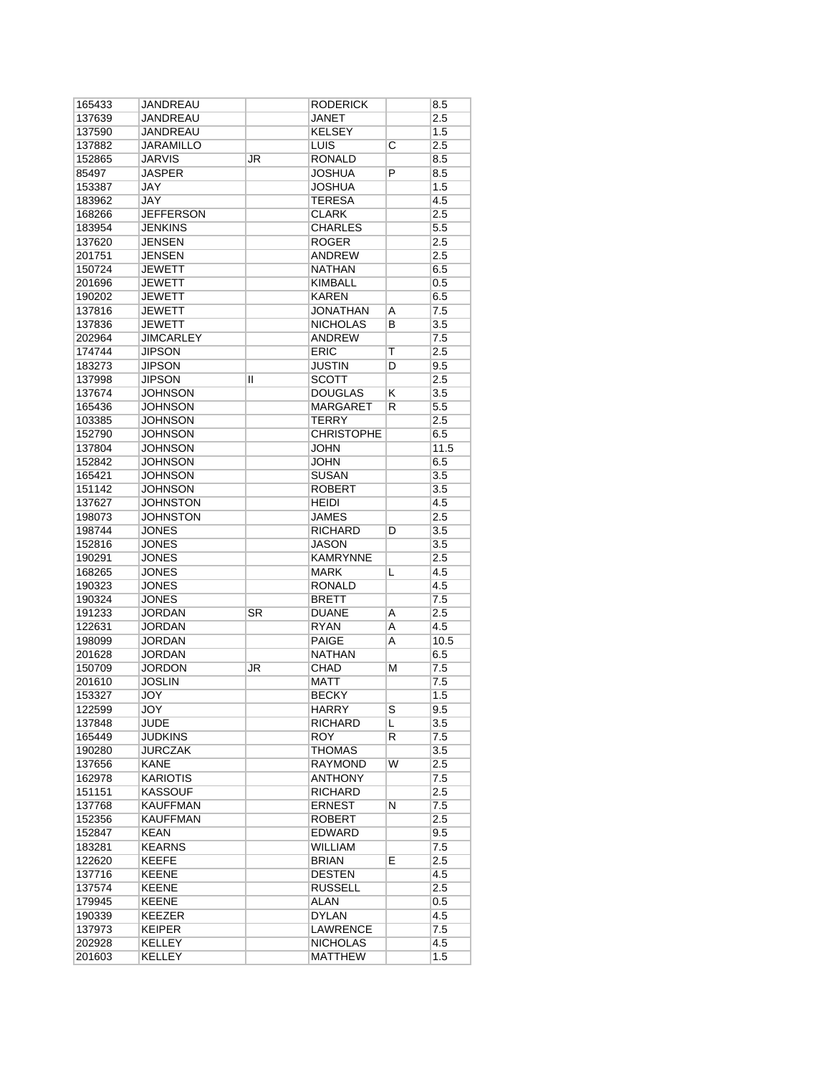| 165433 | JANDREAU         |    | <b>RODERICK</b>   |                    | 8.5  |
|--------|------------------|----|-------------------|--------------------|------|
| 137639 | JANDREAU         |    | JANET             |                    | 2.5  |
| 137590 | <b>JANDREAU</b>  |    | <b>KELSEY</b>     |                    | 1.5  |
| 137882 | <b>JARAMILLO</b> |    | <b>LUIS</b>       | $\overline{\rm c}$ | 2.5  |
| 152865 | <b>JARVIS</b>    | JR | <b>RONALD</b>     |                    | 8.5  |
| 85497  | JASPER           |    | <b>JOSHUA</b>     | P                  | 8.5  |
| 153387 | JAY              |    | <b>JOSHUA</b>     |                    | 1.5  |
| 183962 | <b>JAY</b>       |    | <b>TERESA</b>     |                    | 4.5  |
| 168266 | <b>JEFFERSON</b> |    | <b>CLARK</b>      |                    | 2.5  |
| 183954 | JENKINS          |    | <b>CHARLES</b>    |                    | 5.5  |
| 137620 | <b>JENSEN</b>    |    | <b>ROGER</b>      |                    | 2.5  |
| 201751 | <b>JENSEN</b>    |    | <b>ANDREW</b>     |                    | 2.5  |
| 150724 | <b>JEWETT</b>    |    | <b>NATHAN</b>     |                    | 6.5  |
| 201696 | JEWETT           |    | <b>KIMBALL</b>    |                    | 0.5  |
| 190202 | <b>JEWETT</b>    |    | <b>KAREN</b>      |                    | 6.5  |
| 137816 | <b>JEWETT</b>    |    | <b>JONATHAN</b>   | Α                  | 7.5  |
| 137836 | <b>JEWETT</b>    |    | <b>NICHOLAS</b>   | B                  | 3.5  |
| 202964 | <b>JIMCARLEY</b> |    | ANDREW            |                    | 7.5  |
| 174744 | <b>JIPSON</b>    |    | <b>ERIC</b>       | Т                  | 2.5  |
| 183273 | <b>JIPSON</b>    |    | <b>JUSTIN</b>     | D                  | 9.5  |
| 137998 | <b>JIPSON</b>    |    | <b>SCOTT</b>      |                    | 2.5  |
|        |                  | Ш  |                   |                    |      |
| 137674 | <b>JOHNSON</b>   |    | <b>DOUGLAS</b>    | Κ                  | 3.5  |
| 165436 | <b>JOHNSON</b>   |    | <b>MARGARET</b>   | R                  | 5.5  |
| 103385 | <b>JOHNSON</b>   |    | <b>TERRY</b>      |                    | 2.5  |
| 152790 | <b>JOHNSON</b>   |    | <b>CHRISTOPHE</b> |                    | 6.5  |
| 137804 | <b>JOHNSON</b>   |    | <b>JOHN</b>       |                    | 11.5 |
| 152842 | <b>JOHNSON</b>   |    | <b>JOHN</b>       |                    | 6.5  |
| 165421 | <b>JOHNSON</b>   |    | <b>SUSAN</b>      |                    | 3.5  |
| 151142 | <b>JOHNSON</b>   |    | <b>ROBERT</b>     |                    | 3.5  |
| 137627 | <b>JOHNSTON</b>  |    | <b>HEIDI</b>      |                    | 4.5  |
| 198073 | JOHNSTON         |    | <b>JAMES</b>      |                    | 2.5  |
| 198744 | <b>JONES</b>     |    | <b>RICHARD</b>    | D                  | 3.5  |
| 152816 | <b>JONES</b>     |    | <b>JASON</b>      |                    | 3.5  |
| 190291 | <b>JONES</b>     |    | <b>KAMRYNNE</b>   |                    | 2.5  |
| 168265 | <b>JONES</b>     |    | MARK              | L                  | 4.5  |
| 190323 | <b>JONES</b>     |    | <b>RONALD</b>     |                    | 4.5  |
| 190324 | <b>JONES</b>     |    | <b>BRETT</b>      |                    | 7.5  |
| 191233 | JORDAN           | SR | <b>DUANE</b>      | Α                  | 2.5  |
| 122631 | JORDAN           |    | <b>RYAN</b>       | Α                  | 4.5  |
| 198099 | <b>JORDAN</b>    |    | PAIGE             | A                  | 10.5 |
| 201628 | <b>JORDAN</b>    |    | <b>NATHAN</b>     |                    | 6.5  |
| 150709 | <b>JORDON</b>    | JR | CHAD              | М                  | 7.5  |
| 201610 | <b>JOSLIN</b>    |    | MATT              |                    | 7.5  |
| 153327 | JOY              |    | <b>BECKY</b>      |                    | 1.5  |
| 122599 | JOY              |    | <b>HARRY</b>      | S                  | 9.5  |
| 137848 | <b>JUDE</b>      |    | <b>RICHARD</b>    | L                  | 3.5  |
| 165449 | JUDKINS          |    | <b>ROY</b>        | R                  | 7.5  |
| 190280 | <b>JURCZAK</b>   |    | THOMAS            |                    | 3.5  |
| 137656 | <b>KANE</b>      |    | <b>RAYMOND</b>    | W                  | 2.5  |
| 162978 | <b>KARIOTIS</b>  |    | ANTHONY           |                    | 7.5  |
| 151151 | <b>KASSOUF</b>   |    | RICHARD           |                    | 2.5  |
| 137768 | <b>KAUFFMAN</b>  |    | <b>ERNEST</b>     | N                  | 7.5  |
| 152356 | <b>KAUFFMAN</b>  |    | <b>ROBERT</b>     |                    | 2.5  |
| 152847 | KEAN             |    | EDWARD            |                    | 9.5  |
| 183281 | <b>KEARNS</b>    |    | <b>WILLIAM</b>    |                    | 7.5  |
| 122620 | <b>KEEFE</b>     |    | BRIAN             | E                  | 2.5  |
| 137716 | <b>KEENE</b>     |    | <b>DESTEN</b>     |                    | 4.5  |
| 137574 | <b>KEENE</b>     |    | <b>RUSSELL</b>    |                    | 2.5  |
| 179945 | <b>KEENE</b>     |    | ALAN              |                    | 0.5  |
| 190339 | <b>KEEZER</b>    |    | DYLAN             |                    | 4.5  |
| 137973 | <b>KEIPER</b>    |    | <b>LAWRENCE</b>   |                    | 7.5  |
| 202928 | <b>KELLEY</b>    |    | <b>NICHOLAS</b>   |                    | 4.5  |
| 201603 | <b>KELLEY</b>    |    | <b>MATTHEW</b>    |                    | 1.5  |
|        |                  |    |                   |                    |      |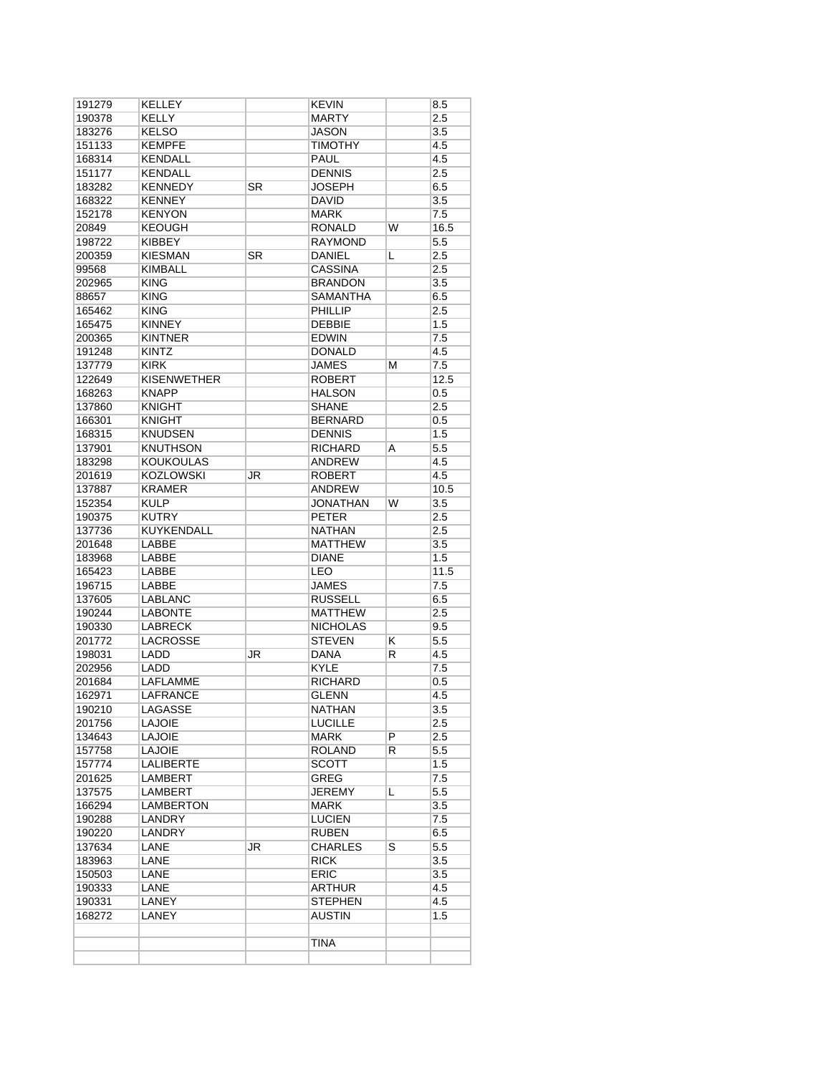| 191279 | <b>KELLEY</b>      |           | KEVIN           |                         | 8.5              |
|--------|--------------------|-----------|-----------------|-------------------------|------------------|
| 190378 | KELLY              |           | <b>MARTY</b>    |                         | 2.5              |
| 183276 | <b>KELSO</b>       |           | JASON           |                         | 3.5              |
| 151133 | <b>KEMPFE</b>      |           | <b>TIMOTHY</b>  |                         | 4.5              |
| 168314 | <b>KENDALL</b>     |           | PAUL            |                         | 4.5              |
| 151177 | <b>KENDALL</b>     |           | <b>DENNIS</b>   |                         | 2.5              |
| 183282 | <b>KENNEDY</b>     | <b>SR</b> | <b>JOSEPH</b>   |                         | 6.5              |
| 168322 | <b>KENNEY</b>      |           | <b>DAVID</b>    |                         | 3.5              |
| 152178 | <b>KENYON</b>      |           | <b>MARK</b>     |                         | 7.5              |
| 20849  | <b>KEOUGH</b>      |           | RONALD          | W                       | 16.5             |
| 198722 | <b>KIBBEY</b>      |           | RAYMOND         |                         | 5.5              |
|        | <b>KIESMAN</b>     | SR        | <b>DANIEL</b>   |                         | 2.5              |
| 200359 |                    |           |                 | L                       |                  |
| 99568  | <b>KIMBALL</b>     |           | <b>CASSINA</b>  |                         | 2.5              |
| 202965 | <b>KING</b>        |           | <b>BRANDON</b>  |                         | 3.5              |
| 88657  | <b>KING</b>        |           | SAMANTHA        |                         | 6.5              |
| 165462 | <b>KING</b>        |           | <b>PHILLIP</b>  |                         | 2.5              |
| 165475 | <b>KINNEY</b>      |           | <b>DEBBIE</b>   |                         | 1.5              |
| 200365 | <b>KINTNER</b>     |           | EDWIN           |                         | 7.5              |
| 191248 | <b>KINTZ</b>       |           | <b>DONALD</b>   |                         | 4.5              |
| 137779 | <b>KIRK</b>        |           | JAMES           | М                       | 7.5              |
| 122649 | <b>KISENWETHER</b> |           | <b>ROBERT</b>   |                         | 12.5             |
| 168263 | <b>KNAPP</b>       |           | <b>HALSON</b>   |                         | 0.5              |
| 137860 | <b>KNIGHT</b>      |           | <b>SHANE</b>    |                         | 2.5              |
| 166301 | <b>KNIGHT</b>      |           | <b>BERNARD</b>  |                         | $0.5\,$          |
| 168315 | <b>KNUDSEN</b>     |           | <b>DENNIS</b>   |                         | 1.5              |
| 137901 | <b>KNUTHSON</b>    |           | <b>RICHARD</b>  | A                       | 5.5              |
|        |                    |           |                 |                         |                  |
| 183298 | <b>KOUKOULAS</b>   |           | ANDREW          |                         | 4.5              |
| 201619 | <b>KOZLOWSKI</b>   | JR        | <b>ROBERT</b>   |                         | 4.5              |
| 137887 | <b>KRAMER</b>      |           | <b>ANDREW</b>   |                         | 10.5             |
| 152354 | <b>KULP</b>        |           | <b>JONATHAN</b> | W                       | 3.5              |
| 190375 | <b>KUTRY</b>       |           | <b>PETER</b>    |                         | 2.5              |
| 137736 | <b>KUYKENDALL</b>  |           | <b>NATHAN</b>   |                         | 2.5              |
| 201648 | <b>LABBE</b>       |           | <b>MATTHEW</b>  |                         | 3.5              |
| 183968 | LABBE              |           | <b>DIANE</b>    |                         | 1.5              |
| 165423 | LABBE              |           | LEO             |                         | 11.5             |
| 196715 | LABBE              |           | <b>JAMES</b>    |                         | 7.5              |
| 137605 | LABLANC            |           | <b>RUSSELL</b>  |                         | 6.5              |
| 190244 | <b>LABONTE</b>     |           | <b>MATTHEW</b>  |                         | 2.5              |
| 190330 | <b>LABRECK</b>     |           | <b>NICHOLAS</b> |                         | 9.5              |
| 201772 | LACROSSE           |           | <b>STEVEN</b>   | Κ                       | 5.5              |
| 198031 | LADD               | JR        | DANA            | R                       | 4.5              |
| 202956 | LADD               |           | KYLE            |                         | 7.5              |
| 201684 | <b>LAFLAMME</b>    |           |                 |                         |                  |
|        |                    |           | <b>RICHARD</b>  |                         | 0.5              |
| 162971 | <b>LAFRANCE</b>    |           | <b>GLENN</b>    |                         | 4.5              |
| 190210 | <b>LAGASSE</b>     |           | <b>NATHAN</b>   |                         | $\overline{3.5}$ |
| 201756 | LAJOIE             |           | <b>LUCILLE</b>  |                         | 2.5              |
| 134643 | LAJOIE             |           | MARK            | $\overline{P}$          | 2.5              |
| 157758 | <b>LAJOIE</b>      |           | <b>ROLAND</b>   | R                       | 5.5              |
| 157774 | <b>LALIBERTE</b>   |           | <b>SCOTT</b>    |                         | 1.5              |
| 201625 | LAMBERT            |           | <b>GREG</b>     |                         | 7.5              |
| 137575 | <b>LAMBERT</b>     |           | JEREMY          | L                       | 5.5              |
| 166294 | LAMBERTON          |           | MARK            |                         | 3.5              |
| 190288 | LANDRY             |           | LUCIEN          |                         | 7.5              |
| 190220 | <b>LANDRY</b>      |           | <b>RUBEN</b>    |                         | 6.5              |
| 137634 | LANE               | <b>JR</b> | <b>CHARLES</b>  | $\overline{\mathsf{s}}$ | 5.5              |
| 183963 | LANE               |           | <b>RICK</b>     |                         | 3.5              |
| 150503 | LANE               |           | <b>ERIC</b>     |                         | 3.5              |
|        |                    |           | <b>ARTHUR</b>   |                         | 4.5              |
| 190333 | LANE               |           |                 |                         |                  |
| 190331 | LANEY              |           | STEPHEN         |                         | 4.5              |
| 168272 | LANEY              |           | AUSTIN          |                         | 1.5              |
|        |                    |           |                 |                         |                  |
|        |                    |           | <b>TINA</b>     |                         |                  |
|        |                    |           |                 |                         |                  |
|        |                    |           |                 |                         |                  |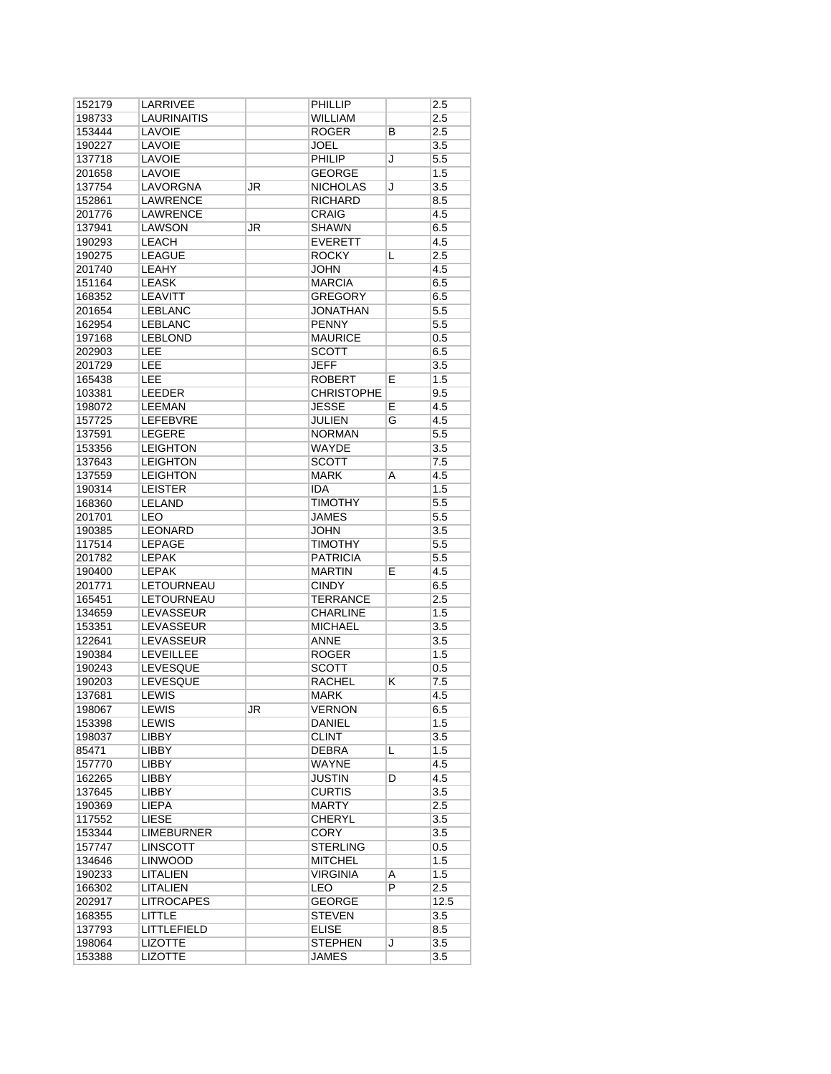| 152179 | LARRIVEE          |    | PHILLIP           |                | 2.5              |
|--------|-------------------|----|-------------------|----------------|------------------|
| 198733 | LAURINAITIS       |    | WILLIAM           |                | 2.5              |
| 153444 | <b>LAVOIE</b>     |    | <b>ROGER</b>      | в              | 2.5              |
| 190227 | LAVOIE            |    | <b>JOEL</b>       |                | 3.5              |
| 137718 | LAVOIE            |    | PHILIP            | J              | 5.5              |
| 201658 | <b>LAVOIE</b>     |    | <b>GEORGE</b>     |                | 1.5              |
| 137754 | LAVORGNA          | JR | <b>NICHOLAS</b>   | J              | 3.5              |
| 152861 | <b>LAWRENCE</b>   |    | <b>RICHARD</b>    |                | 8.5              |
| 201776 | LAWRENCE          |    | <b>CRAIG</b>      |                | 4.5              |
| 137941 | <b>LAWSON</b>     | JR | <b>SHAWN</b>      |                | 6.5              |
| 190293 | <b>LEACH</b>      |    | <b>EVERETT</b>    |                | 4.5              |
| 190275 | <b>LEAGUE</b>     |    | <b>ROCKY</b>      | L              | 2.5              |
|        | <b>LEAHY</b>      |    | <b>JOHN</b>       |                | 4.5              |
| 201740 |                   |    |                   |                |                  |
| 151164 | <b>LEASK</b>      |    | <b>MARCIA</b>     |                | 6.5              |
| 168352 | LEAVITT           |    | <b>GREGORY</b>    |                | 6.5              |
| 201654 | <b>LEBLANC</b>    |    | JONATHAN          |                | 5.5              |
| 162954 | <b>LEBLANC</b>    |    | <b>PENNY</b>      |                | 5.5              |
| 197168 | <b>LEBLOND</b>    |    | <b>MAURICE</b>    |                | 0.5              |
| 202903 | LEE               |    | <b>SCOTT</b>      |                | 6.5              |
| 201729 | <b>LEE</b>        |    | <b>JEFF</b>       |                | 3.5              |
| 165438 | <b>LEE</b>        |    | <b>ROBERT</b>     | Е              | 1.5              |
| 103381 | <b>LEEDER</b>     |    | <b>CHRISTOPHE</b> |                | 9.5              |
| 198072 | <b>LEEMAN</b>     |    | <b>JESSE</b>      | E              | 4.5              |
| 157725 | LEFEBVRE          |    | <b>JULIEN</b>     | G              | 4.5              |
| 137591 | <b>LEGERE</b>     |    | <b>NORMAN</b>     |                | 5.5              |
| 153356 | <b>LEIGHTON</b>   |    | WAYDE             |                | 3.5              |
| 137643 | <b>LEIGHTON</b>   |    | <b>SCOTT</b>      |                | 7.5              |
| 137559 | <b>LEIGHTON</b>   |    | MARK              | A              | 4.5              |
| 190314 | <b>LEISTER</b>    |    | IDA               |                | 1.5              |
| 168360 | <b>LELAND</b>     |    | <b>TIMOTHY</b>    |                | 5.5              |
| 201701 | LEO               |    | <b>JAMES</b>      |                | 5.5              |
|        | <b>LEONARD</b>    |    |                   |                |                  |
| 190385 |                   |    | JOHN              |                | 3.5              |
| 117514 | LEPAGE            |    | <b>TIMOTHY</b>    |                | 5.5              |
| 201782 | <b>LEPAK</b>      |    | <b>PATRICIA</b>   |                | 5.5              |
| 190400 | <b>LEPAK</b>      |    | <b>MARTIN</b>     | E              | 4.5              |
| 201771 | LETOURNEAU        |    | <b>CINDY</b>      |                | 6.5              |
| 165451 | LETOURNEAU        |    | <b>TERRANCE</b>   |                | 2.5              |
| 134659 | LEVASSEUR         |    | <b>CHARLINE</b>   |                | 1.5              |
| 153351 | LEVASSEUR         |    | <b>MICHAEL</b>    |                | 3.5              |
| 122641 | LEVASSEUR         |    | <b>ANNE</b>       |                | 3.5              |
| 190384 | <b>LEVEILLEE</b>  |    | <b>ROGER</b>      |                | 1.5              |
| 190243 | <b>LEVESQUE</b>   |    | SCOTT             |                | 0.5              |
| 190203 | <b>LEVESQUE</b>   |    | <b>RACHEL</b>     | κ              | 7.5              |
| 137681 | LEWIS             |    | MARK              |                | 4.5              |
| 198067 | <b>LEWIS</b>      | JR | <b>VERNON</b>     |                | 6.5              |
| 153398 | LEWIS             |    | DANIEL            |                | 1.5              |
| 198037 | <b>LIBBY</b>      |    | <b>CLINT</b>      |                | 3.5              |
| 85471  | LIBBY             |    | <b>DEBRA</b>      | L              | 1.5              |
| 157770 | LIBBY             |    | WAYNE             |                | 4.5              |
| 162265 | <b>LIBBY</b>      |    | JUSTIN            | D              | 4.5              |
|        | LIBBY             |    |                   |                |                  |
| 137645 |                   |    | <b>CURTIS</b>     |                | 3.5              |
| 190369 | LIEPA             |    | <b>MARTY</b>      |                | 2.5              |
| 117552 | <b>LIESE</b>      |    | <b>CHERYL</b>     |                | 3.5              |
| 153344 | <b>LIMEBURNER</b> |    | CORY              |                | 3.5              |
| 157747 | LINSCOTT          |    | <b>STERLING</b>   |                | 0.5              |
| 134646 | <b>LINWOOD</b>    |    | <b>MITCHEL</b>    |                | 1.5              |
| 190233 | <b>LITALIEN</b>   |    | <b>VIRGINIA</b>   | Α              | 1.5              |
| 166302 | LITALIEN          |    | <b>LEO</b>        | $\overline{P}$ | 2.5              |
| 202917 | <b>LITROCAPES</b> |    | <b>GEORGE</b>     |                | 12.5             |
| 168355 | <b>LITTLE</b>     |    | <b>STEVEN</b>     |                | 3.5              |
| 137793 | LITTLEFIELD       |    | <b>ELISE</b>      |                | 8.5              |
| 198064 | <b>LIZOTTE</b>    |    | <b>STEPHEN</b>    | J              | $\overline{3.5}$ |
| 153388 | <b>LIZOTTE</b>    |    | <b>JAMES</b>      |                | 3.5              |
|        |                   |    |                   |                |                  |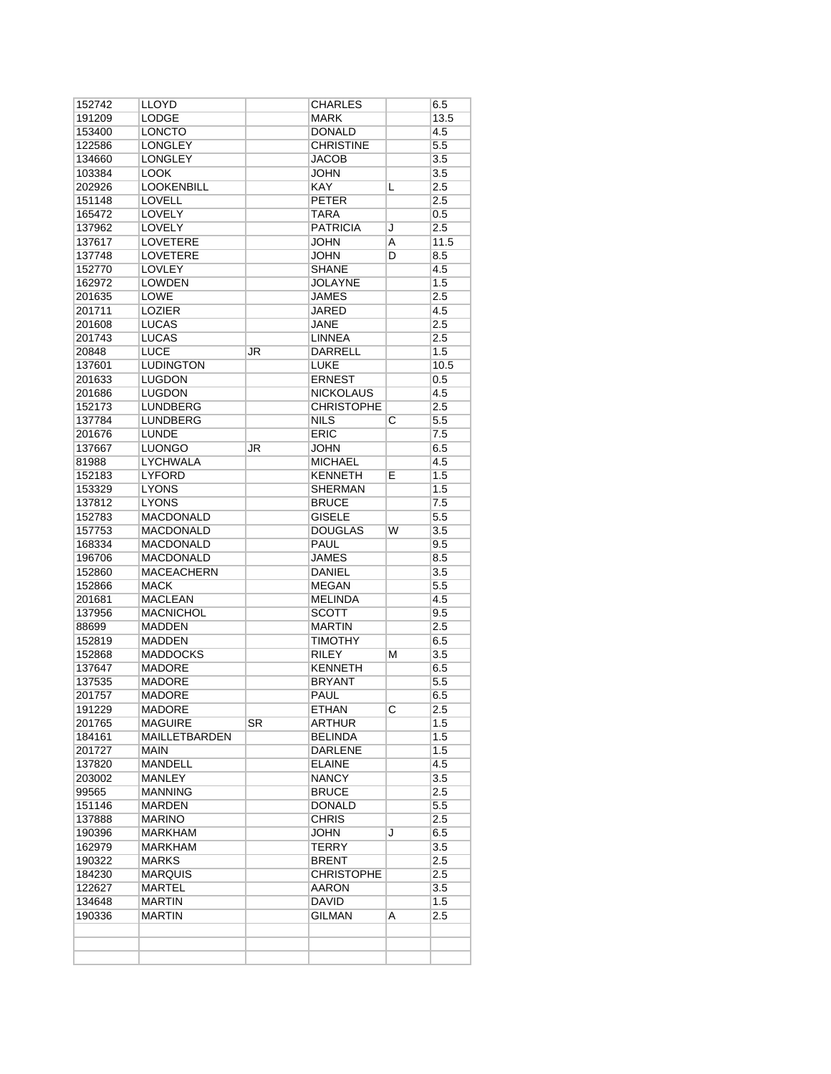| 152742           | LLOYD             |    | <b>CHARLES</b>    |   | 6.5     |
|------------------|-------------------|----|-------------------|---|---------|
| 191209           | LODGE             |    | MARK              |   | 13.5    |
| 153400           | <b>LONCTO</b>     |    | <b>DONALD</b>     |   | 4.5     |
| 122586           | <b>LONGLEY</b>    |    | <b>CHRISTINE</b>  |   | 5.5     |
| 134660           | LONGLEY           |    | JACOB             |   | 3.5     |
| 103384           | <b>LOOK</b>       |    | JOHN              |   | 3.5     |
| 202926           | <b>LOOKENBILL</b> |    | <b>KAY</b>        | L | 2.5     |
| 151148           | <b>LOVELL</b>     |    | <b>PETER</b>      |   | 2.5     |
| 165472           | LOVELY            |    | TARA              |   | 0.5     |
| 137962           | <b>LOVELY</b>     |    | <b>PATRICIA</b>   | J | 2.5     |
| 137617           | <b>LOVETERE</b>   |    | <b>JOHN</b>       | A | 11.5    |
| 137748           | <b>LOVETERE</b>   |    | <b>JOHN</b>       | D | 8.5     |
| 152770           | <b>LOVLEY</b>     |    | <b>SHANE</b>      |   | 4.5     |
| 162972           | <b>LOWDEN</b>     |    | <b>JOLAYNE</b>    |   | 1.5     |
| 201635           | <b>LOWE</b>       |    | <b>JAMES</b>      |   | 2.5     |
| 201711           | LOZIER            |    | <b>JARED</b>      |   | 4.5     |
| 201608           | <b>LUCAS</b>      |    | JANE              |   | 2.5     |
| 201743           | <b>LUCAS</b>      |    | LINNEA            |   | 2.5     |
| 20848            | <b>LUCE</b>       | JR | DARRELL           |   | 1.5     |
| 137601           | <b>LUDINGTON</b>  |    | <b>LUKE</b>       |   | 10.5    |
| 201633           | <b>LUGDON</b>     |    | <b>ERNEST</b>     |   | 0.5     |
| 201686           | <b>LUGDON</b>     |    | <b>NICKOLAUS</b>  |   | 4.5     |
| 152173           | <b>LUNDBERG</b>   |    | <b>CHRISTOPHE</b> |   | 2.5     |
| 137784           | <b>LUNDBERG</b>   |    | <b>NILS</b>       | С | 5.5     |
| 201676           | <b>LUNDE</b>      |    | <b>ERIC</b>       |   | 7.5     |
| 137667           | <b>LUONGO</b>     | JR | <b>JOHN</b>       |   | 6.5     |
| 81988            | LYCHWALA          |    | <b>MICHAEL</b>    |   | 4.5     |
| 152183           | LYFORD            |    | KENNETH           | E | 1.5     |
| 153329           | <b>LYONS</b>      |    | SHERMAN           |   | 1.5     |
| 137812           | <b>LYONS</b>      |    | <b>BRUCE</b>      |   | 7.5     |
| 152783           | <b>MACDONALD</b>  |    | <b>GISELE</b>     |   | 5.5     |
| 157753           | <b>MACDONALD</b>  |    | <b>DOUGLAS</b>    | W | 3.5     |
| 168334           | <b>MACDONALD</b>  |    | PAUL              |   | 9.5     |
| 196706           | <b>MACDONALD</b>  |    | <b>JAMES</b>      |   | 8.5     |
| 152860           | <b>MACEACHERN</b> |    | DANIEL            |   | 3.5     |
| 152866           | MACK              |    | <b>MEGAN</b>      |   | 5.5     |
| 201681           | <b>MACLEAN</b>    |    | <b>MELINDA</b>    |   | 4.5     |
| 137956           | <b>MACNICHOL</b>  |    | <b>SCOTT</b>      |   | 9.5     |
| 88699            | <b>MADDEN</b>     |    | <b>MARTIN</b>     |   | 2.5     |
| 152819           | <b>MADDEN</b>     |    | <b>TIMOTHY</b>    |   | 6.5     |
| 152868           | <b>MADDOCKS</b>   |    | <b>RILEY</b>      | М | 3.5     |
| 137647           | <b>MADORE</b>     |    | <b>KENNETH</b>    |   | 6.5     |
| 137535           | MADORE            |    | <b>BRYANT</b>     |   | $5.5\,$ |
| 201757           | <b>MADORE</b>     |    | <b>PAUL</b>       |   | 6.5     |
| 191229           | <b>MADORE</b>     |    | <b>ETHAN</b>      | C | 2.5     |
| 201765           | MAGUIRE           | SR | ARTHUR            |   | 1.5     |
| 184161           | MAILLETBARDEN     |    | BELINDA           |   | 1.5     |
| 201727           | MAIN              |    | DARLENE           |   | 1.5     |
| 137820           | <b>MANDELL</b>    |    | ELAINE            |   | 4.5     |
| 203002           | <b>MANLEY</b>     |    | NANCY.            |   | 3.5     |
| 99565            | MANNING           |    | BRUCE             |   | 2.5     |
| 151146           | MARDEN            |    | DONALD            |   | 5.5     |
| 137888           | MARINO            |    | <b>CHRIS</b>      |   | 2.5     |
| 190396           | MARKHAM           |    | JOHN              | J | 6.5     |
| 162979           | MARKHAM           |    | <b>TERRY</b>      |   | 3.5     |
| 190322           | MARKS             |    | BRENT             |   | 2.5     |
| 184230           | <b>MARQUIS</b>    |    | <b>CHRISTOPHE</b> |   | 2.5     |
| 122627           | MARTEL            |    | AARON             |   | 3.5     |
|                  | MARTIN            |    | DAVID             |   | 1.5     |
|                  |                   |    |                   |   |         |
| 134648<br>190336 | MARTIN            |    | GILMAN            | A | 2.5     |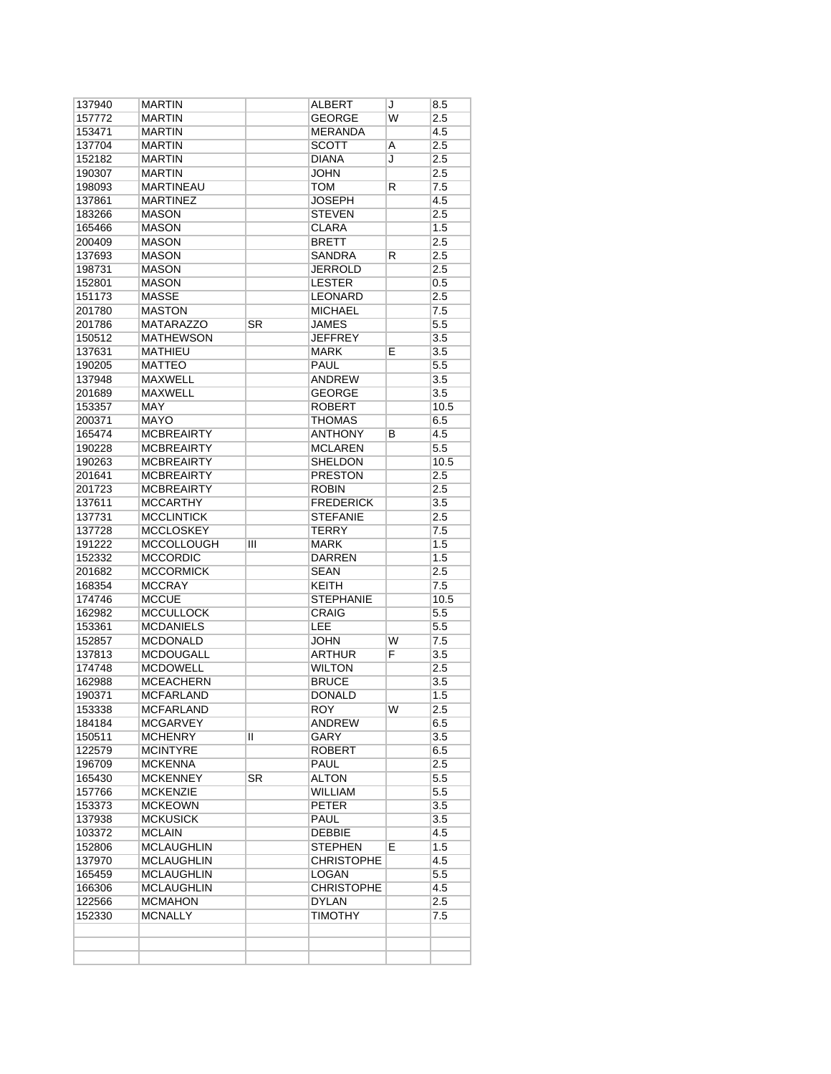| 137940 | <b>MARTIN</b>     |           | <b>ALBERT</b>     | J | 8.5     |
|--------|-------------------|-----------|-------------------|---|---------|
| 157772 | <b>MARTIN</b>     |           | <b>GEORGE</b>     | W | 2.5     |
| 153471 | <b>MARTIN</b>     |           | <b>MERANDA</b>    |   | 4.5     |
| 137704 | <b>MARTIN</b>     |           | <b>SCOTT</b>      | A | 2.5     |
| 152182 | <b>MARTIN</b>     |           | <b>DIANA</b>      | J | 2.5     |
| 190307 | <b>MARTIN</b>     |           | JOHN              |   | 2.5     |
| 198093 | <b>MARTINEAU</b>  |           | <b>TOM</b>        | R | 7.5     |
| 137861 | <b>MARTINEZ</b>   |           | <b>JOSEPH</b>     |   | 4.5     |
| 183266 | <b>MASON</b>      |           | <b>STEVEN</b>     |   | 2.5     |
| 165466 | <b>MASON</b>      |           | <b>CLARA</b>      |   | 1.5     |
| 200409 | <b>MASON</b>      |           | <b>BRETT</b>      |   | 2.5     |
| 137693 | <b>MASON</b>      |           | <b>SANDRA</b>     | R | 2.5     |
| 198731 | <b>MASON</b>      |           | <b>JERROLD</b>    |   | 2.5     |
| 152801 | <b>MASON</b>      |           | <b>LESTER</b>     |   | 0.5     |
| 151173 | <b>MASSE</b>      |           | <b>LEONARD</b>    |   | 2.5     |
| 201780 | <b>MASTON</b>     |           | <b>MICHAEL</b>    |   | 7.5     |
| 201786 | <b>MATARAZZO</b>  | <b>SR</b> | <b>JAMES</b>      |   |         |
|        | <b>MATHEWSON</b>  |           |                   |   | $5.5\,$ |
| 150512 |                   |           | <b>JEFFREY</b>    |   | 3.5     |
| 137631 | <b>MATHIEU</b>    |           | <b>MARK</b>       | E | 3.5     |
| 190205 | <b>MATTEO</b>     |           | <b>PAUL</b>       |   | 5.5     |
| 137948 | <b>MAXWELL</b>    |           | <b>ANDREW</b>     |   | 3.5     |
| 201689 | <b>MAXWELL</b>    |           | <b>GEORGE</b>     |   | 3.5     |
| 153357 | <b>MAY</b>        |           | <b>ROBERT</b>     |   | 10.5    |
| 200371 | <b>MAYO</b>       |           | <b>THOMAS</b>     |   | 6.5     |
| 165474 | <b>MCBREAIRTY</b> |           | <b>ANTHONY</b>    | B | 4.5     |
| 190228 | <b>MCBREAIRTY</b> |           | <b>MCLAREN</b>    |   | 5.5     |
| 190263 | <b>MCBREAIRTY</b> |           | <b>SHELDON</b>    |   | 10.5    |
| 201641 | <b>MCBREAIRTY</b> |           | <b>PRESTON</b>    |   | 2.5     |
| 201723 | <b>MCBREAIRTY</b> |           | <b>ROBIN</b>      |   | 2.5     |
| 137611 | <b>MCCARTHY</b>   |           | <b>FREDERICK</b>  |   | 3.5     |
| 137731 | <b>MCCLINTICK</b> |           | <b>STEFANIE</b>   |   | 2.5     |
| 137728 | <b>MCCLOSKEY</b>  |           | <b>TERRY</b>      |   | 7.5     |
| 191222 | <b>MCCOLLOUGH</b> | Ш         | <b>MARK</b>       |   | 1.5     |
| 152332 | <b>MCCORDIC</b>   |           | <b>DARREN</b>     |   | 1.5     |
| 201682 | <b>MCCORMICK</b>  |           | <b>SEAN</b>       |   | 2.5     |
| 168354 | <b>MCCRAY</b>     |           | <b>KEITH</b>      |   | 7.5     |
| 174746 | <b>MCCUE</b>      |           | <b>STEPHANIE</b>  |   | 10.5    |
| 162982 | <b>MCCULLOCK</b>  |           | <b>CRAIG</b>      |   | 5.5     |
| 153361 | <b>MCDANIELS</b>  |           | LEE               |   | 5.5     |
|        | <b>MCDONALD</b>   |           | <b>JOHN</b>       | W | 7.5     |
| 152857 |                   |           |                   |   |         |
| 137813 | <b>MCDOUGALL</b>  |           | <b>ARTHUR</b>     | F | 3.5     |
| 174748 | <b>MCDOWELL</b>   |           | <b>WILTON</b>     |   | 2.5     |
| 162988 | <b>MCEACHERN</b>  |           | <b>BRUCE</b>      |   | 3.5     |
| 190371 | <b>MCFARLAND</b>  |           | <b>DONALD</b>     |   | 1.5     |
| 153338 | <b>MCFARLAND</b>  |           | <b>ROY</b>        | W | 2.5     |
| 184184 | <b>MCGARVEY</b>   |           | ANDREW            |   | 6.5     |
| 150511 | <b>MCHENRY</b>    | π         | GARY              |   | 3.5     |
| 122579 | <b>MCINTYRE</b>   |           | <b>ROBERT</b>     |   | 6.5     |
| 196709 | <b>MCKENNA</b>    |           | <b>PAUL</b>       |   | 2.5     |
| 165430 | <b>MCKENNEY</b>   | <b>SR</b> | <b>ALTON</b>      |   | 5.5     |
| 157766 | <b>MCKENZIE</b>   |           | WILLIAM           |   | 5.5     |
| 153373 | <b>MCKEOWN</b>    |           | <b>PETER</b>      |   | 3.5     |
| 137938 | <b>MCKUSICK</b>   |           | <b>PAUL</b>       |   | 3.5     |
| 103372 | <b>MCLAIN</b>     |           | <b>DEBBIE</b>     |   | 4.5     |
| 152806 | <b>MCLAUGHLIN</b> |           | <b>STEPHEN</b>    | E | 1.5     |
| 137970 | <b>MCLAUGHLIN</b> |           | <b>CHRISTOPHE</b> |   | 4.5     |
| 165459 | <b>MCLAUGHLIN</b> |           | LOGAN             |   | 5.5     |
| 166306 | <b>MCLAUGHLIN</b> |           | <b>CHRISTOPHE</b> |   | 4.5     |
| 122566 | <b>MCMAHON</b>    |           | <b>DYLAN</b>      |   | 2.5     |
| 152330 | MCNALLY           |           | <b>TIMOTHY</b>    |   | 7.5     |
|        |                   |           |                   |   |         |
|        |                   |           |                   |   |         |
|        |                   |           |                   |   |         |
|        |                   |           |                   |   |         |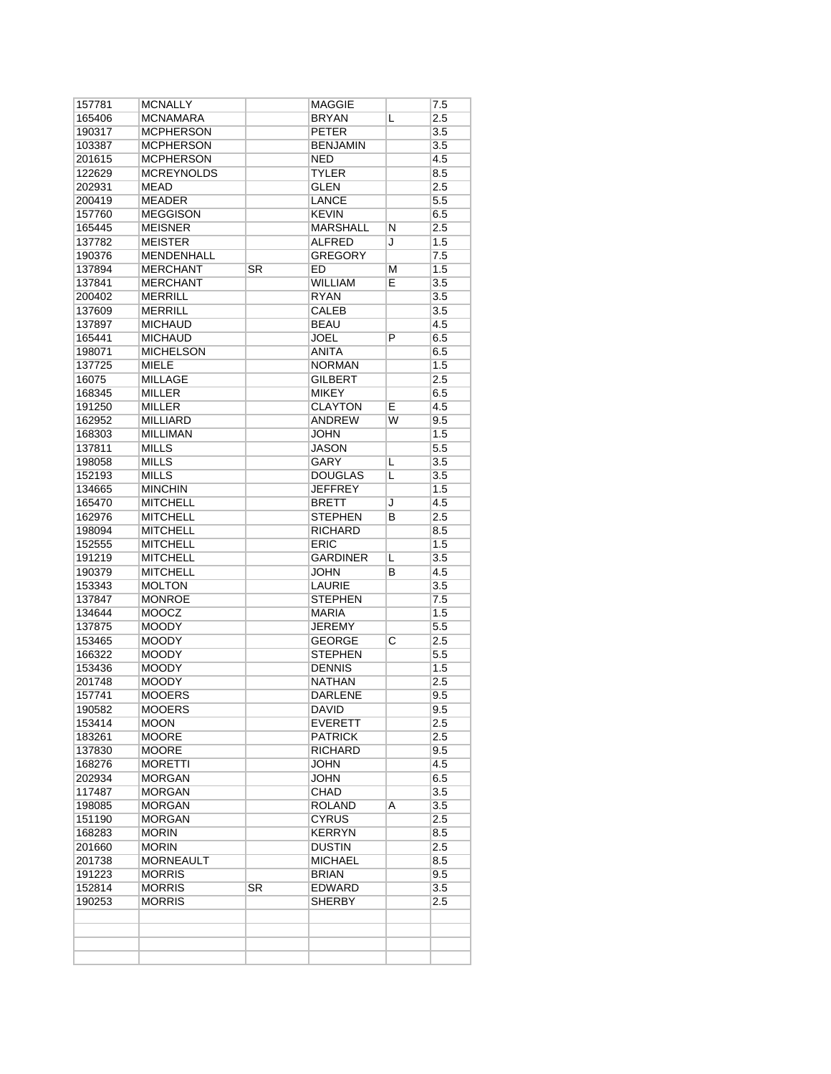| MCNAMARA<br><b>MCPHERSON</b><br><b>MCPHERSON</b><br><b>MCPHERSON</b><br><b>MCREYNOLDS</b><br><b>MEAD</b><br><b>MEADER</b><br><b>MEGGISON</b><br><b>MEISNER</b><br><b>MEISTER</b><br><b>MENDENHALL</b><br><b>MERCHANT</b><br><b>MERCHANT</b><br><b>MERRILL</b><br><b>MERRILL</b><br><b>MICHAUD</b><br><b>MICHAUD</b><br><b>MICHELSON</b> | SR                                                                      | <b>BRYAN</b><br><b>PETER</b><br><b>BENJAMIN</b><br><b>NED</b><br><b>TYLER</b><br><b>GLEN</b><br><b>LANCE</b><br><b>KEVIN</b><br><b>MARSHALL</b><br><b>ALFRED</b><br><b>GREGORY</b><br>ED.<br><b>WILLIAM</b><br><b>RYAN</b><br><b>CALEB</b><br><b>BEAU</b><br><b>JOEL</b> | L<br>N<br>J<br>М<br>E                   | 2.5<br>3.5<br>3.5<br>4.5<br>8.5<br>2.5<br>5.5<br>6.5<br>2.5<br>1.5<br>7.5<br>1.5<br>3.5<br>3.5<br>3.5<br>4.5 |
|-----------------------------------------------------------------------------------------------------------------------------------------------------------------------------------------------------------------------------------------------------------------------------------------------------------------------------------------|-------------------------------------------------------------------------|--------------------------------------------------------------------------------------------------------------------------------------------------------------------------------------------------------------------------------------------------------------------------|-----------------------------------------|--------------------------------------------------------------------------------------------------------------|
|                                                                                                                                                                                                                                                                                                                                         |                                                                         |                                                                                                                                                                                                                                                                          |                                         |                                                                                                              |
|                                                                                                                                                                                                                                                                                                                                         |                                                                         |                                                                                                                                                                                                                                                                          |                                         |                                                                                                              |
|                                                                                                                                                                                                                                                                                                                                         |                                                                         |                                                                                                                                                                                                                                                                          |                                         |                                                                                                              |
|                                                                                                                                                                                                                                                                                                                                         |                                                                         |                                                                                                                                                                                                                                                                          |                                         |                                                                                                              |
|                                                                                                                                                                                                                                                                                                                                         |                                                                         |                                                                                                                                                                                                                                                                          |                                         |                                                                                                              |
|                                                                                                                                                                                                                                                                                                                                         |                                                                         |                                                                                                                                                                                                                                                                          |                                         |                                                                                                              |
|                                                                                                                                                                                                                                                                                                                                         |                                                                         |                                                                                                                                                                                                                                                                          |                                         |                                                                                                              |
|                                                                                                                                                                                                                                                                                                                                         |                                                                         |                                                                                                                                                                                                                                                                          |                                         |                                                                                                              |
|                                                                                                                                                                                                                                                                                                                                         |                                                                         |                                                                                                                                                                                                                                                                          |                                         |                                                                                                              |
|                                                                                                                                                                                                                                                                                                                                         |                                                                         |                                                                                                                                                                                                                                                                          |                                         |                                                                                                              |
|                                                                                                                                                                                                                                                                                                                                         |                                                                         |                                                                                                                                                                                                                                                                          |                                         |                                                                                                              |
|                                                                                                                                                                                                                                                                                                                                         |                                                                         |                                                                                                                                                                                                                                                                          |                                         |                                                                                                              |
|                                                                                                                                                                                                                                                                                                                                         |                                                                         |                                                                                                                                                                                                                                                                          |                                         |                                                                                                              |
|                                                                                                                                                                                                                                                                                                                                         |                                                                         |                                                                                                                                                                                                                                                                          |                                         |                                                                                                              |
|                                                                                                                                                                                                                                                                                                                                         |                                                                         |                                                                                                                                                                                                                                                                          |                                         |                                                                                                              |
|                                                                                                                                                                                                                                                                                                                                         |                                                                         |                                                                                                                                                                                                                                                                          |                                         |                                                                                                              |
|                                                                                                                                                                                                                                                                                                                                         |                                                                         |                                                                                                                                                                                                                                                                          | P                                       | 6.5                                                                                                          |
|                                                                                                                                                                                                                                                                                                                                         |                                                                         | <b>ANITA</b>                                                                                                                                                                                                                                                             |                                         | 6.5                                                                                                          |
| <b>MIELE</b>                                                                                                                                                                                                                                                                                                                            |                                                                         | <b>NORMAN</b>                                                                                                                                                                                                                                                            |                                         | 1.5                                                                                                          |
| <b>MILLAGE</b>                                                                                                                                                                                                                                                                                                                          |                                                                         | <b>GILBERT</b>                                                                                                                                                                                                                                                           |                                         | 2.5                                                                                                          |
| MILLER                                                                                                                                                                                                                                                                                                                                  |                                                                         | MIKEY                                                                                                                                                                                                                                                                    |                                         | 6.5                                                                                                          |
| <b>MILLER</b>                                                                                                                                                                                                                                                                                                                           |                                                                         | <b>CLAYTON</b>                                                                                                                                                                                                                                                           | E.                                      | 4.5                                                                                                          |
| <b>MILLIARD</b>                                                                                                                                                                                                                                                                                                                         |                                                                         | <b>ANDREW</b>                                                                                                                                                                                                                                                            | W                                       | 9.5                                                                                                          |
| MILLIMAN                                                                                                                                                                                                                                                                                                                                |                                                                         | JOHN                                                                                                                                                                                                                                                                     |                                         | 1.5                                                                                                          |
| <b>MILLS</b>                                                                                                                                                                                                                                                                                                                            |                                                                         | <b>JASON</b>                                                                                                                                                                                                                                                             |                                         | 5.5                                                                                                          |
| <b>MILLS</b>                                                                                                                                                                                                                                                                                                                            |                                                                         | <b>GARY</b>                                                                                                                                                                                                                                                              | L                                       | 3.5                                                                                                          |
| MILLS                                                                                                                                                                                                                                                                                                                                   |                                                                         | <b>DOUGLAS</b>                                                                                                                                                                                                                                                           | L                                       | $\overline{3.5}$                                                                                             |
| <b>MINCHIN</b>                                                                                                                                                                                                                                                                                                                          |                                                                         | <b>JEFFREY</b>                                                                                                                                                                                                                                                           |                                         | 1.5                                                                                                          |
|                                                                                                                                                                                                                                                                                                                                         |                                                                         |                                                                                                                                                                                                                                                                          | J                                       | 4.5                                                                                                          |
| <b>MITCHELL</b>                                                                                                                                                                                                                                                                                                                         |                                                                         | <b>STEPHEN</b>                                                                                                                                                                                                                                                           | B                                       | 2.5                                                                                                          |
| <b>MITCHELL</b>                                                                                                                                                                                                                                                                                                                         |                                                                         | <b>RICHARD</b>                                                                                                                                                                                                                                                           |                                         | 8.5                                                                                                          |
|                                                                                                                                                                                                                                                                                                                                         |                                                                         | <b>ERIC</b>                                                                                                                                                                                                                                                              |                                         | 1.5                                                                                                          |
| <b>MITCHELL</b>                                                                                                                                                                                                                                                                                                                         |                                                                         | <b>GARDINER</b>                                                                                                                                                                                                                                                          | L                                       | 3.5                                                                                                          |
| <b>MITCHELL</b>                                                                                                                                                                                                                                                                                                                         |                                                                         | JOHN                                                                                                                                                                                                                                                                     | в                                       | 4.5                                                                                                          |
| <b>MOLTON</b>                                                                                                                                                                                                                                                                                                                           |                                                                         | LAURIE                                                                                                                                                                                                                                                                   |                                         | 3.5                                                                                                          |
| <b>MONROE</b>                                                                                                                                                                                                                                                                                                                           |                                                                         | <b>STEPHEN</b>                                                                                                                                                                                                                                                           |                                         | 7.5                                                                                                          |
| <b>MOOCZ</b>                                                                                                                                                                                                                                                                                                                            |                                                                         | MARIA                                                                                                                                                                                                                                                                    |                                         | 1.5                                                                                                          |
| MOODY                                                                                                                                                                                                                                                                                                                                   |                                                                         | <b>JEREMY</b>                                                                                                                                                                                                                                                            |                                         | 5.5                                                                                                          |
| <b>MOODY</b>                                                                                                                                                                                                                                                                                                                            |                                                                         | <b>GEORGE</b>                                                                                                                                                                                                                                                            | С                                       | 2.5                                                                                                          |
| MOODY                                                                                                                                                                                                                                                                                                                                   |                                                                         | <b>STEPHEN</b>                                                                                                                                                                                                                                                           |                                         | 5.5                                                                                                          |
| MOODY                                                                                                                                                                                                                                                                                                                                   |                                                                         | <b>DENNIS</b>                                                                                                                                                                                                                                                            |                                         | 1.5                                                                                                          |
| <b>MOODY</b>                                                                                                                                                                                                                                                                                                                            |                                                                         | <b>NATHAN</b>                                                                                                                                                                                                                                                            |                                         | 2.5                                                                                                          |
| <b>MOOERS</b>                                                                                                                                                                                                                                                                                                                           |                                                                         | <b>DARLENE</b>                                                                                                                                                                                                                                                           |                                         | 9.5                                                                                                          |
|                                                                                                                                                                                                                                                                                                                                         |                                                                         | <b>DAVID</b>                                                                                                                                                                                                                                                             |                                         | 9.5                                                                                                          |
| MOON                                                                                                                                                                                                                                                                                                                                    |                                                                         | <b>EVERETT</b>                                                                                                                                                                                                                                                           |                                         | 2.5                                                                                                          |
| MOORE                                                                                                                                                                                                                                                                                                                                   |                                                                         | <b>PATRICK</b>                                                                                                                                                                                                                                                           |                                         | 2.5                                                                                                          |
| <b>MOORE</b>                                                                                                                                                                                                                                                                                                                            |                                                                         | RICHARD                                                                                                                                                                                                                                                                  |                                         | 9.5                                                                                                          |
| <b>MORETTI</b>                                                                                                                                                                                                                                                                                                                          |                                                                         | <b>JOHN</b>                                                                                                                                                                                                                                                              |                                         | 4.5                                                                                                          |
| MORGAN                                                                                                                                                                                                                                                                                                                                  |                                                                         | JOHN                                                                                                                                                                                                                                                                     |                                         | 6.5                                                                                                          |
| MORGAN                                                                                                                                                                                                                                                                                                                                  |                                                                         | CHAD                                                                                                                                                                                                                                                                     |                                         | 3.5                                                                                                          |
| MORGAN                                                                                                                                                                                                                                                                                                                                  |                                                                         | <b>ROLAND</b>                                                                                                                                                                                                                                                            | Α                                       | 3.5                                                                                                          |
| MORGAN                                                                                                                                                                                                                                                                                                                                  |                                                                         | <b>CYRUS</b>                                                                                                                                                                                                                                                             |                                         | 2.5                                                                                                          |
| <b>MORIN</b>                                                                                                                                                                                                                                                                                                                            |                                                                         |                                                                                                                                                                                                                                                                          |                                         | 8.5                                                                                                          |
| MORIN                                                                                                                                                                                                                                                                                                                                   |                                                                         | <b>DUSTIN</b>                                                                                                                                                                                                                                                            |                                         | 2.5                                                                                                          |
| <b>MORNEAULT</b>                                                                                                                                                                                                                                                                                                                        |                                                                         | <b>MICHAEL</b>                                                                                                                                                                                                                                                           |                                         | 8.5                                                                                                          |
| MORRIS                                                                                                                                                                                                                                                                                                                                  |                                                                         | <b>BRIAN</b>                                                                                                                                                                                                                                                             |                                         | 9.5                                                                                                          |
|                                                                                                                                                                                                                                                                                                                                         |                                                                         | <b>EDWARD</b>                                                                                                                                                                                                                                                            |                                         | 3.5                                                                                                          |
|                                                                                                                                                                                                                                                                                                                                         |                                                                         |                                                                                                                                                                                                                                                                          |                                         | 2.5                                                                                                          |
|                                                                                                                                                                                                                                                                                                                                         |                                                                         |                                                                                                                                                                                                                                                                          |                                         |                                                                                                              |
|                                                                                                                                                                                                                                                                                                                                         |                                                                         |                                                                                                                                                                                                                                                                          |                                         |                                                                                                              |
|                                                                                                                                                                                                                                                                                                                                         | <b>MITCHELL</b><br><b>MITCHELL</b><br><b>MOOERS</b><br>MORRIS<br>MORRIS | SR                                                                                                                                                                                                                                                                       | <b>BRETT</b><br><b>KERRYN</b><br>SHERBY |                                                                                                              |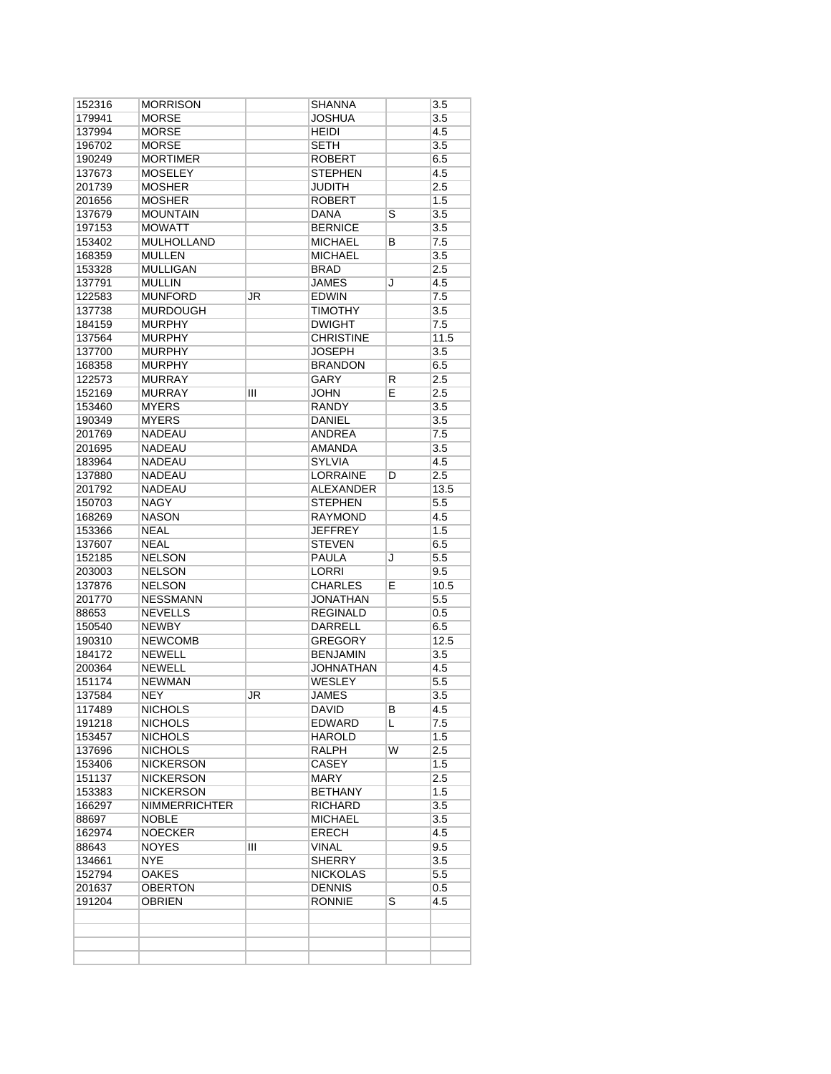| 152316 | <b>MORRISON</b>      |    | SHANNA           |    | 3.5  |
|--------|----------------------|----|------------------|----|------|
| 179941 | <b>MORSE</b>         |    | JOSHUA           |    | 3.5  |
| 137994 | <b>MORSE</b>         |    | <b>HEIDI</b>     |    | 4.5  |
| 196702 | <b>MORSE</b>         |    | <b>SETH</b>      |    | 3.5  |
| 190249 | <b>MORTIMER</b>      |    | <b>ROBERT</b>    |    | 6.5  |
| 137673 | <b>MOSELEY</b>       |    | <b>STEPHEN</b>   |    | 4.5  |
| 201739 | <b>MOSHER</b>        |    | <b>JUDITH</b>    |    | 2.5  |
| 201656 | <b>MOSHER</b>        |    | <b>ROBERT</b>    |    | 1.5  |
| 137679 | <b>MOUNTAIN</b>      |    | DANA             | S  | 3.5  |
| 197153 | <b>MOWATT</b>        |    | <b>BERNICE</b>   |    | 3.5  |
| 153402 | <b>MULHOLLAND</b>    |    | <b>MICHAEL</b>   | В  | 7.5  |
| 168359 | <b>MULLEN</b>        |    | MICHAEL          |    | 3.5  |
| 153328 | <b>MULLIGAN</b>      |    | <b>BRAD</b>      |    | 2.5  |
|        | <b>MULLIN</b>        |    | <b>JAMES</b>     |    | 4.5  |
| 137791 |                      |    |                  | J  |      |
| 122583 | <b>MUNFORD</b>       | JR | EDWIN            |    | 7.5  |
| 137738 | <b>MURDOUGH</b>      |    | <b>TIMOTHY</b>   |    | 3.5  |
| 184159 | <b>MURPHY</b>        |    | <b>DWIGHT</b>    |    | 7.5  |
| 137564 | <b>MURPHY</b>        |    | <b>CHRISTINE</b> |    | 11.5 |
| 137700 | <b>MURPHY</b>        |    | JOSEPH           |    | 3.5  |
| 168358 | <b>MURPHY</b>        |    | <b>BRANDON</b>   |    | 6.5  |
| 122573 | <b>MURRAY</b>        |    | <b>GARY</b>      | R. | 2.5  |
| 152169 | <b>MURRAY</b>        | Ш  | <b>JOHN</b>      | E  | 2.5  |
| 153460 | <b>MYERS</b>         |    | <b>RANDY</b>     |    | 3.5  |
| 190349 | <b>MYERS</b>         |    | <b>DANIEL</b>    |    | 3.5  |
| 201769 | <b>NADEAU</b>        |    | ANDREA           |    | 7.5  |
| 201695 | <b>NADEAU</b>        |    | <b>AMANDA</b>    |    | 3.5  |
| 183964 | <b>NADEAU</b>        |    | <b>SYLVIA</b>    |    | 4.5  |
| 137880 | <b>NADEAU</b>        |    | LORRAINE         | D  | 2.5  |
| 201792 | <b>NADEAU</b>        |    | <b>ALEXANDER</b> |    | 13.5 |
|        |                      |    |                  |    |      |
| 150703 | <b>NAGY</b>          |    | <b>STEPHEN</b>   |    | 5.5  |
| 168269 | <b>NASON</b>         |    | <b>RAYMOND</b>   |    | 4.5  |
| 153366 | <b>NEAL</b>          |    | <b>JEFFREY</b>   |    | 1.5  |
| 137607 | <b>NEAL</b>          |    | <b>STEVEN</b>    |    | 6.5  |
| 152185 | <b>NELSON</b>        |    | PAULA            | J  | 5.5  |
| 203003 | <b>NELSON</b>        |    | <b>LORRI</b>     |    | 9.5  |
| 137876 | <b>NELSON</b>        |    | <b>CHARLES</b>   | E  | 10.5 |
| 201770 | <b>NESSMANN</b>      |    | JONATHAN         |    | 5.5  |
| 88653  | <b>NEVELLS</b>       |    | <b>REGINALD</b>  |    | 0.5  |
| 150540 | <b>NEWBY</b>         |    | <b>DARRELL</b>   |    | 6.5  |
| 190310 | <b>NEWCOMB</b>       |    | GREGORY          |    | 12.5 |
| 184172 | <b>NEWELL</b>        |    | <b>BENJAMIN</b>  |    | 3.5  |
| 200364 | <b>NEWELL</b>        |    | JOHNATHAN        |    | 4.5  |
| 151174 | <b>NEWMAN</b>        |    | <b>WESLEY</b>    |    | 5.5  |
| 137584 | NEY                  | JR | JAMES            |    | 3.5  |
| 117489 | <b>NICHOLS</b>       |    | <b>DAVID</b>     | В  | 4.5  |
| 191218 | <b>NICHOLS</b>       |    | EDWARD           | L  | 7.5  |
| 153457 | <b>NICHOLS</b>       |    | HAROLD           |    | 1.5  |
| 137696 | <b>NICHOLS</b>       |    | <b>RALPH</b>     | W  | 2.5  |
| 153406 | <b>NICKERSON</b>     |    | <b>CASEY</b>     |    | 1.5  |
|        |                      |    |                  |    |      |
| 151137 | <b>NICKERSON</b>     |    | MARY             |    | 2.5  |
| 153383 | <b>NICKERSON</b>     |    | BETHANY          |    | 1.5  |
| 166297 | <b>NIMMERRICHTER</b> |    | <b>RICHARD</b>   |    | 3.5  |
| 88697  | <b>NOBLE</b>         |    | MICHAEL          |    | 3.5  |
| 162974 | <b>NOECKER</b>       |    | <b>ERECH</b>     |    | 4.5  |
| 88643  | <b>NOYES</b>         | Ш  | <b>VINAL</b>     |    | 9.5  |
| 134661 | <b>NYE</b>           |    | <b>SHERRY</b>    |    | 3.5  |
| 152794 | <b>OAKES</b>         |    | NICKOLAS         |    | 5.5  |
| 201637 | <b>OBERTON</b>       |    | <b>DENNIS</b>    |    | 0.5  |
| 191204 | OBRIEN               |    | RONNIE           | S  | 4.5  |
|        |                      |    |                  |    |      |
|        |                      |    |                  |    |      |
|        |                      |    |                  |    |      |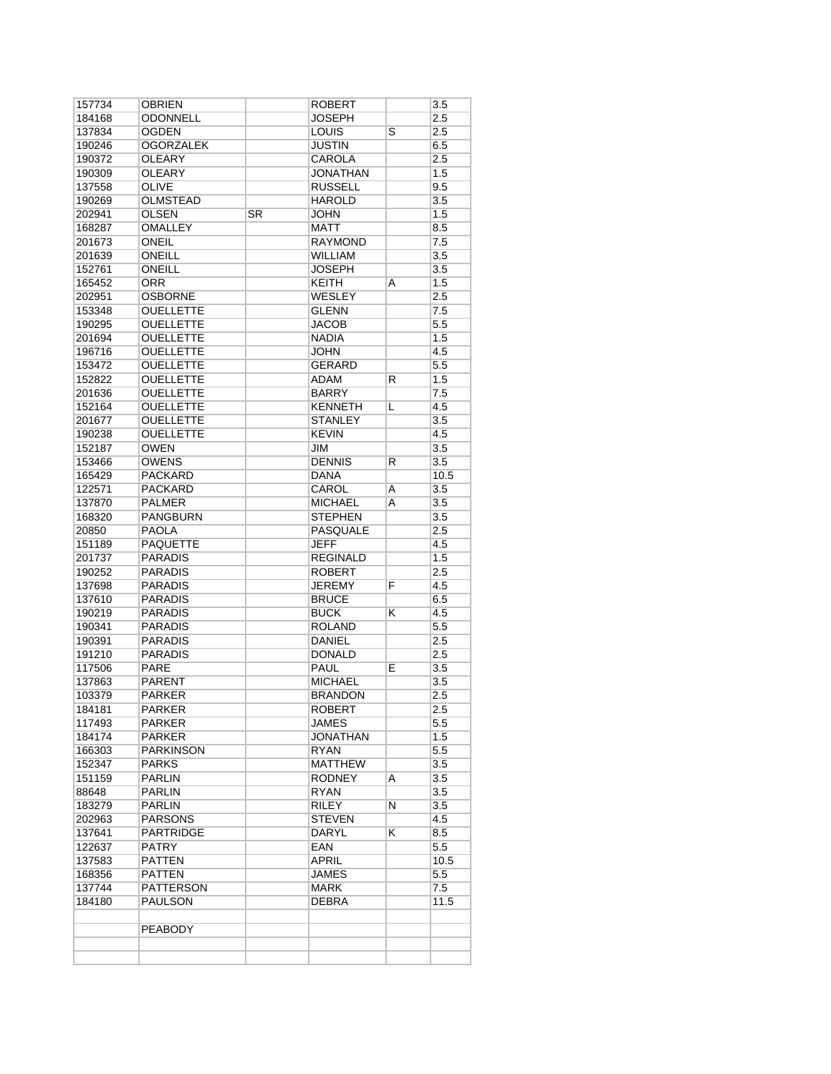| 157734 | OBRIEN           |    | ROBERT          |   | 3.5              |
|--------|------------------|----|-----------------|---|------------------|
| 184168 | ODONNELL         |    | JOSEPH          |   | 2.5              |
| 137834 | <b>OGDEN</b>     |    | <b>LOUIS</b>    | S | 2.5              |
| 190246 | <b>OGORZALEK</b> |    | <b>JUSTIN</b>   |   | 6.5              |
| 190372 | <b>OLEARY</b>    |    | CAROLA          |   | 2.5              |
| 190309 | <b>OLEARY</b>    |    | <b>JONATHAN</b> |   | 1.5              |
| 137558 | <b>OLIVE</b>     |    | <b>RUSSELL</b>  |   | 9.5              |
| 190269 | <b>OLMSTEAD</b>  |    | <b>HAROLD</b>   |   | 3.5              |
| 202941 | OLSEN            | SR | JOHN            |   | 1.5              |
| 168287 | <b>OMALLEY</b>   |    | <b>MATT</b>     |   | 8.5              |
| 201673 | <b>ONEIL</b>     |    | <b>RAYMOND</b>  |   | 7.5              |
| 201639 | <b>ONEILL</b>    |    | WILLIAM         |   | 3.5              |
| 152761 | ONEILL           |    | <b>JOSEPH</b>   |   | 3.5              |
| 165452 | <b>ORR</b>       |    | <b>KEITH</b>    | A | 1.5              |
| 202951 | <b>OSBORNE</b>   |    | WESLEY          |   | 2.5              |
| 153348 | <b>OUELLETTE</b> |    | <b>GLENN</b>    |   | $\overline{7.5}$ |
| 190295 | <b>OUELLETTE</b> |    | JACOB           |   | 5.5              |
| 201694 | <b>OUELLETTE</b> |    | <b>NADIA</b>    |   | 1.5              |
| 196716 | <b>OUELLETTE</b> |    | <b>JOHN</b>     |   | 4.5              |
| 153472 | <b>OUELLETTE</b> |    | <b>GERARD</b>   |   | 5.5              |
| 152822 | <b>OUELLETTE</b> |    | ADAM            | R | 1.5              |
| 201636 | <b>OUELLETTE</b> |    | BARRY           |   | 7.5              |
| 152164 | <b>OUELLETTE</b> |    | <b>KENNETH</b>  | L | 4.5              |
| 201677 | <b>OUELLETTE</b> |    | <b>STANLEY</b>  |   | 3.5              |
| 190238 | <b>OUELLETTE</b> |    | <b>KEVIN</b>    |   | 4.5              |
| 152187 | <b>OWEN</b>      |    | JIM             |   | 3.5              |
| 153466 | <b>OWENS</b>     |    | <b>DENNIS</b>   | R | 3.5              |
| 165429 | <b>PACKARD</b>   |    | <b>DANA</b>     |   | 10.5             |
| 122571 | <b>PACKARD</b>   |    | CAROL           |   | 3.5              |
|        |                  |    |                 | Α |                  |
| 137870 | PALMER           |    | <b>MICHAEL</b>  | A | 3.5              |
| 168320 | <b>PANGBURN</b>  |    | <b>STEPHEN</b>  |   | 3.5              |
| 20850  | <b>PAOLA</b>     |    | <b>PASQUALE</b> |   | 2.5              |
| 151189 | <b>PAQUETTE</b>  |    | <b>JEFF</b>     |   | 4.5              |
| 201737 | PARADIS          |    | <b>REGINALD</b> |   | 1.5              |
| 190252 | <b>PARADIS</b>   |    | <b>ROBERT</b>   |   | 2.5              |
| 137698 | <b>PARADIS</b>   |    | JEREMY          | F | 4.5              |
| 137610 | <b>PARADIS</b>   |    | <b>BRUCE</b>    |   | 6.5              |
| 190219 | <b>PARADIS</b>   |    | <b>BUCK</b>     | κ | 4.5              |
| 190341 | <b>PARADIS</b>   |    | <b>ROLAND</b>   |   | 5.5              |
| 190391 | <b>PARADIS</b>   |    | <b>DANIEL</b>   |   | 2.5              |
| 191210 | <b>PARADIS</b>   |    | <b>DONALD</b>   |   | 2.5              |
| 117506 | PARE             |    | PAUL            | Е | 3.5              |
| 137863 | PARENT           |    | <b>MICHAEL</b>  |   | 3.5              |
| 103379 | <b>PARKER</b>    |    | <b>BRANDON</b>  |   | 2.5              |
| 184181 | <b>PARKER</b>    |    | <b>ROBERT</b>   |   | 2.5              |
| 117493 | PARKER           |    | JAMES           |   | $5.5\,$          |
| 184174 | PARKER           |    | JONATHAN        |   | 1.5              |
| 166303 | PARKINSON        |    | RYAN            |   | 5.5              |
| 152347 | <b>PARKS</b>     |    | <b>MATTHEW</b>  |   | 3.5              |
| 151159 | PARLIN           |    | <b>RODNEY</b>   | A | 3.5              |
| 88648  | PARLIN           |    | RYAN            |   | 3.5              |
| 183279 | PARLIN           |    | RILEY           | Ν | 3.5              |
| 202963 | <b>PARSONS</b>   |    | <b>STEVEN</b>   |   | 4.5              |
| 137641 | PARTRIDGE        |    | DARYL           | ĸ | 8.5              |
| 122637 | <b>PATRY</b>     |    | <b>EAN</b>      |   | 5.5              |
| 137583 | <b>PATTEN</b>    |    | <b>APRIL</b>    |   | 10.5             |
| 168356 | <b>PATTEN</b>    |    | JAMES           |   | 5.5              |
| 137744 | PATTERSON        |    | MARK            |   | 7.5              |
| 184180 | PAULSON          |    | <b>DEBRA</b>    |   | 11.5             |
|        |                  |    |                 |   |                  |
|        |                  |    |                 |   |                  |
|        | PEABODY          |    |                 |   |                  |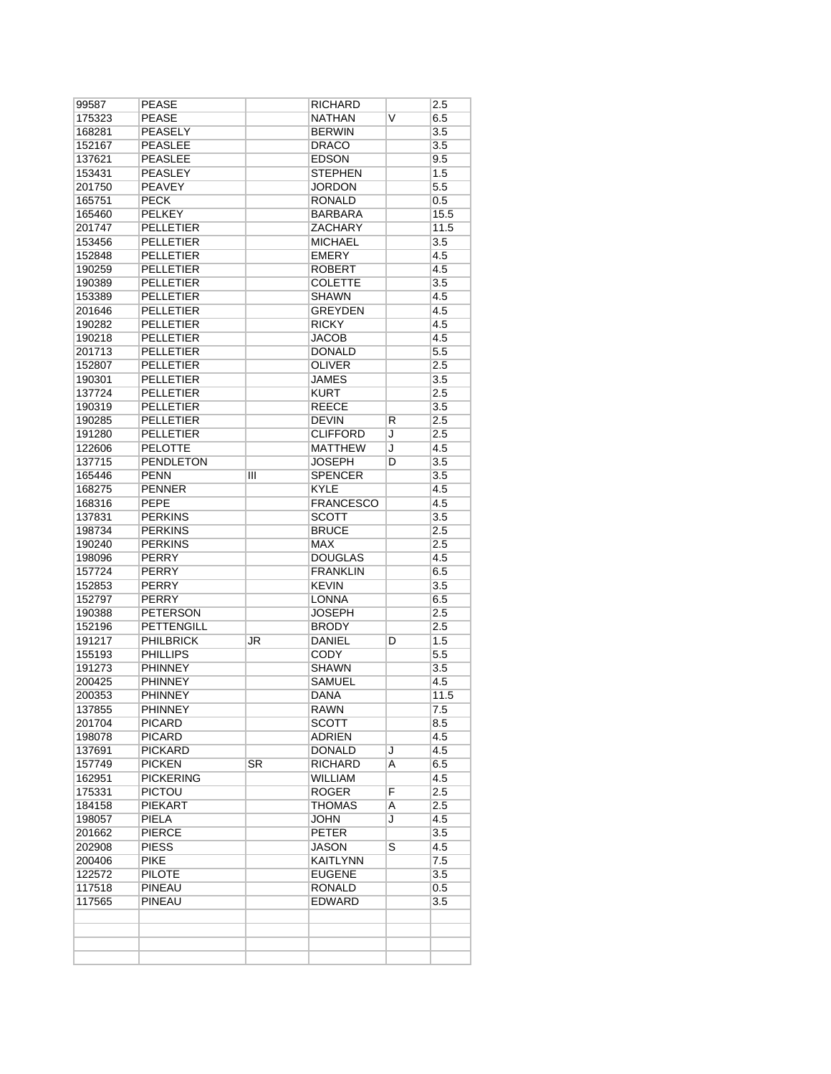| 175323           | <b>PEASE</b><br><b>PEASELY</b> |    | NATHAN           | V | 6.5  |
|------------------|--------------------------------|----|------------------|---|------|
| 168281           |                                |    |                  |   |      |
| 152167           |                                |    | <b>BERWIN</b>    |   | 3.5  |
|                  | <b>PEASLEE</b>                 |    | <b>DRACO</b>     |   | 3.5  |
| 137621           | <b>PEASLEE</b>                 |    | <b>EDSON</b>     |   | 9.5  |
| 153431           | <b>PEASLEY</b>                 |    | <b>STEPHEN</b>   |   | 1.5  |
| 201750           | <b>PEAVEY</b>                  |    | <b>JORDON</b>    |   | 5.5  |
| 165751           | <b>PECK</b>                    |    | <b>RONALD</b>    |   | 0.5  |
| 165460           | <b>PELKEY</b>                  |    | <b>BARBARA</b>   |   | 15.5 |
| 201747           | <b>PELLETIER</b>               |    | <b>ZACHARY</b>   |   | 11.5 |
| 153456           | <b>PELLETIER</b>               |    | <b>MICHAEL</b>   |   | 3.5  |
| 152848           | <b>PELLETIER</b>               |    | <b>EMERY</b>     |   | 4.5  |
| 190259           | <b>PELLETIER</b>               |    | <b>ROBERT</b>    |   | 4.5  |
| 190389           | <b>PELLETIER</b>               |    | <b>COLETTE</b>   |   | 3.5  |
| 153389           | <b>PELLETIER</b>               |    | <b>SHAWN</b>     |   | 4.5  |
| 201646           | <b>PELLETIER</b>               |    | <b>GREYDEN</b>   |   | 4.5  |
| 190282           | <b>PELLETIER</b>               |    | <b>RICKY</b>     |   | 4.5  |
| 190218           | <b>PELLETIER</b>               |    | JACOB            |   | 4.5  |
| 201713           | <b>PELLETIER</b>               |    | <b>DONALD</b>    |   | 5.5  |
| 152807           | <b>PELLETIER</b>               |    | <b>OLIVER</b>    |   | 2.5  |
| 190301           | <b>PELLETIER</b>               |    | <b>JAMES</b>     |   | 3.5  |
| 137724           | <b>PELLETIER</b>               |    | <b>KURT</b>      |   | 2.5  |
| 190319           | <b>PELLETIER</b>               |    | <b>REECE</b>     |   | 3.5  |
| 190285           | <b>PELLETIER</b>               |    | <b>DEVIN</b>     | R | 2.5  |
| 191280           | <b>PELLETIER</b>               |    | <b>CLIFFORD</b>  | J | 2.5  |
| 122606           | <b>PELOTTE</b>                 |    | <b>MATTHEW</b>   | J | 4.5  |
| 137715           | <b>PENDLETON</b>               |    | <b>JOSEPH</b>    | D | 3.5  |
| 165446           | <b>PENN</b>                    | Ш  | <b>SPENCER</b>   |   | 3.5  |
| 168275           | <b>PENNER</b>                  |    | <b>KYLE</b>      |   | 4.5  |
| 168316           | <b>PEPE</b>                    |    | <b>FRANCESCO</b> |   | 4.5  |
| 137831           | <b>PERKINS</b>                 |    | <b>SCOTT</b>     |   | 3.5  |
| 198734           | <b>PERKINS</b>                 |    | <b>BRUCE</b>     |   | 2.5  |
| 190240           | <b>PERKINS</b>                 |    | <b>MAX</b>       |   | 2.5  |
| 198096           | <b>PERRY</b>                   |    | <b>DOUGLAS</b>   |   | 4.5  |
| 157724           | <b>PERRY</b>                   |    | <b>FRANKLIN</b>  |   | 6.5  |
| 152853           | <b>PERRY</b>                   |    | <b>KEVIN</b>     |   | 3.5  |
| 152797           | <b>PERRY</b>                   |    | <b>LONNA</b>     |   | 6.5  |
| 190388           | <b>PETERSON</b>                |    | <b>JOSEPH</b>    |   | 2.5  |
| 152196           | <b>PETTENGILL</b>              |    | <b>BRODY</b>     |   | 2.5  |
| 191217           | <b>PHILBRICK</b>               | JR | <b>DANIEL</b>    | D | 1.5  |
| 155193           | <b>PHILLIPS</b>                |    | <b>CODY</b>      |   | 5.5  |
|                  | <b>PHINNEY</b>                 |    | <b>SHAWN</b>     |   | 3.5  |
| 191273<br>200425 | <b>PHINNEY</b>                 |    | SAMUEL           |   | 4.5  |
|                  | <b>PHINNEY</b>                 |    |                  |   | 11.5 |
| 200353           |                                |    | DANA             |   |      |
| 137855           | <b>PHINNEY</b>                 |    | <b>RAWN</b>      |   | 7.5  |
| 201704           | <b>PICARD</b>                  |    | SCOTT            |   | 8.5  |
| 198078           | <b>PICARD</b>                  |    | ADRIEN           |   | 4.5  |
| 137691           | <b>PICKARD</b>                 |    | DONALD           | J | 4.5  |
| 157749           | <b>PICKEN</b>                  | SR | RICHARD          | A | 6.5  |
| 162951           | <b>PICKERING</b>               |    | <b>WILLIAM</b>   |   | 4.5  |
| 175331           | PICTOU                         |    | ROGER            | F | 2.5  |
| 184158           | PIEKART                        |    | <b>THOMAS</b>    | Α | 2.5  |
| 198057           | PIELA                          |    | <b>JOHN</b>      | J | 4.5  |
| 201662           | PIERCE                         |    | <b>PETER</b>     |   | 3.5  |
| 202908           | <b>PIESS</b>                   |    | <b>JASON</b>     | S | 4.5  |
| 200406           | <b>PIKE</b>                    |    | <b>KAITLYNN</b>  |   | 7.5  |
| 122572           | <b>PILOTE</b>                  |    | <b>EUGENE</b>    |   | 3.5  |
| 117518           | <b>PINEAU</b>                  |    | <b>RONALD</b>    |   | 0.5  |
| 117565           | PINEAU                         |    | EDWARD           |   | 3.5  |
|                  |                                |    |                  |   |      |
|                  |                                |    |                  |   |      |
|                  |                                |    |                  |   |      |
|                  |                                |    |                  |   |      |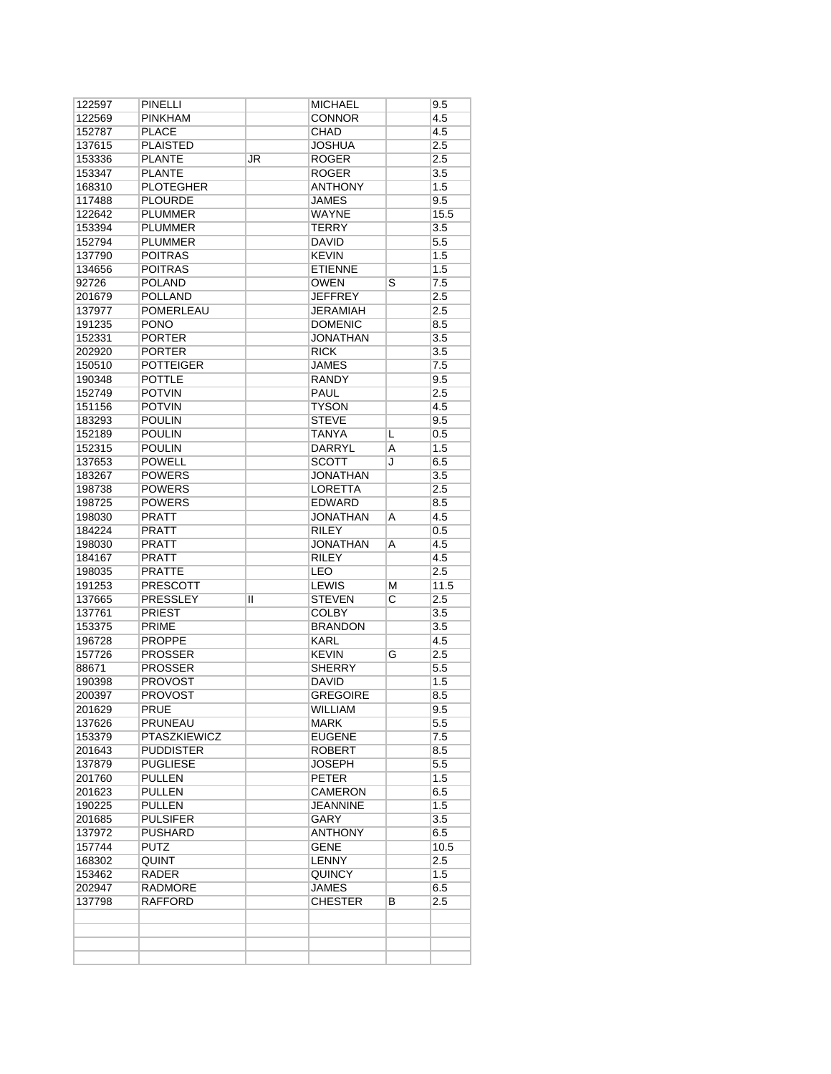| 122597 | <b>PINELLI</b>      |    | <b>MICHAEL</b>  |                         | 9.5              |
|--------|---------------------|----|-----------------|-------------------------|------------------|
| 122569 | <b>PINKHAM</b>      |    | <b>CONNOR</b>   |                         | 4.5              |
| 152787 | <b>PLACE</b>        |    | CHAD            |                         | 4.5              |
| 137615 | <b>PLAISTED</b>     |    | <b>JOSHUA</b>   |                         | 2.5              |
| 153336 | <b>PLANTE</b>       | JR | <b>ROGER</b>    |                         | 2.5              |
| 153347 | <b>PLANTE</b>       |    | <b>ROGER</b>    |                         | 3.5              |
| 168310 | <b>PLOTEGHER</b>    |    | <b>ANTHONY</b>  |                         | 1.5              |
| 117488 | <b>PLOURDE</b>      |    | JAMES           |                         | 9.5              |
| 122642 | PLUMMER             |    | <b>WAYNE</b>    |                         | 15.5             |
| 153394 | PLUMMER             |    | <b>TERRY</b>    |                         | $\overline{3.5}$ |
| 152794 | PLUMMER             |    | <b>DAVID</b>    |                         | 5.5              |
| 137790 | <b>POITRAS</b>      |    | <b>KEVIN</b>    |                         | 1.5              |
| 134656 | <b>POITRAS</b>      |    | <b>ETIENNE</b>  |                         | 1.5              |
| 92726  | <b>POLAND</b>       |    | <b>OWEN</b>     | $\overline{\mathsf{s}}$ | 7.5              |
| 201679 | <b>POLLAND</b>      |    | <b>JEFFREY</b>  |                         | 2.5              |
| 137977 | <b>POMERLEAU</b>    |    | JERAMIAH        |                         | 2.5              |
| 191235 | <b>PONO</b>         |    | <b>DOMENIC</b>  |                         | 8.5              |
| 152331 | <b>PORTER</b>       |    | <b>JONATHAN</b> |                         | 3.5              |
| 202920 | <b>PORTER</b>       |    | <b>RICK</b>     |                         | 3.5              |
| 150510 | <b>POTTEIGER</b>    |    | <b>JAMES</b>    |                         | 7.5              |
| 190348 | <b>POTTLE</b>       |    | RANDY           |                         | 9.5              |
| 152749 | <b>POTVIN</b>       |    | <b>PAUL</b>     |                         | 2.5              |
| 151156 | <b>POTVIN</b>       |    | <b>TYSON</b>    |                         | 4.5              |
| 183293 | <b>POULIN</b>       |    | <b>STEVE</b>    |                         | 9.5              |
| 152189 | <b>POULIN</b>       |    | <b>TANYA</b>    | L                       | 0.5              |
| 152315 | <b>POULIN</b>       |    | <b>DARRYL</b>   | Α                       | 1.5              |
| 137653 | <b>POWELL</b>       |    | <b>SCOTT</b>    | J                       | 6.5              |
| 183267 | <b>POWERS</b>       |    | <b>JONATHAN</b> |                         | 3.5              |
| 198738 | <b>POWERS</b>       |    | <b>LORETTA</b>  |                         | 2.5              |
| 198725 | <b>POWERS</b>       |    | <b>EDWARD</b>   |                         | 8.5              |
| 198030 | <b>PRATT</b>        |    | <b>JONATHAN</b> | Α                       | 4.5              |
| 184224 | PRATT               |    | <b>RILEY</b>    |                         | 0.5              |
| 198030 | <b>PRATT</b>        |    | <b>JONATHAN</b> | Α                       | 4.5              |
| 184167 | <b>PRATT</b>        |    | <b>RILEY</b>    |                         | 4.5              |
| 198035 | <b>PRATTE</b>       |    | LEO             |                         | 2.5              |
| 191253 | <b>PRESCOTT</b>     |    | <b>LEWIS</b>    | м                       | 11.5             |
| 137665 | <b>PRESSLEY</b>     | Ш  | <b>STEVEN</b>   | С                       | 2.5              |
| 137761 | <b>PRIEST</b>       |    | <b>COLBY</b>    |                         | 3.5              |
| 153375 | PRIME               |    | <b>BRANDON</b>  |                         | 3.5              |
| 196728 | <b>PROPPE</b>       |    | <b>KARL</b>     |                         | 4.5              |
| 157726 | <b>PROSSER</b>      |    | <b>KEVIN</b>    | G                       | 2.5              |
| 88671  | <b>PROSSER</b>      |    | <b>SHERRY</b>   |                         | 5.5              |
| 190398 | <b>PROVOST</b>      |    | <b>DAVID</b>    |                         | 1.5              |
| 200397 | <b>PROVOST</b>      |    | <b>GREGOIRE</b> |                         | 8.5              |
| 201629 | PRUE                |    | WILLIAM         |                         | 9.5              |
| 137626 | PRUNEAU             |    | MARK            |                         | 5.5              |
| 153379 | <b>PTASZKIEWICZ</b> |    | <b>EUGENE</b>   |                         | 7.5              |
| 201643 | <b>PUDDISTER</b>    |    | <b>ROBERT</b>   |                         | 8.5              |
| 137879 | <b>PUGLIESE</b>     |    | <b>JOSEPH</b>   |                         | 5.5              |
| 201760 | PULLEN              |    | <b>PETER</b>    |                         | 1.5              |
| 201623 | PULLEN              |    | CAMERON         |                         | 6.5              |
| 190225 | <b>PULLEN</b>       |    | JEANNINE        |                         | 1.5              |
| 201685 | <b>PULSIFER</b>     |    | GARY            |                         | 3.5              |
| 137972 | <b>PUSHARD</b>      |    | <b>ANTHONY</b>  |                         | 6.5              |
| 157744 | PUTZ                |    | GENE            |                         | 10.5             |
| 168302 | QUINT               |    | <b>LENNY</b>    |                         | 2.5              |
| 153462 | RADER               |    | <b>QUINCY</b>   |                         | 1.5              |
| 202947 | RADMORE             |    | JAMES           |                         | 6.5              |
| 137798 | RAFFORD             |    | <b>CHESTER</b>  | В                       | 2.5              |
|        |                     |    |                 |                         |                  |
|        |                     |    |                 |                         |                  |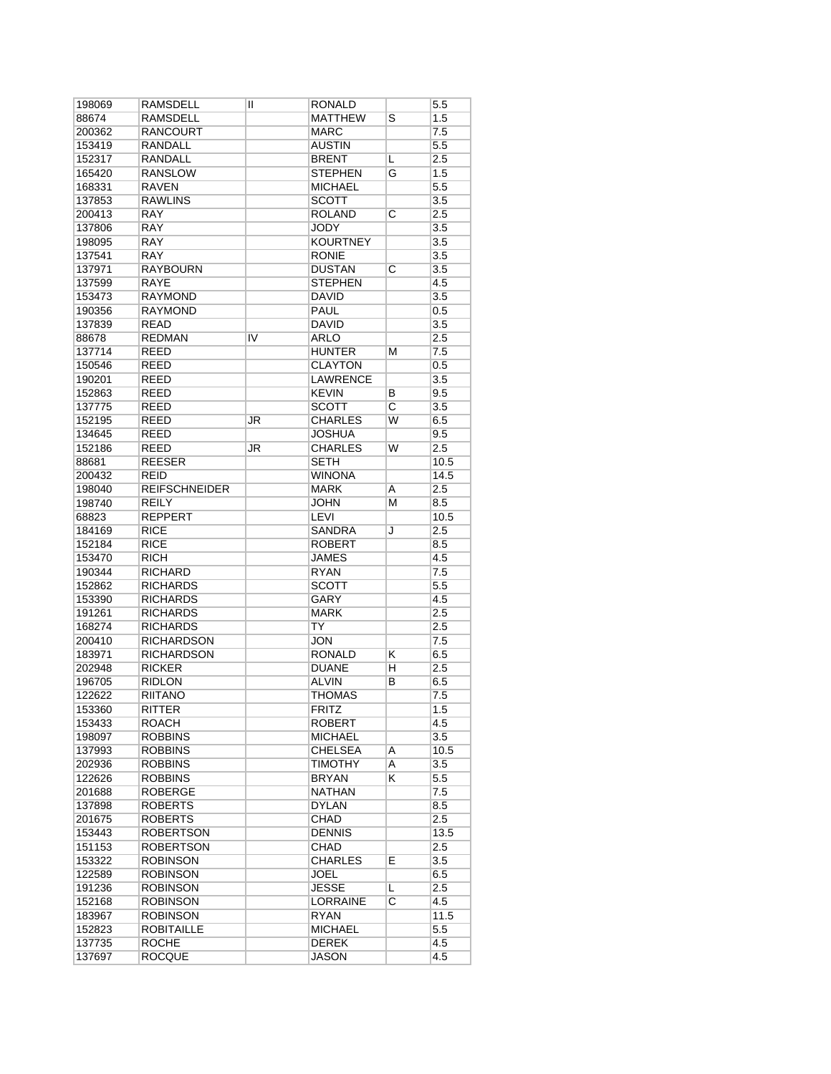| 198069 | RAMSDELL             | II | RONALD          |                         | 5.5     |
|--------|----------------------|----|-----------------|-------------------------|---------|
| 88674  | RAMSDELL             |    | <b>MATTHEW</b>  | S                       | 1.5     |
| 200362 | RANCOURT             |    | <b>MARC</b>     |                         | 7.5     |
| 153419 | <b>RANDALL</b>       |    | <b>AUSTIN</b>   |                         | 5.5     |
| 152317 | RANDALL              |    | <b>BRENT</b>    | L                       | 2.5     |
| 165420 | <b>RANSLOW</b>       |    | <b>STEPHEN</b>  | G                       | 1.5     |
| 168331 | RAVEN                |    | <b>MICHAEL</b>  |                         | $5.5\,$ |
| 137853 | <b>RAWLINS</b>       |    | SCOTT           |                         | 3.5     |
| 200413 | <b>RAY</b>           |    | <b>ROLAND</b>   | C                       | 2.5     |
| 137806 | <b>RAY</b>           |    | JODY            |                         | 3.5     |
| 198095 | <b>RAY</b>           |    | <b>KOURTNEY</b> |                         | 3.5     |
| 137541 | RAY                  |    | <b>RONIE</b>    |                         | 3.5     |
| 137971 | <b>RAYBOURN</b>      |    | <b>DUSTAN</b>   | $\overline{\rm c}$      | 3.5     |
| 137599 | <b>RAYE</b>          |    | <b>STEPHEN</b>  |                         | 4.5     |
| 153473 | <b>RAYMOND</b>       |    | <b>DAVID</b>    |                         | 3.5     |
| 190356 | <b>RAYMOND</b>       |    | <b>PAUL</b>     |                         | 0.5     |
| 137839 | <b>READ</b>          |    | <b>DAVID</b>    |                         | 3.5     |
| 88678  | <b>REDMAN</b>        | IV | ARLO            |                         | 2.5     |
| 137714 | <b>REED</b>          |    | HUNTER          | м                       | 7.5     |
| 150546 | REED                 |    | <b>CLAYTON</b>  |                         | 0.5     |
| 190201 | <b>REED</b>          |    | <b>LAWRENCE</b> |                         | 3.5     |
| 152863 | <b>REED</b>          |    | <b>KEVIN</b>    | В                       | 9.5     |
|        | <b>REED</b>          |    | <b>SCOTT</b>    | $\overline{\mathrm{c}}$ |         |
| 137775 |                      |    | <b>CHARLES</b>  | W                       | 3.5     |
| 152195 | REED                 | JR |                 |                         | 6.5     |
| 134645 | <b>REED</b>          |    | JOSHUA          |                         | 9.5     |
| 152186 | <b>REED</b>          | JR | <b>CHARLES</b>  | W                       | 2.5     |
| 88681  | <b>REESER</b>        |    | <b>SETH</b>     |                         | 10.5    |
| 200432 | REID                 |    | <b>WINONA</b>   |                         | 14.5    |
| 198040 | <b>REIFSCHNEIDER</b> |    | <b>MARK</b>     | Α                       | 2.5     |
| 198740 | <b>REILY</b>         |    | <b>JOHN</b>     | М                       | 8.5     |
| 68823  | <b>REPPERT</b>       |    | LEVI            |                         | 10.5    |
| 184169 | RICE                 |    | <b>SANDRA</b>   | J                       | 2.5     |
| 152184 | <b>RICE</b>          |    | <b>ROBERT</b>   |                         | 8.5     |
| 153470 | <b>RICH</b>          |    | JAMES           |                         | 4.5     |
| 190344 | <b>RICHARD</b>       |    | <b>RYAN</b>     |                         | 7.5     |
| 152862 | RICHARDS             |    | SCOTT           |                         | $5.5\,$ |
| 153390 | RICHARDS             |    | GARY            |                         | 4.5     |
| 191261 | <b>RICHARDS</b>      |    | <b>MARK</b>     |                         | 2.5     |
| 168274 | <b>RICHARDS</b>      |    | TY              |                         | 2.5     |
| 200410 | RICHARDSON           |    | <b>JON</b>      |                         | 7.5     |
| 183971 | <b>RICHARDSON</b>    |    | RONALD          | κ                       | 6.5     |
| 202948 | <b>RICKER</b>        |    | <b>DUANE</b>    | н                       | 2.5     |
| 196705 | RIDLON               |    | ALVIN           | B                       | 6.5     |
| 122622 | RIITANO              |    | THOMAS          |                         | 7.5     |
| 153360 | RITTER               |    | <b>FRITZ</b>    |                         | 1.5     |
| 153433 | ROACH                |    | ROBERT          |                         | 4.5     |
| 198097 | <b>ROBBINS</b>       |    | MICHAEL         |                         | 3.5     |
| 137993 | <b>ROBBINS</b>       |    | <b>CHELSEA</b>  | Α                       | 10.5    |
| 202936 | <b>ROBBINS</b>       |    | <b>TIMOTHY</b>  | A                       | 3.5     |
| 122626 | ROBBINS              |    | BRYAN           | K.                      | 5.5     |
| 201688 | ROBERGE              |    | <b>NATHAN</b>   |                         | 7.5     |
| 137898 | <b>ROBERTS</b>       |    | <b>DYLAN</b>    |                         | 8.5     |
| 201675 | <b>ROBERTS</b>       |    | CHAD            |                         | $2.5\,$ |
| 153443 | <b>ROBERTSON</b>     |    | <b>DENNIS</b>   |                         | 13.5    |
| 151153 | <b>ROBERTSON</b>     |    | CHAD            |                         | 2.5     |
| 153322 | <b>ROBINSON</b>      |    | CHARLES         | E                       | 3.5     |
| 122589 | ROBINSON             |    | JOEL            |                         | 6.5     |
| 191236 | ROBINSON             |    | JESSE           | L                       | 2.5     |
| 152168 | ROBINSON             |    | LORRAINE        | $\overline{\mathsf{c}}$ | 4.5     |
| 183967 | ROBINSON             |    | RYAN            |                         | 11.5    |
| 152823 | ROBITAILLE           |    | <b>MICHAEL</b>  |                         | $5.5\,$ |
| 137735 | <b>ROCHE</b>         |    | DEREK           |                         | 4.5     |
| 137697 | <b>ROCQUE</b>        |    | JASON           |                         | 4.5     |
|        |                      |    |                 |                         |         |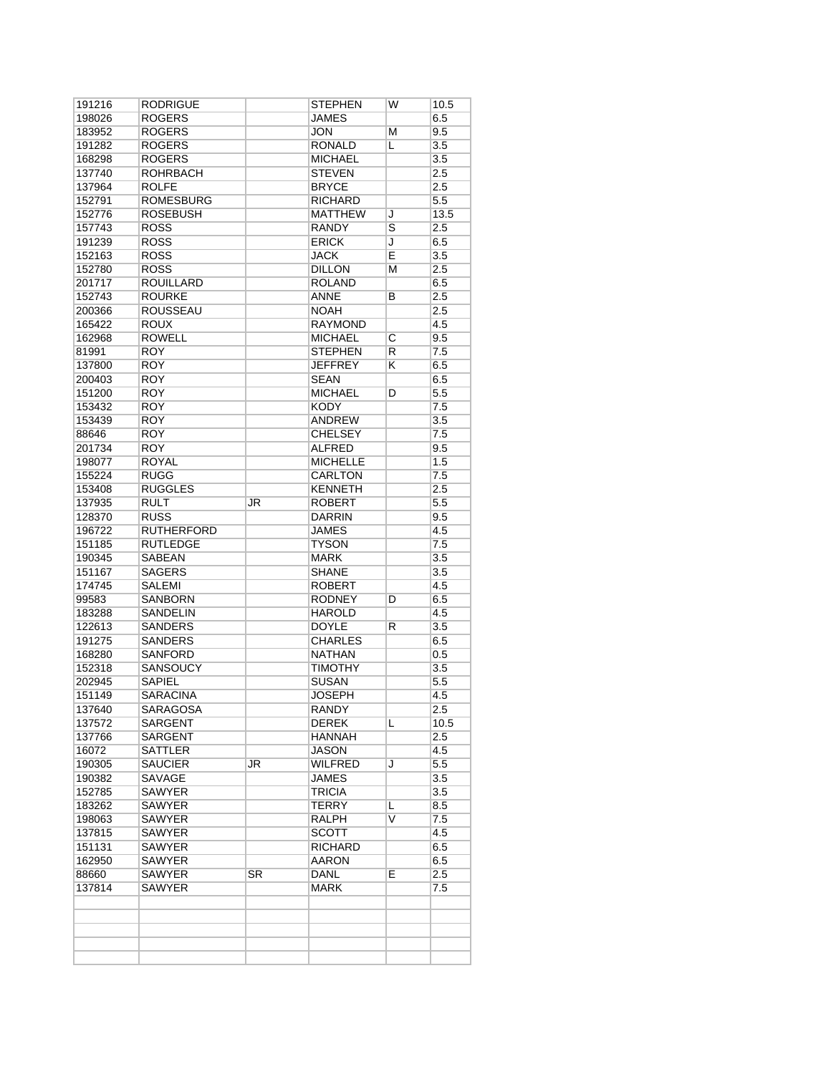| ROGERS           |                                                                                                                                                                                                                                                                                                                                                                                                                                                                                                                                    | JAMES          |                                                                                                                                                                                                                                                                                                                                                                                                                                                        | 6.5                             |
|------------------|------------------------------------------------------------------------------------------------------------------------------------------------------------------------------------------------------------------------------------------------------------------------------------------------------------------------------------------------------------------------------------------------------------------------------------------------------------------------------------------------------------------------------------|----------------|--------------------------------------------------------------------------------------------------------------------------------------------------------------------------------------------------------------------------------------------------------------------------------------------------------------------------------------------------------------------------------------------------------------------------------------------------------|---------------------------------|
|                  |                                                                                                                                                                                                                                                                                                                                                                                                                                                                                                                                    |                |                                                                                                                                                                                                                                                                                                                                                                                                                                                        |                                 |
| ROGERS           |                                                                                                                                                                                                                                                                                                                                                                                                                                                                                                                                    | JON            | М                                                                                                                                                                                                                                                                                                                                                                                                                                                      | 9.5                             |
| <b>ROGERS</b>    |                                                                                                                                                                                                                                                                                                                                                                                                                                                                                                                                    | <b>RONALD</b>  | L                                                                                                                                                                                                                                                                                                                                                                                                                                                      | 3.5                             |
| <b>ROGERS</b>    |                                                                                                                                                                                                                                                                                                                                                                                                                                                                                                                                    | <b>MICHAEL</b> |                                                                                                                                                                                                                                                                                                                                                                                                                                                        | 3.5                             |
| <b>ROHRBACH</b>  |                                                                                                                                                                                                                                                                                                                                                                                                                                                                                                                                    | <b>STEVEN</b>  |                                                                                                                                                                                                                                                                                                                                                                                                                                                        | 2.5                             |
| <b>ROLFE</b>     |                                                                                                                                                                                                                                                                                                                                                                                                                                                                                                                                    | <b>BRYCE</b>   |                                                                                                                                                                                                                                                                                                                                                                                                                                                        | 2.5                             |
| <b>ROMESBURG</b> |                                                                                                                                                                                                                                                                                                                                                                                                                                                                                                                                    | <b>RICHARD</b> |                                                                                                                                                                                                                                                                                                                                                                                                                                                        | 5.5                             |
| ROSEBUSH         |                                                                                                                                                                                                                                                                                                                                                                                                                                                                                                                                    | <b>MATTHEW</b> | J                                                                                                                                                                                                                                                                                                                                                                                                                                                      | 13.5                            |
| <b>ROSS</b>      |                                                                                                                                                                                                                                                                                                                                                                                                                                                                                                                                    | RANDY          | $\overline{\mathsf{s}}$                                                                                                                                                                                                                                                                                                                                                                                                                                | 2.5                             |
| <b>ROSS</b>      |                                                                                                                                                                                                                                                                                                                                                                                                                                                                                                                                    | <b>ERICK</b>   | J                                                                                                                                                                                                                                                                                                                                                                                                                                                      | 6.5                             |
| <b>ROSS</b>      |                                                                                                                                                                                                                                                                                                                                                                                                                                                                                                                                    | <b>JACK</b>    | Ē                                                                                                                                                                                                                                                                                                                                                                                                                                                      | 3.5                             |
| <b>ROSS</b>      |                                                                                                                                                                                                                                                                                                                                                                                                                                                                                                                                    | <b>DILLON</b>  | М                                                                                                                                                                                                                                                                                                                                                                                                                                                      | 2.5                             |
| <b>ROUILLARD</b> |                                                                                                                                                                                                                                                                                                                                                                                                                                                                                                                                    | <b>ROLAND</b>  |                                                                                                                                                                                                                                                                                                                                                                                                                                                        | 6.5                             |
| <b>ROURKE</b>    |                                                                                                                                                                                                                                                                                                                                                                                                                                                                                                                                    | <b>ANNE</b>    | В                                                                                                                                                                                                                                                                                                                                                                                                                                                      | 2.5                             |
| <b>ROUSSEAU</b>  |                                                                                                                                                                                                                                                                                                                                                                                                                                                                                                                                    | <b>NOAH</b>    |                                                                                                                                                                                                                                                                                                                                                                                                                                                        | 2.5                             |
| ROUX             |                                                                                                                                                                                                                                                                                                                                                                                                                                                                                                                                    | RAYMOND        |                                                                                                                                                                                                                                                                                                                                                                                                                                                        | 4.5                             |
| <b>ROWELL</b>    |                                                                                                                                                                                                                                                                                                                                                                                                                                                                                                                                    | <b>MICHAEL</b> | C                                                                                                                                                                                                                                                                                                                                                                                                                                                      | 9.5                             |
| <b>ROY</b>       |                                                                                                                                                                                                                                                                                                                                                                                                                                                                                                                                    | <b>STEPHEN</b> | R                                                                                                                                                                                                                                                                                                                                                                                                                                                      | 7.5                             |
| <b>ROY</b>       |                                                                                                                                                                                                                                                                                                                                                                                                                                                                                                                                    | JEFFREY        | ĸ                                                                                                                                                                                                                                                                                                                                                                                                                                                      | 6.5                             |
| <b>ROY</b>       |                                                                                                                                                                                                                                                                                                                                                                                                                                                                                                                                    | <b>SEAN</b>    |                                                                                                                                                                                                                                                                                                                                                                                                                                                        | 6.5                             |
| <b>ROY</b>       |                                                                                                                                                                                                                                                                                                                                                                                                                                                                                                                                    | <b>MICHAEL</b> | D                                                                                                                                                                                                                                                                                                                                                                                                                                                      | 5.5                             |
| <b>ROY</b>       |                                                                                                                                                                                                                                                                                                                                                                                                                                                                                                                                    | <b>KODY</b>    |                                                                                                                                                                                                                                                                                                                                                                                                                                                        | 7.5                             |
|                  |                                                                                                                                                                                                                                                                                                                                                                                                                                                                                                                                    | <b>ANDREW</b>  |                                                                                                                                                                                                                                                                                                                                                                                                                                                        | 3.5                             |
|                  |                                                                                                                                                                                                                                                                                                                                                                                                                                                                                                                                    |                |                                                                                                                                                                                                                                                                                                                                                                                                                                                        | 7.5                             |
|                  |                                                                                                                                                                                                                                                                                                                                                                                                                                                                                                                                    |                |                                                                                                                                                                                                                                                                                                                                                                                                                                                        | 9.5                             |
|                  |                                                                                                                                                                                                                                                                                                                                                                                                                                                                                                                                    |                |                                                                                                                                                                                                                                                                                                                                                                                                                                                        | 1.5                             |
|                  |                                                                                                                                                                                                                                                                                                                                                                                                                                                                                                                                    |                |                                                                                                                                                                                                                                                                                                                                                                                                                                                        | 7.5                             |
|                  |                                                                                                                                                                                                                                                                                                                                                                                                                                                                                                                                    |                |                                                                                                                                                                                                                                                                                                                                                                                                                                                        | 2.5                             |
|                  |                                                                                                                                                                                                                                                                                                                                                                                                                                                                                                                                    |                |                                                                                                                                                                                                                                                                                                                                                                                                                                                        | 5.5                             |
|                  |                                                                                                                                                                                                                                                                                                                                                                                                                                                                                                                                    |                |                                                                                                                                                                                                                                                                                                                                                                                                                                                        | 9.5                             |
|                  |                                                                                                                                                                                                                                                                                                                                                                                                                                                                                                                                    |                |                                                                                                                                                                                                                                                                                                                                                                                                                                                        | 4.5                             |
|                  |                                                                                                                                                                                                                                                                                                                                                                                                                                                                                                                                    |                |                                                                                                                                                                                                                                                                                                                                                                                                                                                        | 7.5                             |
|                  |                                                                                                                                                                                                                                                                                                                                                                                                                                                                                                                                    |                |                                                                                                                                                                                                                                                                                                                                                                                                                                                        | 3.5                             |
|                  |                                                                                                                                                                                                                                                                                                                                                                                                                                                                                                                                    |                |                                                                                                                                                                                                                                                                                                                                                                                                                                                        | 3.5                             |
|                  |                                                                                                                                                                                                                                                                                                                                                                                                                                                                                                                                    |                |                                                                                                                                                                                                                                                                                                                                                                                                                                                        | 4.5                             |
|                  |                                                                                                                                                                                                                                                                                                                                                                                                                                                                                                                                    |                |                                                                                                                                                                                                                                                                                                                                                                                                                                                        | 6.5                             |
|                  |                                                                                                                                                                                                                                                                                                                                                                                                                                                                                                                                    |                |                                                                                                                                                                                                                                                                                                                                                                                                                                                        | 4.5                             |
|                  |                                                                                                                                                                                                                                                                                                                                                                                                                                                                                                                                    |                |                                                                                                                                                                                                                                                                                                                                                                                                                                                        | 3.5                             |
|                  |                                                                                                                                                                                                                                                                                                                                                                                                                                                                                                                                    |                |                                                                                                                                                                                                                                                                                                                                                                                                                                                        | 6.5                             |
|                  |                                                                                                                                                                                                                                                                                                                                                                                                                                                                                                                                    |                |                                                                                                                                                                                                                                                                                                                                                                                                                                                        | 0.5                             |
|                  |                                                                                                                                                                                                                                                                                                                                                                                                                                                                                                                                    |                |                                                                                                                                                                                                                                                                                                                                                                                                                                                        | 3.5                             |
|                  |                                                                                                                                                                                                                                                                                                                                                                                                                                                                                                                                    |                |                                                                                                                                                                                                                                                                                                                                                                                                                                                        | $5.5\,$                         |
|                  |                                                                                                                                                                                                                                                                                                                                                                                                                                                                                                                                    |                |                                                                                                                                                                                                                                                                                                                                                                                                                                                        | 4.5                             |
|                  |                                                                                                                                                                                                                                                                                                                                                                                                                                                                                                                                    |                |                                                                                                                                                                                                                                                                                                                                                                                                                                                        | 2.5                             |
|                  |                                                                                                                                                                                                                                                                                                                                                                                                                                                                                                                                    |                |                                                                                                                                                                                                                                                                                                                                                                                                                                                        | 10.5                            |
|                  |                                                                                                                                                                                                                                                                                                                                                                                                                                                                                                                                    |                |                                                                                                                                                                                                                                                                                                                                                                                                                                                        | 2.5                             |
|                  |                                                                                                                                                                                                                                                                                                                                                                                                                                                                                                                                    |                |                                                                                                                                                                                                                                                                                                                                                                                                                                                        | 4.5                             |
|                  |                                                                                                                                                                                                                                                                                                                                                                                                                                                                                                                                    |                |                                                                                                                                                                                                                                                                                                                                                                                                                                                        | 5.5                             |
|                  |                                                                                                                                                                                                                                                                                                                                                                                                                                                                                                                                    |                |                                                                                                                                                                                                                                                                                                                                                                                                                                                        | 3.5                             |
|                  |                                                                                                                                                                                                                                                                                                                                                                                                                                                                                                                                    |                |                                                                                                                                                                                                                                                                                                                                                                                                                                                        | 3.5                             |
|                  |                                                                                                                                                                                                                                                                                                                                                                                                                                                                                                                                    |                |                                                                                                                                                                                                                                                                                                                                                                                                                                                        | 8.5                             |
|                  |                                                                                                                                                                                                                                                                                                                                                                                                                                                                                                                                    |                |                                                                                                                                                                                                                                                                                                                                                                                                                                                        | 7.5                             |
|                  |                                                                                                                                                                                                                                                                                                                                                                                                                                                                                                                                    |                |                                                                                                                                                                                                                                                                                                                                                                                                                                                        | 4.5                             |
|                  |                                                                                                                                                                                                                                                                                                                                                                                                                                                                                                                                    |                |                                                                                                                                                                                                                                                                                                                                                                                                                                                        | 6.5                             |
|                  |                                                                                                                                                                                                                                                                                                                                                                                                                                                                                                                                    |                |                                                                                                                                                                                                                                                                                                                                                                                                                                                        |                                 |
|                  |                                                                                                                                                                                                                                                                                                                                                                                                                                                                                                                                    |                |                                                                                                                                                                                                                                                                                                                                                                                                                                                        | 6.5                             |
|                  |                                                                                                                                                                                                                                                                                                                                                                                                                                                                                                                                    |                |                                                                                                                                                                                                                                                                                                                                                                                                                                                        | 2.5                             |
|                  |                                                                                                                                                                                                                                                                                                                                                                                                                                                                                                                                    |                |                                                                                                                                                                                                                                                                                                                                                                                                                                                        | 7.5                             |
|                  |                                                                                                                                                                                                                                                                                                                                                                                                                                                                                                                                    |                |                                                                                                                                                                                                                                                                                                                                                                                                                                                        |                                 |
|                  |                                                                                                                                                                                                                                                                                                                                                                                                                                                                                                                                    |                |                                                                                                                                                                                                                                                                                                                                                                                                                                                        |                                 |
|                  | <b>ROY</b><br><b>ROY</b><br><b>ROY</b><br><b>ROYAL</b><br><b>RUGG</b><br><b>RUGGLES</b><br><b>RULT</b><br><b>RUSS</b><br><b>RUTHERFORD</b><br><b>RUTLEDGE</b><br>SABEAN<br>SAGERS<br><b>SALEMI</b><br><b>SANBORN</b><br><b>SANDELIN</b><br>SANDERS<br><b>SANDERS</b><br><b>SANFORD</b><br><b>SANSOUCY</b><br>SAPIEL<br><b>SARACINA</b><br><b>SARAGOSA</b><br><b>SARGENT</b><br>SARGENT<br>SATTLER<br>SAUCIER<br>SAVAGE<br><b>SAWYER</b><br>SAWYER<br><b>SAWYER</b><br>SAWYER<br><b>SAWYER</b><br><b>SAWYER</b><br>SAWYER<br>SAWYER | JR<br>JR<br>SR | <b>CHELSEY</b><br>ALFRED<br><b>MICHELLE</b><br>CARLTON<br><b>KENNETH</b><br>ROBERT<br><b>DARRIN</b><br><b>JAMES</b><br>TYSON<br><b>MARK</b><br>SHANE<br><b>ROBERT</b><br><b>RODNEY</b><br>HAROLD<br><b>DOYLE</b><br><b>CHARLES</b><br><b>NATHAN</b><br><b>TIMOTHY</b><br><b>SUSAN</b><br><b>JOSEPH</b><br>RANDY<br>DEREK<br>HANNAH<br>JASON<br><b>WILFRED</b><br>JAMES<br>TRICIA<br>TERRY<br>RALPH<br>SCOTT<br><b>RICHARD</b><br>AARON<br>DANL<br>MARK | D<br>R<br>L<br>J<br>L<br>V<br>E |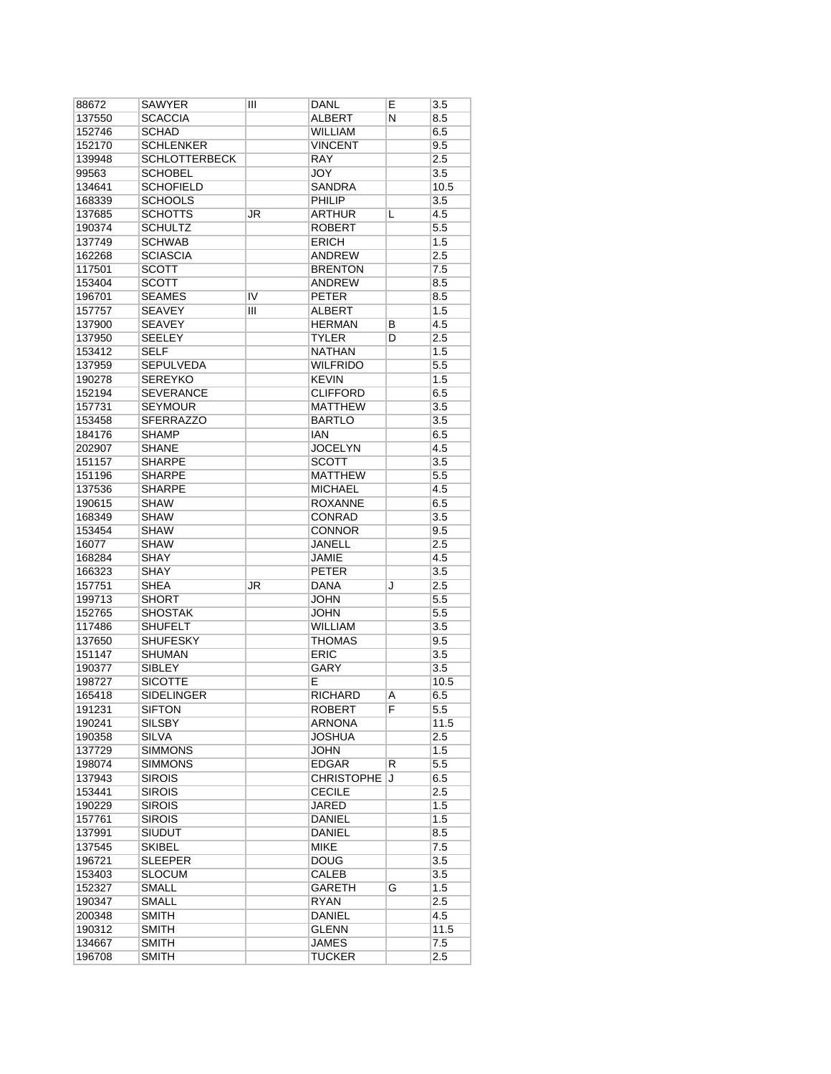| 88672  | SAWYER               | Ш  | DANL              | Ε | 3.5              |
|--------|----------------------|----|-------------------|---|------------------|
| 137550 | <b>SCACCIA</b>       |    | ALBERT            | Ν | 8.5              |
| 152746 | <b>SCHAD</b>         |    | <b>WILLIAM</b>    |   | 6.5              |
| 152170 | <b>SCHLENKER</b>     |    | <b>VINCENT</b>    |   | 9.5              |
| 139948 | <b>SCHLOTTERBECK</b> |    | <b>RAY</b>        |   | 2.5              |
| 99563  | <b>SCHOBEL</b>       |    | <b>JOY</b>        |   | 3.5              |
| 134641 | <b>SCHOFIELD</b>     |    | SANDRA            |   | 10.5             |
| 168339 | <b>SCHOOLS</b>       |    | PHILIP            |   | 3.5              |
| 137685 | <b>SCHOTTS</b>       | JR | ARTHUR            | L | 4.5              |
| 190374 | <b>SCHULTZ</b>       |    | <b>ROBERT</b>     |   | 5.5              |
| 137749 | <b>SCHWAB</b>        |    | <b>ERICH</b>      |   | 1.5              |
| 162268 | <b>SCIASCIA</b>      |    | <b>ANDREW</b>     |   | 2.5              |
|        | <b>SCOTT</b>         |    | <b>BRENTON</b>    |   | 7.5              |
| 117501 |                      |    |                   |   |                  |
| 153404 | <b>SCOTT</b>         |    | <b>ANDREW</b>     |   | 8.5              |
| 196701 | <b>SEAMES</b>        | IV | <b>PETER</b>      |   | 8.5              |
| 157757 | <b>SEAVEY</b>        | Ш  | ALBERT            |   | 1.5              |
| 137900 | <b>SEAVEY</b>        |    | <b>HERMAN</b>     | В | 4.5              |
| 137950 | <b>SEELEY</b>        |    | <b>TYLER</b>      | D | 2.5              |
| 153412 | <b>SELF</b>          |    | <b>NATHAN</b>     |   | 1.5              |
| 137959 | <b>SEPULVEDA</b>     |    | WILFRIDO          |   | $5.5\,$          |
| 190278 | <b>SEREYKO</b>       |    | <b>KEVIN</b>      |   | 1.5              |
| 152194 | <b>SEVERANCE</b>     |    | <b>CLIFFORD</b>   |   | 6.5              |
| 157731 | <b>SEYMOUR</b>       |    | <b>MATTHEW</b>    |   | 3.5              |
| 153458 | <b>SFERRAZZO</b>     |    | <b>BARTLO</b>     |   | 3.5              |
| 184176 | <b>SHAMP</b>         |    | IAN               |   | 6.5              |
| 202907 | <b>SHANE</b>         |    | <b>JOCELYN</b>    |   | 4.5              |
| 151157 | <b>SHARPE</b>        |    | <b>SCOTT</b>      |   | 3.5              |
| 151196 | <b>SHARPE</b>        |    | <b>MATTHEW</b>    |   | 5.5              |
| 137536 | <b>SHARPE</b>        |    | <b>MICHAEL</b>    |   | 4.5              |
| 190615 | <b>SHAW</b>          |    | <b>ROXANNE</b>    |   | 6.5              |
|        | <b>SHAW</b>          |    | CONRAD            |   | 3.5              |
| 168349 |                      |    |                   |   |                  |
| 153454 | <b>SHAW</b>          |    | <b>CONNOR</b>     |   | 9.5              |
| 16077  | <b>SHAW</b>          |    | JANELL            |   | 2.5              |
| 168284 | <b>SHAY</b>          |    | <b>JAMIE</b>      |   | 4.5              |
| 166323 | <b>SHAY</b>          |    | <b>PETER</b>      |   | 3.5              |
| 157751 | SHEA                 | JR | DANA              | J | 2.5              |
| 199713 | <b>SHORT</b>         |    | JOHN              |   | 5.5              |
| 152765 | <b>SHOSTAK</b>       |    | JOHN              |   | 5.5              |
| 117486 | <b>SHUFELT</b>       |    | <b>WILLIAM</b>    |   | $\overline{3.5}$ |
| 137650 | <b>SHUFESKY</b>      |    | <b>THOMAS</b>     |   | 9.5              |
| 151147 | <b>SHUMAN</b>        |    | ERIC              |   | 3.5              |
| 190377 | <b>SIBLEY</b>        |    | <b>GARY</b>       |   | 3.5              |
| 198727 | <b>SICOTTE</b>       |    | E                 |   | 10.5             |
| 165418 | <b>SIDELINGER</b>    |    | RICHARD           | A | 6.5              |
| 191231 | <b>SIFTON</b>        |    | <b>ROBERT</b>     | F | $\overline{5.5}$ |
| 190241 | SILSBY               |    | <b>ARNONA</b>     |   | 11.5             |
| 190358 | SILVA                |    | JOSHUA            |   | 2.5              |
| 137729 | <b>SIMMONS</b>       |    | <b>JOHN</b>       |   | 1.5              |
| 198074 | <b>SIMMONS</b>       |    | <b>EDGAR</b>      | R | $5.5\,$          |
| 137943 | <b>SIROIS</b>        |    | <b>CHRISTOPHE</b> | J | 6.5              |
| 153441 | <b>SIROIS</b>        |    | <b>CECILE</b>     |   | 2.5              |
|        |                      |    |                   |   |                  |
| 190229 | <b>SIROIS</b>        |    | <b>JARED</b>      |   | 1.5              |
| 157761 | <b>SIROIS</b>        |    | DANIEL            |   | 1.5              |
| 137991 | <b>SIUDUT</b>        |    | DANIEL            |   | 8.5              |
| 137545 | <b>SKIBEL</b>        |    | <b>MIKE</b>       |   | 7.5              |
| 196721 | <b>SLEEPER</b>       |    | <b>DOUG</b>       |   | 3.5              |
| 153403 | <b>SLOCUM</b>        |    | CALEB             |   | 3.5              |
| 152327 | <b>SMALL</b>         |    | GARETH            | G | 1.5              |
| 190347 | SMALL                |    | <b>RYAN</b>       |   | 2.5              |
| 200348 | <b>SMITH</b>         |    | DANIEL            |   | 4.5              |
| 190312 | SMITH                |    | <b>GLENN</b>      |   | 11.5             |
| 134667 | <b>SMITH</b>         |    | JAMES             |   | 7.5              |
| 196708 | <b>SMITH</b>         |    | <b>TUCKER</b>     |   | 2.5              |
|        |                      |    |                   |   |                  |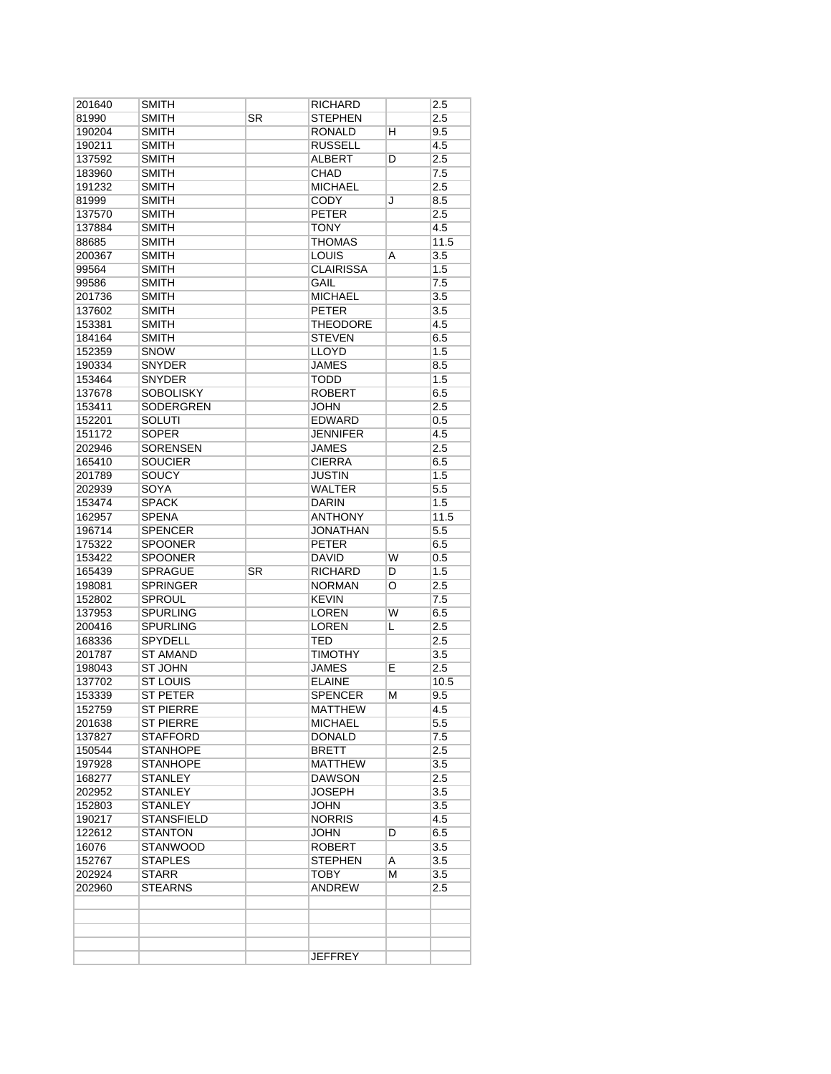| 201640 | SMITH             |    | RICHARD                      |   | 2.5              |
|--------|-------------------|----|------------------------------|---|------------------|
| 81990  | <b>SMITH</b>      | SR | STEPHEN                      |   | 2.5              |
| 190204 | <b>SMITH</b>      |    | RONALD                       | н | 9.5              |
| 190211 | <b>SMITH</b>      |    | <b>RUSSELL</b>               |   | 4.5              |
| 137592 | <b>SMITH</b>      |    | ALBERT                       | D | 2.5              |
| 183960 | <b>SMITH</b>      |    | <b>CHAD</b>                  |   | 7.5              |
| 191232 | <b>SMITH</b>      |    | <b>MICHAEL</b>               |   | 2.5              |
| 81999  | <b>SMITH</b>      |    | <b>CODY</b>                  | J | 8.5              |
| 137570 | <b>SMITH</b>      |    | <b>PETER</b>                 |   | 2.5              |
| 137884 | SMITH             |    | TONY                         |   | 4.5              |
| 88685  | <b>SMITH</b>      |    | <b>THOMAS</b>                |   | 11.5             |
| 200367 | <b>SMITH</b>      |    | <b>LOUIS</b>                 | A | 3.5              |
| 99564  | <b>SMITH</b>      |    | <b>CLAIRISSA</b>             |   | 1.5              |
| 99586  | <b>SMITH</b>      |    | GAIL                         |   | 7.5              |
| 201736 | <b>SMITH</b>      |    | <b>MICHAEL</b>               |   | 3.5              |
| 137602 | <b>SMITH</b>      |    | <b>PETER</b>                 |   | 3.5              |
| 153381 | <b>SMITH</b>      |    | <b>THEODORE</b>              |   | 4.5              |
| 184164 | <b>SMITH</b>      |    | <b>STEVEN</b>                |   | 6.5              |
| 152359 | <b>SNOW</b>       |    | LLOYD                        |   | 1.5              |
| 190334 | <b>SNYDER</b>     |    | <b>JAMES</b>                 |   | 8.5              |
| 153464 | <b>SNYDER</b>     |    | <b>TODD</b>                  |   | 1.5              |
| 137678 | <b>SOBOLISKY</b>  |    | <b>ROBERT</b>                |   | 6.5              |
|        | SODERGREN         |    |                              |   |                  |
| 153411 |                   |    | <b>JOHN</b><br><b>EDWARD</b> |   | 2.5              |
| 152201 | <b>SOLUTI</b>     |    |                              |   | 0.5              |
| 151172 | <b>SOPER</b>      |    | <b>JENNIFER</b>              |   | 4.5              |
| 202946 | <b>SORENSEN</b>   |    | <b>JAMES</b>                 |   | 2.5              |
| 165410 | <b>SOUCIER</b>    |    | <b>CIERRA</b>                |   | 6.5              |
| 201789 | SOUCY             |    | JUSTIN                       |   | 1.5              |
| 202939 | SOYA              |    | <b>WALTER</b>                |   | 5.5              |
| 153474 | <b>SPACK</b>      |    | <b>DARIN</b>                 |   | 1.5              |
| 162957 | <b>SPENA</b>      |    | <b>ANTHONY</b>               |   | 11.5             |
| 196714 | <b>SPENCER</b>    |    | <b>JONATHAN</b>              |   | 5.5              |
| 175322 | <b>SPOONER</b>    |    | <b>PETER</b>                 |   | 6.5              |
| 153422 | <b>SPOONER</b>    |    | <b>DAVID</b>                 | W | 0.5              |
| 165439 | <b>SPRAGUE</b>    | SR | <b>RICHARD</b>               | D | 1.5              |
| 198081 | <b>SPRINGER</b>   |    | <b>NORMAN</b>                | O | 2.5              |
| 152802 | <b>SPROUL</b>     |    | <b>KEVIN</b>                 |   | 7.5              |
| 137953 | <b>SPURLING</b>   |    | <b>LOREN</b>                 | W | 6.5              |
| 200416 | <b>SPURLING</b>   |    | <b>LOREN</b>                 | L | 2.5              |
| 168336 | <b>SPYDELL</b>    |    | TED                          |   | 2.5              |
| 201787 | <b>ST AMAND</b>   |    | TIMOTHY                      |   | 3.5              |
| 198043 | <b>ST JOHN</b>    |    | <b>JAMES</b>                 | E | 2.5              |
| 137702 | <b>ST LOUIS</b>   |    | <b>ELAINE</b>                |   | 10.5             |
| 153339 | <b>ST PETER</b>   |    | SPENCER                      | м | 9.5              |
| 152759 | <b>ST PIERRE</b>  |    | <b>MATTHEW</b>               |   | $\overline{4.5}$ |
| 201638 | <b>ST PIERRE</b>  |    | <b>MICHAEL</b>               |   | 5.5              |
| 137827 | <b>STAFFORD</b>   |    | <b>DONALD</b>                |   | 7.5              |
| 150544 | <b>STANHOPE</b>   |    | <b>BRETT</b>                 |   | 2.5              |
| 197928 | <b>STANHOPE</b>   |    | <b>MATTHEW</b>               |   | 3.5              |
| 168277 | <b>STANLEY</b>    |    | DAWSON                       |   | 2.5              |
| 202952 | <b>STANLEY</b>    |    | <b>JOSEPH</b>                |   | 3.5              |
| 152803 | <b>STANLEY</b>    |    | JOHN                         |   | 3.5              |
| 190217 | <b>STANSFIELD</b> |    | <b>NORRIS</b>                |   | 4.5              |
| 122612 | <b>STANTON</b>    |    | JOHN                         | D | 6.5              |
| 16076  | <b>STANWOOD</b>   |    | <b>ROBERT</b>                |   | 3.5              |
| 152767 | <b>STAPLES</b>    |    | <b>STEPHEN</b>               | A | 3.5              |
| 202924 | <b>STARR</b>      |    | ТОВҮ                         | м | 3.5              |
| 202960 | <b>STEARNS</b>    |    | ANDREW                       |   | 2.5              |
|        |                   |    |                              |   |                  |
|        |                   |    |                              |   |                  |
|        |                   |    |                              |   |                  |
|        |                   |    |                              |   |                  |
|        |                   |    |                              |   |                  |
|        |                   |    | <b>JEFFREY</b>               |   |                  |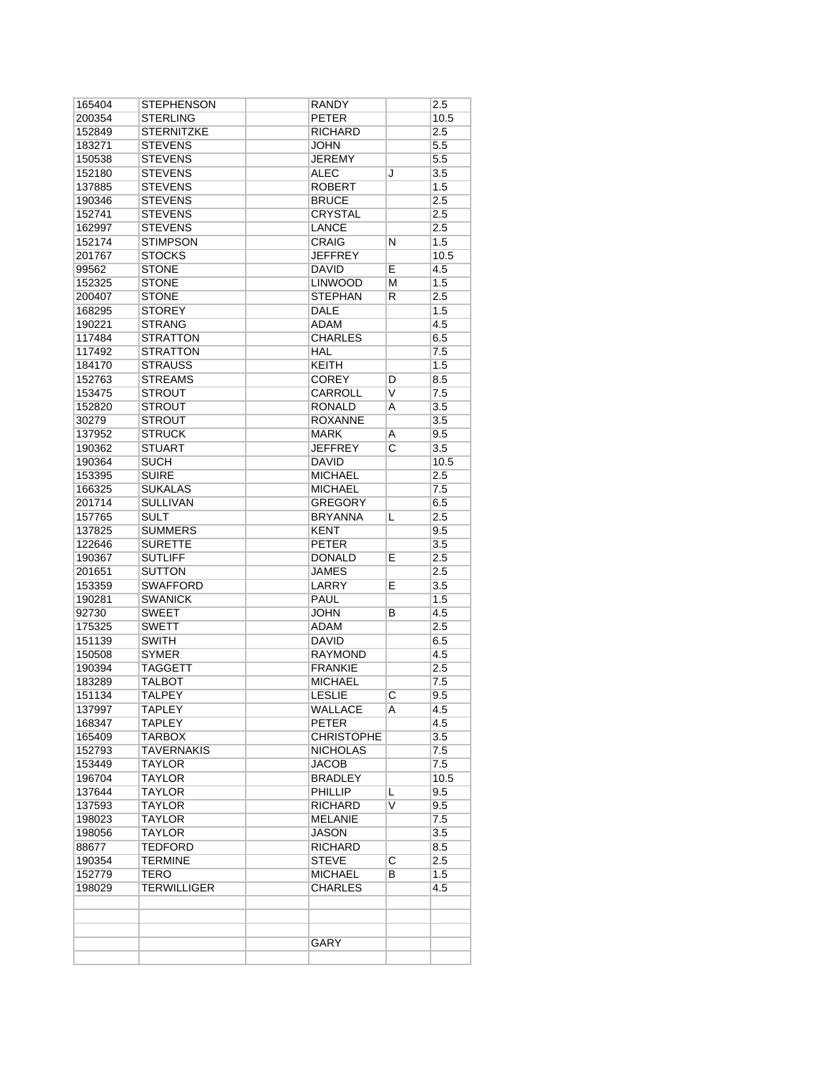| 165404 | STEPHENSON        | <b>RANDY</b>      |                | 2.5  |
|--------|-------------------|-------------------|----------------|------|
| 200354 | <b>STERLING</b>   | <b>PETER</b>      |                | 10.5 |
| 152849 | <b>STERNITZKE</b> | <b>RICHARD</b>    |                | 2.5  |
| 183271 | <b>STEVENS</b>    | <b>JOHN</b>       |                | 5.5  |
| 150538 | <b>STEVENS</b>    | <b>JEREMY</b>     |                | 5.5  |
| 152180 | <b>STEVENS</b>    | <b>ALEC</b>       | J              | 3.5  |
| 137885 | <b>STEVENS</b>    | <b>ROBERT</b>     |                | 1.5  |
| 190346 | <b>STEVENS</b>    | <b>BRUCE</b>      |                | 2.5  |
| 152741 | <b>STEVENS</b>    | <b>CRYSTAL</b>    |                | 2.5  |
| 162997 | <b>STEVENS</b>    | <b>LANCE</b>      |                | 2.5  |
| 152174 | <b>STIMPSON</b>   | CRAIG             | N              | 1.5  |
| 201767 | <b>STOCKS</b>     | <b>JEFFREY</b>    |                | 10.5 |
| 99562  | <b>STONE</b>      | <b>DAVID</b>      | E.             | 4.5  |
| 152325 | <b>STONE</b>      | <b>LINWOOD</b>    | М              | 1.5  |
| 200407 | <b>STONE</b>      | <b>STEPHAN</b>    | R              | 2.5  |
| 168295 | <b>STOREY</b>     | <b>DALE</b>       |                | 1.5  |
| 190221 | <b>STRANG</b>     | <b>ADAM</b>       |                | 4.5  |
| 117484 | <b>STRATTON</b>   | <b>CHARLES</b>    |                | 6.5  |
| 117492 | <b>STRATTON</b>   | HAL               |                | 7.5  |
| 184170 | <b>STRAUSS</b>    | <b>KEITH</b>      |                | 1.5  |
| 152763 | <b>STREAMS</b>    | <b>COREY</b>      | D              | 8.5  |
| 153475 | STROUT            | CARROLL           | V              | 7.5  |
| 152820 | <b>STROUT</b>     | <b>RONALD</b>     | A              | 3.5  |
| 30279  | <b>STROUT</b>     | <b>ROXANNE</b>    |                | 3.5  |
| 137952 | <b>STRUCK</b>     | <b>MARK</b>       | Α              | 9.5  |
| 190362 | <b>STUART</b>     | <b>JEFFREY</b>    | C              | 3.5  |
| 190364 | <b>SUCH</b>       | <b>DAVID</b>      |                | 10.5 |
| 153395 | <b>SUIRE</b>      | <b>MICHAEL</b>    |                | 2.5  |
| 166325 | <b>SUKALAS</b>    | <b>MICHAEL</b>    |                | 7.5  |
| 201714 | <b>SULLIVAN</b>   | <b>GREGORY</b>    |                | 6.5  |
| 157765 | <b>SULT</b>       | <b>BRYANNA</b>    | L              | 2.5  |
| 137825 | <b>SUMMERS</b>    | <b>KENT</b>       |                | 9.5  |
| 122646 | <b>SURETTE</b>    | <b>PETER</b>      |                | 3.5  |
| 190367 | <b>SUTLIFF</b>    | <b>DONALD</b>     | Е              | 2.5  |
| 201651 | SUTTON            | JAMES             |                | 2.5  |
| 153359 | <b>SWAFFORD</b>   | LARRY             | Е              | 3.5  |
| 190281 | <b>SWANICK</b>    | <b>PAUL</b>       |                | 1.5  |
| 92730  | <b>SWEET</b>      | <b>JOHN</b>       | В              | 4.5  |
| 175325 | <b>SWETT</b>      | ADAM              |                | 2.5  |
| 151139 | SWITH             | <b>DAVID</b>      |                | 6.5  |
| 150508 | <b>SYMER</b>      | <b>RAYMOND</b>    |                | 4.5  |
| 190394 | <b>TAGGETT</b>    | <b>FRANKIE</b>    |                | 2.5  |
| 183289 | TALBOT            | <b>MICHAEL</b>    |                | 7.5  |
| 151134 | <b>TALPEY</b>     | <b>LESLIE</b>     | C              | 9.5  |
| 137997 | TAPLEY            | WALLACE           | A              | 4.5  |
| 168347 | TAPLEY            | PETER             |                | 4.5  |
| 165409 | <b>TARBOX</b>     | <b>CHRISTOPHE</b> |                | 3.5  |
| 152793 | <b>TAVERNAKIS</b> | <b>NICHOLAS</b>   |                | 7.5  |
| 153449 | <b>TAYLOR</b>     | <b>JACOB</b>      |                | 7.5  |
| 196704 | <b>TAYLOR</b>     | BRADLEY           |                | 10.5 |
| 137644 | TAYLOR            | PHILLIP           | L              | 9.5  |
| 137593 | TAYLOR            | <b>RICHARD</b>    | V              | 9.5  |
| 198023 | TAYLOR            | MELANIE           |                | 7.5  |
| 198056 | TAYLOR            | JASON             |                | 3.5  |
| 88677  | <b>TEDFORD</b>    | <b>RICHARD</b>    |                | 8.5  |
| 190354 | TERMINE           | <b>STEVE</b>      | $\overline{C}$ | 2.5  |
| 152779 | TERO              | <b>MICHAEL</b>    | В              | 1.5  |
| 198029 | TERWILLIGER       | <b>CHARLES</b>    |                | 4.5  |
|        |                   |                   |                |      |
|        |                   | GARY              |                |      |
|        |                   |                   |                |      |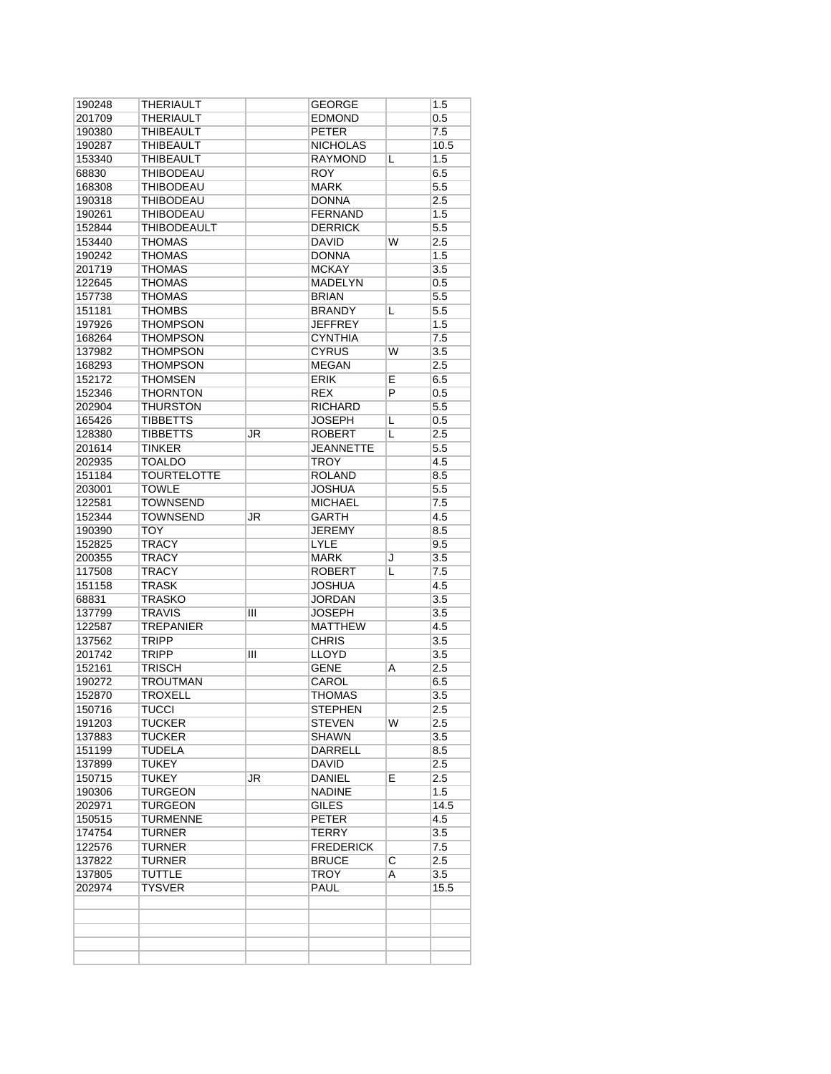| 190248 | THERIAULT          |    | GEORGE           |                    | 1.5              |
|--------|--------------------|----|------------------|--------------------|------------------|
| 201709 | THERIAULT          |    | <b>EDMOND</b>    |                    | 0.5              |
| 190380 | <b>THIBEAULT</b>   |    | <b>PETER</b>     |                    | 7.5              |
| 190287 | THIBEAULT          |    | <b>NICHOLAS</b>  |                    | 10.5             |
| 153340 | THIBEAULT          |    | <b>RAYMOND</b>   | L                  | 1.5              |
| 68830  | <b>THIBODEAU</b>   |    | <b>ROY</b>       |                    | 6.5              |
| 168308 | <b>THIBODEAU</b>   |    | <b>MARK</b>      |                    | 5.5              |
| 190318 | THIBODEAU          |    | <b>DONNA</b>     |                    | 2.5              |
| 190261 | <b>THIBODEAU</b>   |    | <b>FERNAND</b>   |                    | 1.5              |
| 152844 | <b>THIBODEAULT</b> |    | <b>DERRICK</b>   |                    | 5.5              |
| 153440 | <b>THOMAS</b>      |    | <b>DAVID</b>     | W                  | 2.5              |
| 190242 | <b>THOMAS</b>      |    | <b>DONNA</b>     |                    | 1.5              |
| 201719 | <b>THOMAS</b>      |    | <b>MCKAY</b>     |                    | 3.5              |
| 122645 | <b>THOMAS</b>      |    | <b>MADELYN</b>   |                    | 0.5              |
| 157738 | <b>THOMAS</b>      |    | <b>BRIAN</b>     |                    | 5.5              |
| 151181 | <b>THOMBS</b>      |    | <b>BRANDY</b>    | L                  | 5.5              |
| 197926 | <b>THOMPSON</b>    |    | <b>JEFFREY</b>   |                    | 1.5              |
| 168264 | <b>THOMPSON</b>    |    | <b>CYNTHIA</b>   |                    | 7.5              |
| 137982 | <b>THOMPSON</b>    |    | <b>CYRUS</b>     | W                  | 3.5              |
| 168293 | <b>THOMPSON</b>    |    | <b>MEGAN</b>     |                    | 2.5              |
| 152172 | <b>THOMSEN</b>     |    | <b>ERIK</b>      | Е                  | 6.5              |
| 152346 | <b>THORNTON</b>    |    | <b>REX</b>       | P                  | 0.5              |
| 202904 | <b>THURSTON</b>    |    | <b>RICHARD</b>   |                    | 5.5              |
| 165426 | <b>TIBBETTS</b>    |    | <b>JOSEPH</b>    | L                  | 0.5              |
| 128380 | <b>TIBBETTS</b>    | JR | <b>ROBERT</b>    | L                  | 2.5              |
| 201614 | <b>TINKER</b>      |    | <b>JEANNETTE</b> |                    | 5.5              |
| 202935 | <b>TOALDO</b>      |    | <b>TROY</b>      |                    | 4.5              |
| 151184 | <b>TOURTELOTTE</b> |    | <b>ROLAND</b>    |                    | 8.5              |
| 203001 | <b>TOWLE</b>       |    | <b>JOSHUA</b>    |                    | 5.5              |
| 122581 | <b>TOWNSEND</b>    |    | <b>MICHAEL</b>   |                    | 7.5              |
| 152344 | <b>TOWNSEND</b>    | JR | <b>GARTH</b>     |                    | 4.5              |
| 190390 | TOY                |    | <b>JEREMY</b>    |                    | 8.5              |
| 152825 | <b>TRACY</b>       |    | <b>LYLE</b>      |                    | 9.5              |
| 200355 | TRACY              |    | <b>MARK</b>      | J                  | 3.5              |
| 117508 | <b>TRACY</b>       |    | <b>ROBERT</b>    | L                  | 7.5              |
| 151158 | <b>TRASK</b>       |    | <b>JOSHUA</b>    |                    | 4.5              |
| 68831  | <b>TRASKO</b>      |    | JORDAN           |                    | 3.5              |
| 137799 | TRAVIS             | Ш  | <b>JOSEPH</b>    |                    | 3.5              |
| 122587 | <b>TREPANIER</b>   |    | <b>MATTHEW</b>   |                    | 4.5              |
| 137562 | TRIPP              |    | <b>CHRIS</b>     |                    | 3.5              |
| 201742 | <b>TRIPP</b>       | Ш  | LLOYD            |                    | 3.5              |
| 152161 | <b>TRISCH</b>      |    | <b>GENE</b>      | A                  | 2.5              |
| 190272 | <b>TROUTMAN</b>    |    | CAROL            |                    | 6.5              |
| 152870 | <b>TROXELL</b>     |    | THOMAS           |                    | 3.5              |
| 150716 | <b>TUCCI</b>       |    | <b>STEPHEN</b>   |                    | $\overline{2.5}$ |
| 191203 | <b>TUCKER</b>      |    | <b>STEVEN</b>    | W                  | 2.5              |
| 137883 | TUCKER             |    | <b>SHAWN</b>     |                    | 3.5              |
| 151199 | TUDELA             |    | DARRELL          |                    | 8.5              |
| 137899 | <b>TUKEY</b>       |    | <b>DAVID</b>     |                    | 2.5              |
| 150715 | TUKEY              | JR | DANIEL           | E.                 | 2.5              |
| 190306 | TURGEON            |    | <b>NADINE</b>    |                    | 1.5              |
| 202971 | TURGEON            |    | <b>GILES</b>     |                    | 14.5             |
| 150515 | <b>TURMENNE</b>    |    | <b>PETER</b>     |                    | 4.5              |
| 174754 | TURNER             |    | TERRY            |                    | 3.5              |
| 122576 | TURNER             |    | <b>FREDERICK</b> |                    | 7.5              |
| 137822 | <b>TURNER</b>      |    | <b>BRUCE</b>     | $\overline{\rm c}$ | 2.5              |
| 137805 | <b>TUTTLE</b>      |    | <b>TROY</b>      | A                  | 3.5              |
| 202974 | TYSVER             |    | PAUL             |                    | 15.5             |
|        |                    |    |                  |                    |                  |
|        |                    |    |                  |                    |                  |
|        |                    |    |                  |                    |                  |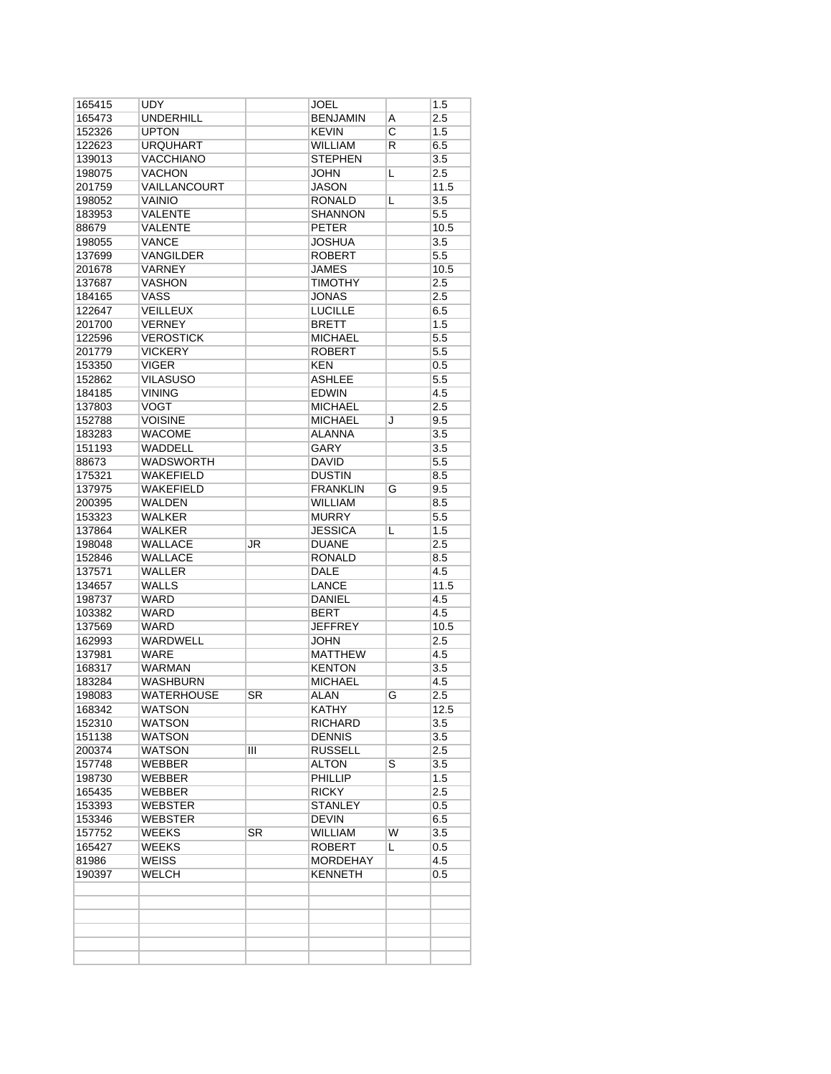| 165415           | UDY                      |           | JOEL                  |                         | 1.5              |
|------------------|--------------------------|-----------|-----------------------|-------------------------|------------------|
| 165473           | <b>UNDERHILL</b>         |           | <b>BENJAMIN</b>       | Α                       | 2.5              |
| 152326           | <b>UPTON</b>             |           | <b>KEVIN</b>          | $\overline{\mathrm{c}}$ | 1.5              |
| 122623           | <b>URQUHART</b>          |           | <b>WILLIAM</b>        | R                       | 6.5              |
| 139013           | <b>VACCHIANO</b>         |           | <b>STEPHEN</b>        |                         | 3.5              |
| 198075           | <b>VACHON</b>            |           | <b>JOHN</b>           | L                       | 2.5              |
| 201759           | VAILLANCOURT             |           | <b>JASON</b>          |                         | 11.5             |
| 198052           | <b>VAINIO</b>            |           | <b>RONALD</b>         | L                       | 3.5              |
| 183953           | VALENTE                  |           | <b>SHANNON</b>        |                         | 5.5              |
| 88679            | <b>VALENTE</b>           |           | <b>PETER</b>          |                         | 10.5             |
| 198055           | <b>VANCE</b>             |           | <b>JOSHUA</b>         |                         | 3.5              |
| 137699           | VANGILDER                |           | <b>ROBERT</b>         |                         | 5.5              |
|                  | VARNEY                   |           | <b>JAMES</b>          |                         |                  |
| 201678           |                          |           |                       |                         | 10.5             |
| 137687           | <b>VASHON</b>            |           | <b>TIMOTHY</b>        |                         | 2.5              |
| 184165           | <b>VASS</b>              |           | JONAS                 |                         | 2.5              |
| 122647           | <b>VEILLEUX</b>          |           | <b>LUCILLE</b>        |                         | 6.5              |
| 201700           | <b>VERNEY</b>            |           | <b>BRETT</b>          |                         | 1.5              |
| 122596           | <b>VEROSTICK</b>         |           | <b>MICHAEL</b>        |                         | 5.5              |
| 201779           | <b>VICKERY</b>           |           | <b>ROBERT</b>         |                         | 5.5              |
| 153350           | <b>VIGER</b>             |           | <b>KEN</b>            |                         | $0.5\,$          |
| 152862           | <b>VILASUSO</b>          |           | <b>ASHLEE</b>         |                         | 5.5              |
| 184185           | <b>VINING</b>            |           | <b>EDWIN</b>          |                         | 4.5              |
| 137803           | <b>VOGT</b>              |           | <b>MICHAEL</b>        |                         | 2.5              |
| 152788           | <b>VOISINE</b>           |           | <b>MICHAEL</b>        | J                       | 9.5              |
| 183283           | <b>WACOME</b>            |           | ALANNA                |                         | 3.5              |
| 151193           | <b>WADDELL</b>           |           | <b>GARY</b>           |                         | $\overline{3.5}$ |
| 88673            | <b>WADSWORTH</b>         |           | <b>DAVID</b>          |                         | 5.5              |
| 175321           | <b>WAKEFIELD</b>         |           | <b>DUSTIN</b>         |                         | 8.5              |
| 137975           | <b>WAKEFIELD</b>         |           | <b>FRANKLIN</b>       | G                       | 9.5              |
| 200395           | <b>WALDEN</b>            |           | <b>WILLIAM</b>        |                         | 8.5              |
| 153323           | <b>WALKER</b>            |           | <b>MURRY</b>          |                         | 5.5              |
| 137864           | <b>WALKER</b>            |           | <b>JESSICA</b>        | L                       | 1.5              |
| 198048           | <b>WALLACE</b>           | JR        | <b>DUANE</b>          |                         | 2.5              |
|                  |                          |           |                       |                         |                  |
| 152846<br>137571 | WALLACE<br><b>WALLER</b> |           | RONALD<br><b>DALE</b> |                         | 8.5<br>4.5       |
|                  |                          |           |                       |                         |                  |
| 134657           | WALLS                    |           | LANCE                 |                         | 11.5             |
| 198737           | <b>WARD</b>              |           | DANIEL                |                         | 4.5              |
| 103382           | <b>WARD</b>              |           | <b>BERT</b>           |                         | 4.5              |
| 137569           | <b>WARD</b>              |           | <b>JEFFREY</b>        |                         | 10.5             |
| 162993           | <b>WARDWELL</b>          |           | <b>JOHN</b>           |                         | 2.5              |
| 137981           | WARE                     |           | <b>MATTHEW</b>        |                         | 4.5              |
| 168317           | <b>WARMAN</b>            |           | <b>KENTON</b>         |                         | 3.5              |
| 183284           | <b>WASHBURN</b>          |           | <b>MICHAEL</b>        |                         | 4.5              |
| 198083           | <b>WATERHOUSE</b>        | <b>SR</b> | ALAN                  | G                       | 2.5              |
| 168342           | <b>WATSON</b>            |           | <b>KATHY</b>          |                         | 12.5             |
| 152310           | <b>WATSON</b>            |           | <b>RICHARD</b>        |                         | 3.5              |
| 151138           | WATSON                   |           | <b>DENNIS</b>         |                         | 3.5              |
| 200374           | WATSON                   | Ш         | <b>RUSSELL</b>        |                         | 2.5              |
| 157748           | WEBBER                   |           | <b>ALTON</b>          | $\overline{\mathsf{s}}$ | 3.5              |
| 198730           | WEBBER                   |           | PHILLIP               |                         | 1.5              |
| 165435           | WEBBER                   |           | <b>RICKY</b>          |                         | 2.5              |
| 153393           | <b>WEBSTER</b>           |           | <b>STANLEY</b>        |                         | 0.5              |
| 153346           | WEBSTER                  |           | <b>DEVIN</b>          |                         | 6.5              |
| 157752           | WEEKS                    | SR        | WILLIAM               | W                       | 3.5              |
| 165427           | WEEKS                    |           | <b>ROBERT</b>         | L                       | 0.5              |
| 81986            | <b>WEISS</b>             |           | <b>MORDEHAY</b>       |                         | 4.5              |
| 190397           | WELCH                    |           | <b>KENNETH</b>        |                         | $0.5\,$          |
|                  |                          |           |                       |                         |                  |
|                  |                          |           |                       |                         |                  |
|                  |                          |           |                       |                         |                  |
|                  |                          |           |                       |                         |                  |
|                  |                          |           |                       |                         |                  |
|                  |                          |           |                       |                         |                  |
|                  |                          |           |                       |                         |                  |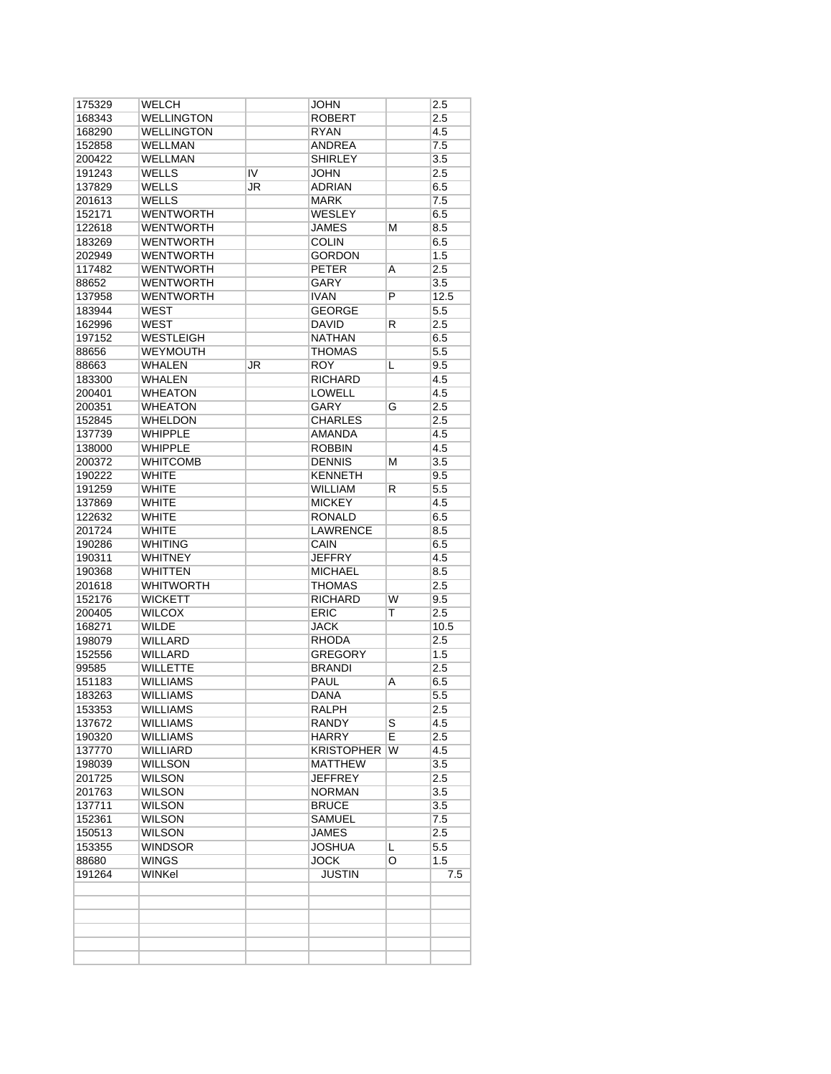| 175329 | WELCH             |    | <b>JOHN</b>       |    | 2.5              |
|--------|-------------------|----|-------------------|----|------------------|
| 168343 | <b>WELLINGTON</b> |    | ROBERT            |    | 2.5              |
| 168290 | <b>WELLINGTON</b> |    | RYAN              |    | 4.5              |
| 152858 | <b>WELLMAN</b>    |    | ANDREA            |    | 7.5              |
| 200422 | <b>WELLMAN</b>    |    | <b>SHIRLEY</b>    |    | 3.5              |
| 191243 | <b>WELLS</b>      | IV | <b>JOHN</b>       |    | 2.5              |
| 137829 | <b>WELLS</b>      | JR | <b>ADRIAN</b>     |    | 6.5              |
| 201613 | <b>WELLS</b>      |    | MARK              |    | 7.5              |
| 152171 | <b>WENTWORTH</b>  |    | WESLEY            |    | 6.5              |
| 122618 | <b>WENTWORTH</b>  |    | <b>JAMES</b>      | М  | 8.5              |
| 183269 | <b>WENTWORTH</b>  |    | <b>COLIN</b>      |    | 6.5              |
| 202949 | <b>WENTWORTH</b>  |    | <b>GORDON</b>     |    | 1.5              |
| 117482 | <b>WENTWORTH</b>  |    | <b>PETER</b>      | A  | 2.5              |
| 88652  | <b>WENTWORTH</b>  |    | <b>GARY</b>       |    | 3.5              |
| 137958 | <b>WENTWORTH</b>  |    | <b>IVAN</b>       | P  | 12.5             |
| 183944 | <b>WEST</b>       |    | <b>GEORGE</b>     |    | 5.5              |
| 162996 | <b>WEST</b>       |    | <b>DAVID</b>      | R  | 2.5              |
| 197152 | <b>WESTLEIGH</b>  |    | <b>NATHAN</b>     |    | 6.5              |
| 88656  | <b>WEYMOUTH</b>   |    | THOMAS            |    | 5.5              |
| 88663  | <b>WHALEN</b>     | JR | <b>ROY</b>        | L  | 9.5              |
| 183300 | <b>WHALEN</b>     |    | <b>RICHARD</b>    |    | 4.5              |
| 200401 | <b>WHEATON</b>    |    | <b>LOWELL</b>     |    | 4.5              |
| 200351 | <b>WHEATON</b>    |    | <b>GARY</b>       | G  | 2.5              |
| 152845 | <b>WHELDON</b>    |    | <b>CHARLES</b>    |    | 2.5              |
| 137739 | WHIPPLE           |    | AMANDA            |    | 4.5              |
|        | <b>WHIPPLE</b>    |    |                   |    |                  |
| 138000 |                   |    | <b>ROBBIN</b>     |    | 4.5              |
| 200372 | <b>WHITCOMB</b>   |    | <b>DENNIS</b>     | М  | 3.5              |
| 190222 | <b>WHITE</b>      |    | <b>KENNETH</b>    |    | 9.5              |
| 191259 | <b>WHITE</b>      |    | <b>WILLIAM</b>    | R  | 5.5              |
| 137869 | <b>WHITE</b>      |    | <b>MICKEY</b>     |    | 4.5              |
| 122632 | <b>WHITE</b>      |    | <b>RONALD</b>     |    | 6.5              |
| 201724 | <b>WHITE</b>      |    | <b>LAWRENCE</b>   |    | 8.5              |
| 190286 | <b>WHITING</b>    |    | CAIN              |    | 6.5              |
| 190311 | <b>WHITNEY</b>    |    | <b>JEFFRY</b>     |    | 4.5              |
| 190368 | <b>WHITTEN</b>    |    | <b>MICHAEL</b>    |    | 8.5              |
| 201618 | <b>WHITWORTH</b>  |    | THOMAS            |    | 2.5              |
| 152176 | <b>WICKETT</b>    |    | <b>RICHARD</b>    | W  | 9.5              |
| 200405 | <b>WILCOX</b>     |    | <b>ERIC</b>       | Т  | 2.5              |
| 168271 | <b>WILDE</b>      |    | <b>JACK</b>       |    | 10.5             |
| 198079 | <b>WILLARD</b>    |    | <b>RHODA</b>      |    | 2.5              |
| 152556 | WILLARD           |    | <b>GREGORY</b>    |    | 1.5              |
| 99585  | <b>WILLETTE</b>   |    | <b>BRANDI</b>     |    | 2.5              |
| 151183 | <b>WILLIAMS</b>   |    | <b>PAUL</b>       | Α  | 6.5              |
| 183263 | <b>WILLIAMS</b>   |    | DANA              |    | $\overline{5.5}$ |
| 153353 | <b>WILLIAMS</b>   |    | <b>RALPH</b>      |    | $\overline{2.5}$ |
| 137672 | <b>WILLIAMS</b>   |    | RANDY             | S  | 4.5              |
| 190320 | WILLIAMS          |    | HARRY             | E  | 2.5              |
| 137770 | <b>WILLIARD</b>   |    | <b>KRISTOPHER</b> | W  | 4.5              |
| 198039 | <b>WILLSON</b>    |    | <b>MATTHEW</b>    |    | 3.5              |
| 201725 | <b>WILSON</b>     |    | JEFFREY           |    | 2.5              |
| 201763 | <b>WILSON</b>     |    | <b>NORMAN</b>     |    | 3.5              |
| 137711 | <b>WILSON</b>     |    | <b>BRUCE</b>      |    | 3.5              |
| 152361 | WILSON            |    | <b>SAMUEL</b>     |    | 7.5              |
| 150513 | <b>WILSON</b>     |    | <b>JAMES</b>      |    | 2.5              |
| 153355 | <b>WINDSOR</b>    |    | JOSHUA            | L. | 5.5              |
| 88680  | <b>WINGS</b>      |    | <b>JOCK</b>       | O  | 1.5              |
| 191264 | WINKel            |    | JUSTIN            |    | 7.5              |
|        |                   |    |                   |    |                  |
|        |                   |    |                   |    |                  |
|        |                   |    |                   |    |                  |
|        |                   |    |                   |    |                  |
|        |                   |    |                   |    |                  |
|        |                   |    |                   |    |                  |
|        |                   |    |                   |    |                  |